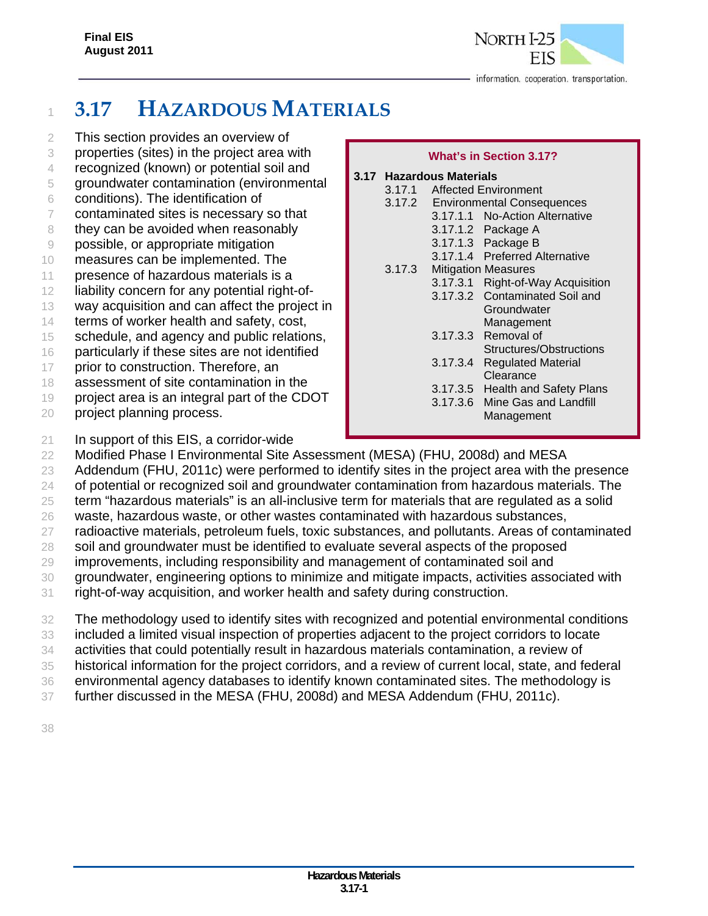

# <sup>1</sup> **3.17 HAZARDOUS MATERIALS**

- 2 This section provides an overview of
- 3 properties (sites) in the project area with
- 4 recognized (known) or potential soil and
- 5 groundwater contamination (environmental
- 6 conditions). The identification of
- 7 contaminated sites is necessary so that
- 8 they can be avoided when reasonably
- 9 possible, or appropriate mitigation
- 10 measures can be implemented. The
- 11 presence of hazardous materials is a
- 12 liability concern for any potential right-of-
- 13 way acquisition and can affect the project in
- 14 terms of worker health and safety, cost,
- 15 schedule, and agency and public relations,
- 16 particularly if these sites are not identified
- 17 prior to construction. Therefore, an
- 18 assessment of site contamination in the
- 19 project area is an integral part of the CDOT
- 20 project planning process.

### **What's in Section 3.17?**

### **3.17 Hazardous Materials**  3.17.1 Affected Environment 3.17.2 Environmental Consequences 3.17.1.1 No-Action Alternative 3.17.1.2 Package A 3.17.1.3 Package B 3.17.1.4 Preferred Alternative 3.17.3 Mitigation Measures 3.17.3.1 Right-of-Way Acquisition 3.17.3.2 Contaminated Soil and **Groundwater**  Management 3.17.3.3 Removal of Structures/Obstructions 3.17.3.4 Regulated Material **Clearance**  3.17.3.5 Health and Safety Plans 3.17.3.6 Mine Gas and Landfill Management

- 21 In support of this EIS, a corridor-wide
- 22 Modified Phase I Environmental Site Assessment (MESA) (FHU, 2008d) and MESA
- 23 Addendum (FHU, 2011c) were performed to identify sites in the project area with the presence
- 24 of potential or recognized soil and groundwater contamination from hazardous materials. The
- 25 term "hazardous materials" is an all-inclusive term for materials that are regulated as a solid 26 waste, hazardous waste, or other wastes contaminated with hazardous substances,
- 27 radioactive materials, petroleum fuels, toxic substances, and pollutants. Areas of contaminated
- 28 soil and groundwater must be identified to evaluate several aspects of the proposed
- 29 improvements, including responsibility and management of contaminated soil and
- 30 groundwater, engineering options to minimize and mitigate impacts, activities associated with
- 31 right-of-way acquisition, and worker health and safety during construction.
- 32 The methodology used to identify sites with recognized and potential environmental conditions
- 33 included a limited visual inspection of properties adjacent to the project corridors to locate 34 activities that could potentially result in hazardous materials contamination, a review of
- 35 historical information for the project corridors, and a review of current local, state, and federal
- 36 environmental agency databases to identify known contaminated sites. The methodology is
- 37 further discussed in the MESA (FHU, 2008d) and MESA Addendum (FHU, 2011c).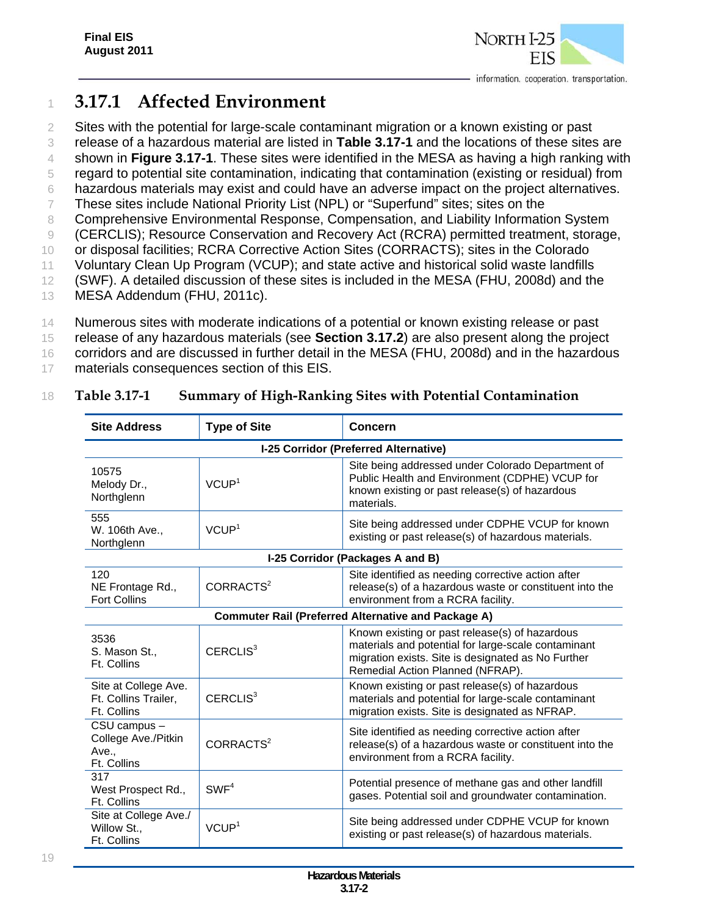

# <sup>1</sup> **3.17.1 Affected Environment**

 Sites with the potential for large-scale contaminant migration or a known existing or past release of a hazardous material are listed in **Table 3.17-1** and the locations of these sites are shown in **Figure 3.17-1**. These sites were identified in the MESA as having a high ranking with regard to potential site contamination, indicating that contamination (existing or residual) from hazardous materials may exist and could have an adverse impact on the project alternatives.

7 These sites include National Priority List (NPL) or "Superfund" sites; sites on the

8 Comprehensive Environmental Response, Compensation, and Liability Information System

9 (CERCLIS); Resource Conservation and Recovery Act (RCRA) permitted treatment, storage,

10 or disposal facilities; RCRA Corrective Action Sites (CORRACTS); sites in the Colorado

- 11 Voluntary Clean Up Program (VCUP); and state active and historical solid waste landfills 12 (SWF). A detailed discussion of these sites is included in the MESA (FHU, 2008d) and the
- 13 MESA Addendum (FHU, 2011c).
- 14 Numerous sites with moderate indications of a potential or known existing release or past

15 release of any hazardous materials (see **Section 3.17.2**) are also present along the project

16 corridors and are discussed in further detail in the MESA (FHU, 2008d) and in the hazardous

17 materials consequences section of this EIS.

## 18 **Table 3.17-1 Summary of High-Ranking Sites with Potential Contamination**

| <b>Site Address</b><br><b>Type of Site</b><br><b>Concern</b> |                       |                                                                                                                                                                                                 |
|--------------------------------------------------------------|-----------------------|-------------------------------------------------------------------------------------------------------------------------------------------------------------------------------------------------|
|                                                              |                       | I-25 Corridor (Preferred Alternative)                                                                                                                                                           |
| 10575<br>Melody Dr.,<br>Northglenn                           | VCUP <sup>1</sup>     | Site being addressed under Colorado Department of<br>Public Health and Environment (CDPHE) VCUP for<br>known existing or past release(s) of hazardous<br>materials.                             |
| 555<br>W. 106th Ave.,<br>Northglenn                          | VCUP <sup>1</sup>     | Site being addressed under CDPHE VCUP for known<br>existing or past release(s) of hazardous materials.                                                                                          |
|                                                              |                       | I-25 Corridor (Packages A and B)                                                                                                                                                                |
| 120<br>NE Frontage Rd.,<br><b>Fort Collins</b>               | CORRACTS <sup>2</sup> | Site identified as needing corrective action after<br>release(s) of a hazardous waste or constituent into the<br>environment from a RCRA facility.                                              |
|                                                              |                       | <b>Commuter Rail (Preferred Alternative and Package A)</b>                                                                                                                                      |
| 3536<br>S. Mason St.,<br>Ft. Collins                         | CERCLIS <sup>3</sup>  | Known existing or past release(s) of hazardous<br>materials and potential for large-scale contaminant<br>migration exists. Site is designated as No Further<br>Remedial Action Planned (NFRAP). |
| Site at College Ave.<br>Ft. Collins Trailer,<br>Ft. Collins  | CERCLIS <sup>3</sup>  | Known existing or past release(s) of hazardous<br>materials and potential for large-scale contaminant<br>migration exists. Site is designated as NFRAP.                                         |
| CSU campus -<br>College Ave./Pitkin<br>Ave.,<br>Ft. Collins  | CORRACTS <sup>2</sup> | Site identified as needing corrective action after<br>release(s) of a hazardous waste or constituent into the<br>environment from a RCRA facility.                                              |
| 317<br>West Prospect Rd.,<br>Ft. Collins                     | SWF <sup>4</sup>      | Potential presence of methane gas and other landfill<br>gases. Potential soil and groundwater contamination.                                                                                    |
| Site at College Ave./<br>Willow St.,<br>Ft. Collins          | VCUP <sup>1</sup>     | Site being addressed under CDPHE VCUP for known<br>existing or past release(s) of hazardous materials.                                                                                          |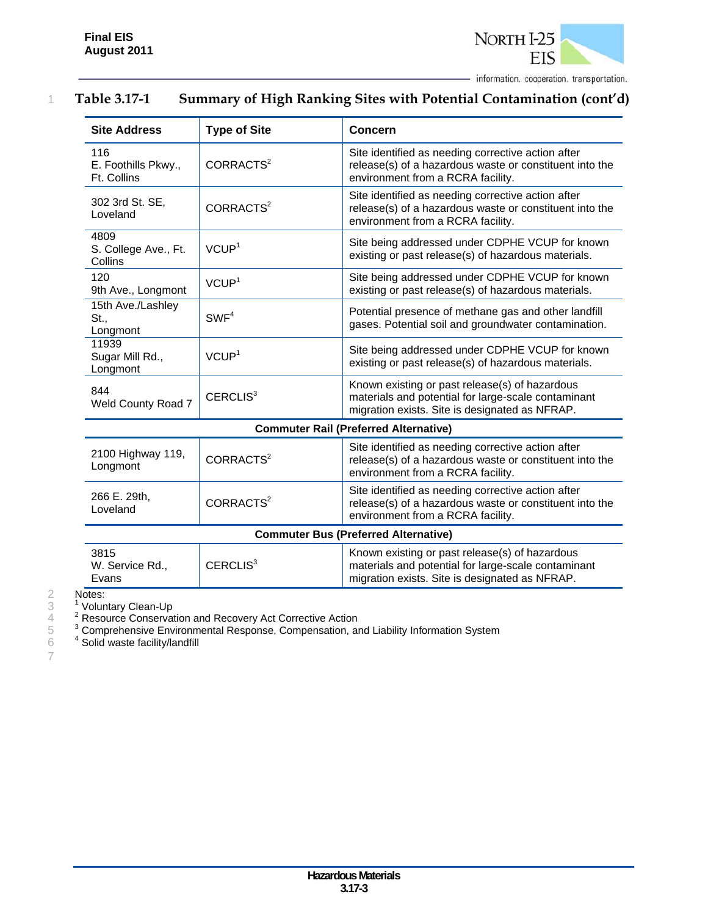

### 1 **Table 3.17-1 Summary of High Ranking Sites with Potential Contamination (cont'd)**

| <b>Site Address</b>                       | <b>Type of Site</b>   | <b>Concern</b>                                                                                                                                          |
|-------------------------------------------|-----------------------|---------------------------------------------------------------------------------------------------------------------------------------------------------|
| 116<br>E. Foothills Pkwy.,<br>Ft. Collins | CORRACTS <sup>2</sup> | Site identified as needing corrective action after<br>release(s) of a hazardous waste or constituent into the<br>environment from a RCRA facility.      |
| 302 3rd St. SE,<br>Loveland               | CORRACTS <sup>2</sup> | Site identified as needing corrective action after<br>release(s) of a hazardous waste or constituent into the<br>environment from a RCRA facility.      |
| 4809<br>S. College Ave., Ft.<br>Collins   | VCUP <sup>1</sup>     | Site being addressed under CDPHE VCUP for known<br>existing or past release(s) of hazardous materials.                                                  |
| 120<br>9th Ave., Longmont                 | VCUP <sup>1</sup>     | Site being addressed under CDPHE VCUP for known<br>existing or past release(s) of hazardous materials.                                                  |
| 15th Ave./Lashley<br>St.,<br>Longmont     | SWF <sup>4</sup>      | Potential presence of methane gas and other landfill<br>gases. Potential soil and groundwater contamination.                                            |
| 11939<br>Sugar Mill Rd.,<br>Longmont      | VCUP <sup>1</sup>     | Site being addressed under CDPHE VCUP for known<br>existing or past release(s) of hazardous materials.                                                  |
| 844<br>Weld County Road 7                 | CERCLIS <sup>3</sup>  | Known existing or past release(s) of hazardous<br>materials and potential for large-scale contaminant<br>migration exists. Site is designated as NFRAP. |
|                                           |                       | <b>Commuter Rail (Preferred Alternative)</b>                                                                                                            |
| 2100 Highway 119,<br>Longmont             | CORRACTS <sup>2</sup> | Site identified as needing corrective action after<br>release(s) of a hazardous waste or constituent into the<br>environment from a RCRA facility.      |
| 266 E. 29th,<br>Loveland                  | CORRACTS <sup>2</sup> | Site identified as needing corrective action after<br>release(s) of a hazardous waste or constituent into the<br>environment from a RCRA facility.      |

### **Commuter Bus (Preferred Alternative)**

| CERCLIS <sup>3</sup><br>materials and potential for large-scale contaminant<br>W. Service Rd<br>migration exists. Site is designated as NFRAP.<br>Evans | 3815 |  | Known existing or past release(s) of hazardous |
|---------------------------------------------------------------------------------------------------------------------------------------------------------|------|--|------------------------------------------------|
|---------------------------------------------------------------------------------------------------------------------------------------------------------|------|--|------------------------------------------------|

2 Notes:<br>3  $\frac{1}{2}$  Volun<br>4  $\frac{2}{3}$  Reso<br>5  $\frac{3}{2}$  Comp 3 <sup>1</sup> Voluntary Clean-Up

 $4<sup>2</sup>$  Resource Conservation and Recovery Act Corrective Action

 $3 \text{ }$  Comprehensive Environmental Response, Compensation, and Liability Information System

 $6<sup>4</sup>$  Solid waste facility/landfill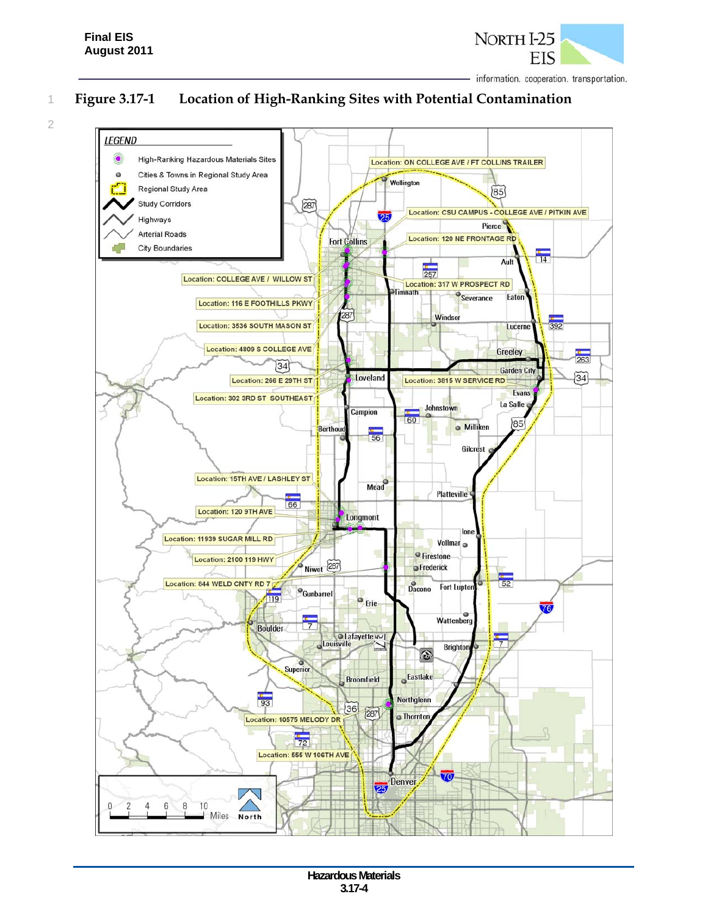

2

# 1 **Figure 3.17-1 Location of High-Ranking Sites with Potential Contamination**

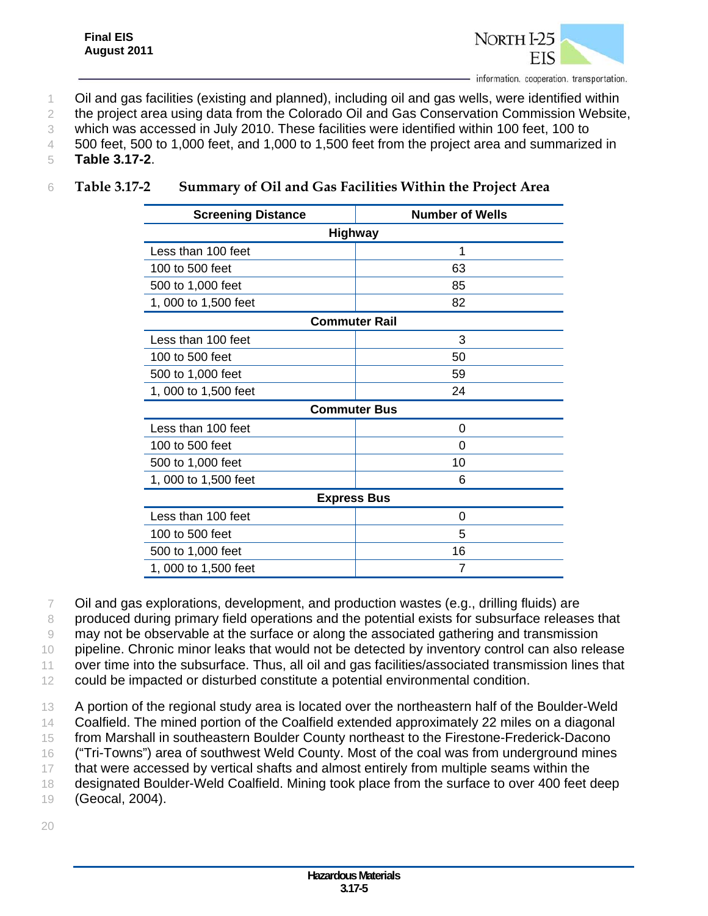

- 1 Oil and gas facilities (existing and planned), including oil and gas wells, were identified within
- 2 the project area using data from the Colorado Oil and Gas Conservation Commission Website,
- 3 which was accessed in July 2010. These facilities were identified within 100 feet, 100 to
- 4 500 feet, 500 to 1,000 feet, and 1,000 to 1,500 feet from the project area and summarized in
- 5 **Table 3.17-2**.

|  | Table 3.17-2 | Summary of Oil and Gas Facilities Within the Project Area |
|--|--------------|-----------------------------------------------------------|
|--|--------------|-----------------------------------------------------------|

| <b>Screening Distance</b> | <b>Number of Wells</b> |  |  |  |  |
|---------------------------|------------------------|--|--|--|--|
| <b>Highway</b>            |                        |  |  |  |  |
| Less than 100 feet        | 1                      |  |  |  |  |
| 100 to 500 feet           | 63                     |  |  |  |  |
| 500 to 1,000 feet         | 85                     |  |  |  |  |
| 1, 000 to 1,500 feet      | 82                     |  |  |  |  |
| <b>Commuter Rail</b>      |                        |  |  |  |  |
| Less than 100 feet        | 3                      |  |  |  |  |
| 100 to 500 feet           | 50                     |  |  |  |  |
| 500 to 1,000 feet         | 59                     |  |  |  |  |
| 1, 000 to 1,500 feet      | 24                     |  |  |  |  |
| <b>Commuter Bus</b>       |                        |  |  |  |  |
| Less than 100 feet        | 0                      |  |  |  |  |
| 100 to 500 feet           | 0                      |  |  |  |  |
| 500 to 1,000 feet         | 10                     |  |  |  |  |
| 1, 000 to 1,500 feet      | 6                      |  |  |  |  |
| <b>Express Bus</b>        |                        |  |  |  |  |
| Less than 100 feet        | 0                      |  |  |  |  |
| 100 to 500 feet           | 5                      |  |  |  |  |
| 500 to 1,000 feet         | 16                     |  |  |  |  |
| 1, 000 to 1,500 feet      | 7                      |  |  |  |  |

7 Oil and gas explorations, development, and production wastes (e.g., drilling fluids) are

8 produced during primary field operations and the potential exists for subsurface releases that

9 may not be observable at the surface or along the associated gathering and transmission

10 pipeline. Chronic minor leaks that would not be detected by inventory control can also release

11 over time into the subsurface. Thus, all oil and gas facilities/associated transmission lines that

12 could be impacted or disturbed constitute a potential environmental condition.

13 A portion of the regional study area is located over the northeastern half of the Boulder-Weld

14 Coalfield. The mined portion of the Coalfield extended approximately 22 miles on a diagonal

15 from Marshall in southeastern Boulder County northeast to the Firestone-Frederick-Dacono

16 ("Tri-Towns") area of southwest Weld County. Most of the coal was from underground mines

17 that were accessed by vertical shafts and almost entirely from multiple seams within the

18 designated Boulder-Weld Coalfield. Mining took place from the surface to over 400 feet deep

19 (Geocal, 2004).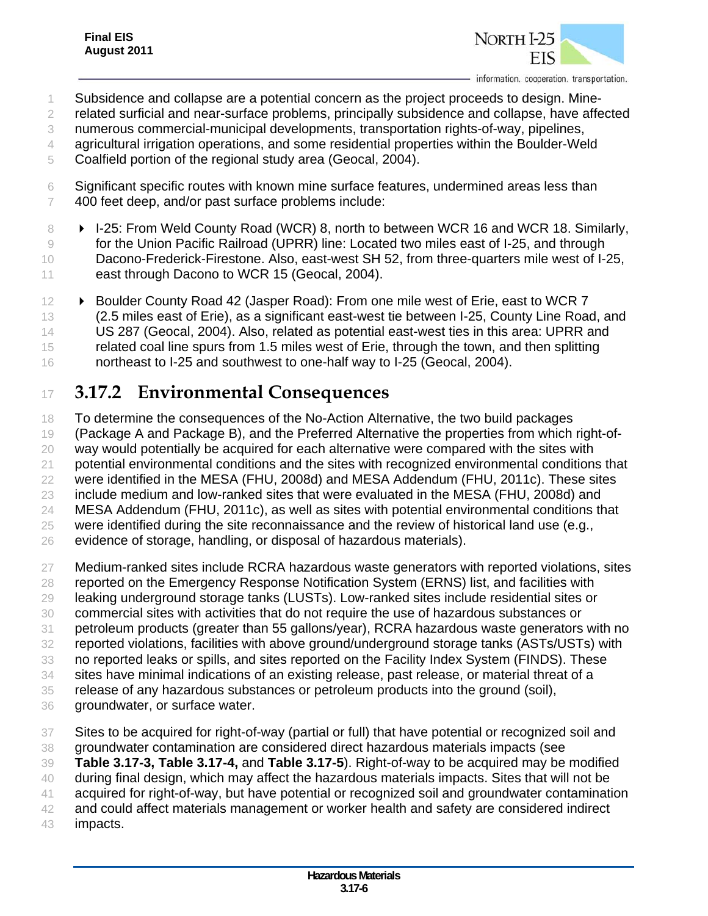

- Subsidence and collapse are a potential concern as the project proceeds to design. Mine-
- related surficial and near-surface problems, principally subsidence and collapse, have affected
- numerous commercial-municipal developments, transportation rights-of-way, pipelines,
- agricultural irrigation operations, and some residential properties within the Boulder-Weld
- Coalfield portion of the regional study area (Geocal, 2004).
- Significant specific routes with known mine surface features, undermined areas less than 400 feet deep, and/or past surface problems include:
- 8 **I-25: From Weld County Road (WCR) 8, north to between WCR 16 and WCR 18. Similarly,**  for the Union Pacific Railroad (UPRR) line: Located two miles east of I-25, and through 10 Dacono-Frederick-Firestone. Also, east-west SH 52, from three-quarters mile west of I-25, 11 east through Dacono to WCR 15 (Geocal, 2004).
- 12 ► Boulder County Road 42 (Jasper Road): From one mile west of Erie, east to WCR 7 (2.5 miles east of Erie), as a significant east-west tie between I-25, County Line Road, and US 287 (Geocal, 2004). Also, related as potential east-west ties in this area: UPRR and related coal line spurs from 1.5 miles west of Erie, through the town, and then splitting 16 northeast to I-25 and southwest to one-half way to I-25 (Geocal, 2004).

# **3.17.2 Environmental Consequences**

 To determine the consequences of the No-Action Alternative, the two build packages (Package A and Package B), and the Preferred Alternative the properties from which right-of- way would potentially be acquired for each alternative were compared with the sites with potential environmental conditions and the sites with recognized environmental conditions that were identified in the MESA (FHU, 2008d) and MESA Addendum (FHU, 2011c). These sites include medium and low-ranked sites that were evaluated in the MESA (FHU, 2008d) and MESA Addendum (FHU, 2011c), as well as sites with potential environmental conditions that were identified during the site reconnaissance and the review of historical land use (e.g., evidence of storage, handling, or disposal of hazardous materials).

- Medium-ranked sites include RCRA hazardous waste generators with reported violations, sites reported on the Emergency Response Notification System (ERNS) list, and facilities with leaking underground storage tanks (LUSTs). Low-ranked sites include residential sites or commercial sites with activities that do not require the use of hazardous substances or petroleum products (greater than 55 gallons/year), RCRA hazardous waste generators with no reported violations, facilities with above ground/underground storage tanks (ASTs/USTs) with no reported leaks or spills, and sites reported on the Facility Index System (FINDS). These sites have minimal indications of an existing release, past release, or material threat of a release of any hazardous substances or petroleum products into the ground (soil), groundwater, or surface water. Sites to be acquired for right-of-way (partial or full) that have potential or recognized soil and
- 
- groundwater contamination are considered direct hazardous materials impacts (see
- **Table 3.17-3, Table 3.17-4,** and **Table 3.17-5**). Right-of-way to be acquired may be modified
- during final design, which may affect the hazardous materials impacts. Sites that will not be
- acquired for right-of-way, but have potential or recognized soil and groundwater contamination
- and could affect materials management or worker health and safety are considered indirect
- impacts.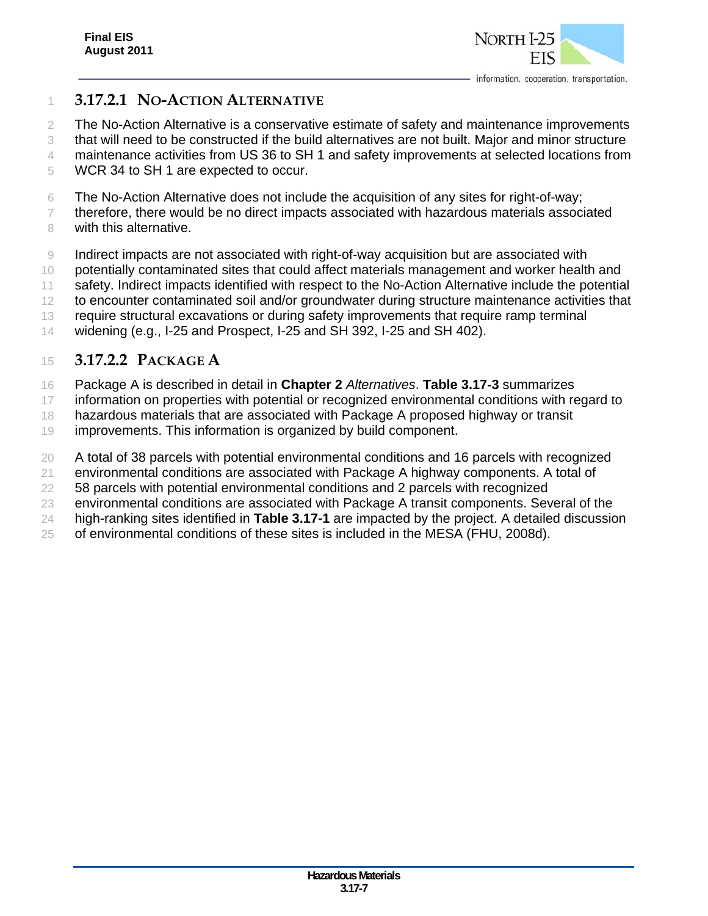

### **3.17.2.1 NO-ACTION ALTERNATIVE**

The No-Action Alternative is a conservative estimate of safety and maintenance improvements

that will need to be constructed if the build alternatives are not built. Major and minor structure

- maintenance activities from US 36 to SH 1 and safety improvements at selected locations from
- WCR 34 to SH 1 are expected to occur.
- The No-Action Alternative does not include the acquisition of any sites for right-of-way;
- therefore, there would be no direct impacts associated with hazardous materials associated 8 with this alternative.
- 9 Indirect impacts are not associated with right-of-way acquisition but are associated with
- potentially contaminated sites that could affect materials management and worker health and
- safety. Indirect impacts identified with respect to the No-Action Alternative include the potential
- 12 to encounter contaminated soil and/or groundwater during structure maintenance activities that
- require structural excavations or during safety improvements that require ramp terminal
- widening (e.g., I-25 and Prospect, I-25 and SH 392, I-25 and SH 402).

### **3.17.2.2 PACKAGE A**

- Package A is described in detail in **Chapter 2** *Alternatives*. **Table 3.17-3** summarizes
- 17 information on properties with potential or recognized environmental conditions with regard to
- hazardous materials that are associated with Package A proposed highway or transit
- improvements. This information is organized by build component.
- A total of 38 parcels with potential environmental conditions and 16 parcels with recognized
- environmental conditions are associated with Package A highway components. A total of
- 58 parcels with potential environmental conditions and 2 parcels with recognized
- environmental conditions are associated with Package A transit components. Several of the
- high-ranking sites identified in **Table 3.17-1** are impacted by the project. A detailed discussion
- of environmental conditions of these sites is included in the MESA (FHU, 2008d).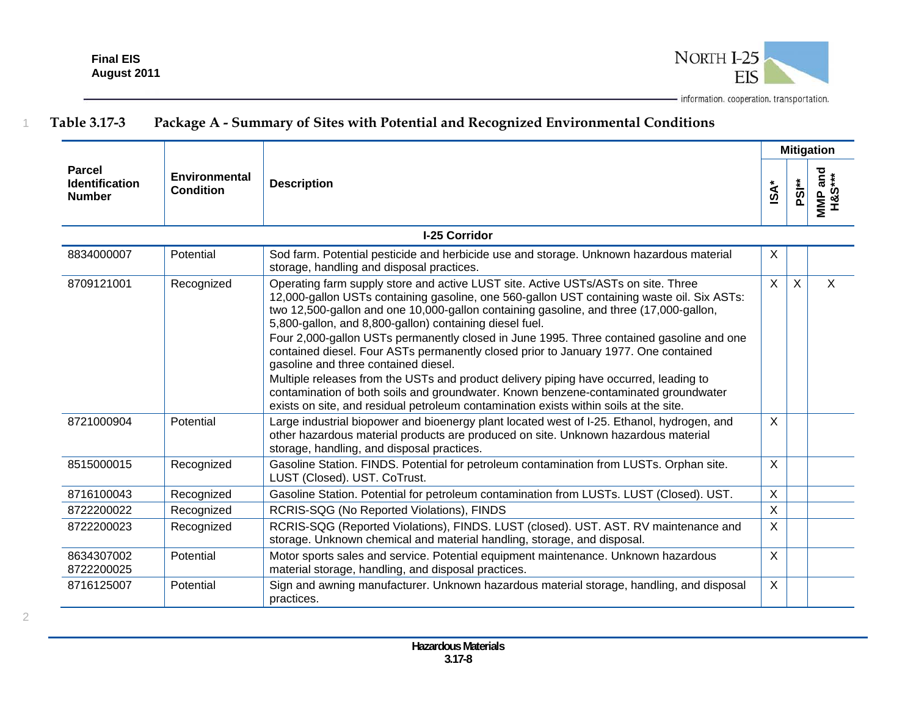

|                                                         |                                          |                                                                                                                                                                                                                                                                                                                                                                                                                                                                                                                                                                                                                                                                                                                                                                                                                                          | <b>Mitigation</b> |                   |                   |
|---------------------------------------------------------|------------------------------------------|------------------------------------------------------------------------------------------------------------------------------------------------------------------------------------------------------------------------------------------------------------------------------------------------------------------------------------------------------------------------------------------------------------------------------------------------------------------------------------------------------------------------------------------------------------------------------------------------------------------------------------------------------------------------------------------------------------------------------------------------------------------------------------------------------------------------------------------|-------------------|-------------------|-------------------|
| <b>Parcel</b><br><b>Identification</b><br><b>Number</b> | <b>Environmental</b><br><b>Condition</b> | <b>Description</b>                                                                                                                                                                                                                                                                                                                                                                                                                                                                                                                                                                                                                                                                                                                                                                                                                       | $\mathsf{ISA}^*$  | PSI <sup>**</sup> | MMP and<br>H&S*** |
| I-25 Corridor                                           |                                          |                                                                                                                                                                                                                                                                                                                                                                                                                                                                                                                                                                                                                                                                                                                                                                                                                                          |                   |                   |                   |
| 8834000007                                              | Potential                                | Sod farm. Potential pesticide and herbicide use and storage. Unknown hazardous material<br>storage, handling and disposal practices.                                                                                                                                                                                                                                                                                                                                                                                                                                                                                                                                                                                                                                                                                                     | X                 |                   |                   |
| 8709121001                                              | Recognized                               | Operating farm supply store and active LUST site. Active USTs/ASTs on site. Three<br>12,000-gallon USTs containing gasoline, one 560-gallon UST containing waste oil. Six ASTs:<br>two 12,500-gallon and one 10,000-gallon containing gasoline, and three (17,000-gallon,<br>5,800-gallon, and 8,800-gallon) containing diesel fuel.<br>Four 2,000-gallon USTs permanently closed in June 1995. Three contained gasoline and one<br>contained diesel. Four ASTs permanently closed prior to January 1977. One contained<br>gasoline and three contained diesel.<br>Multiple releases from the USTs and product delivery piping have occurred, leading to<br>contamination of both soils and groundwater. Known benzene-contaminated groundwater<br>exists on site, and residual petroleum contamination exists within soils at the site. | $\sf X$           | $\times$          | $\sf X$           |
| 8721000904                                              | Potential                                | Large industrial biopower and bioenergy plant located west of I-25. Ethanol, hydrogen, and<br>other hazardous material products are produced on site. Unknown hazardous material<br>storage, handling, and disposal practices.                                                                                                                                                                                                                                                                                                                                                                                                                                                                                                                                                                                                           | $\sf X$           |                   |                   |
| 8515000015                                              | Recognized                               | Gasoline Station. FINDS. Potential for petroleum contamination from LUSTs. Orphan site.<br>LUST (Closed). UST. CoTrust.                                                                                                                                                                                                                                                                                                                                                                                                                                                                                                                                                                                                                                                                                                                  | $\mathsf{X}$      |                   |                   |
| 8716100043                                              | Recognized                               | Gasoline Station. Potential for petroleum contamination from LUSTs. LUST (Closed). UST.                                                                                                                                                                                                                                                                                                                                                                                                                                                                                                                                                                                                                                                                                                                                                  | X                 |                   |                   |
| 8722200022                                              | Recognized                               | RCRIS-SQG (No Reported Violations), FINDS                                                                                                                                                                                                                                                                                                                                                                                                                                                                                                                                                                                                                                                                                                                                                                                                | $\mathsf{X}$      |                   |                   |
| 8722200023                                              | Recognized                               | RCRIS-SQG (Reported Violations), FINDS. LUST (closed). UST. AST. RV maintenance and<br>storage. Unknown chemical and material handling, storage, and disposal.                                                                                                                                                                                                                                                                                                                                                                                                                                                                                                                                                                                                                                                                           | $\mathsf{X}$      |                   |                   |
| 8634307002<br>8722200025                                | Potential                                | Motor sports sales and service. Potential equipment maintenance. Unknown hazardous<br>material storage, handling, and disposal practices.                                                                                                                                                                                                                                                                                                                                                                                                                                                                                                                                                                                                                                                                                                | X                 |                   |                   |
| 8716125007                                              | Potential                                | Sign and awning manufacturer. Unknown hazardous material storage, handling, and disposal<br>practices.                                                                                                                                                                                                                                                                                                                                                                                                                                                                                                                                                                                                                                                                                                                                   | $\mathsf{X}$      |                   |                   |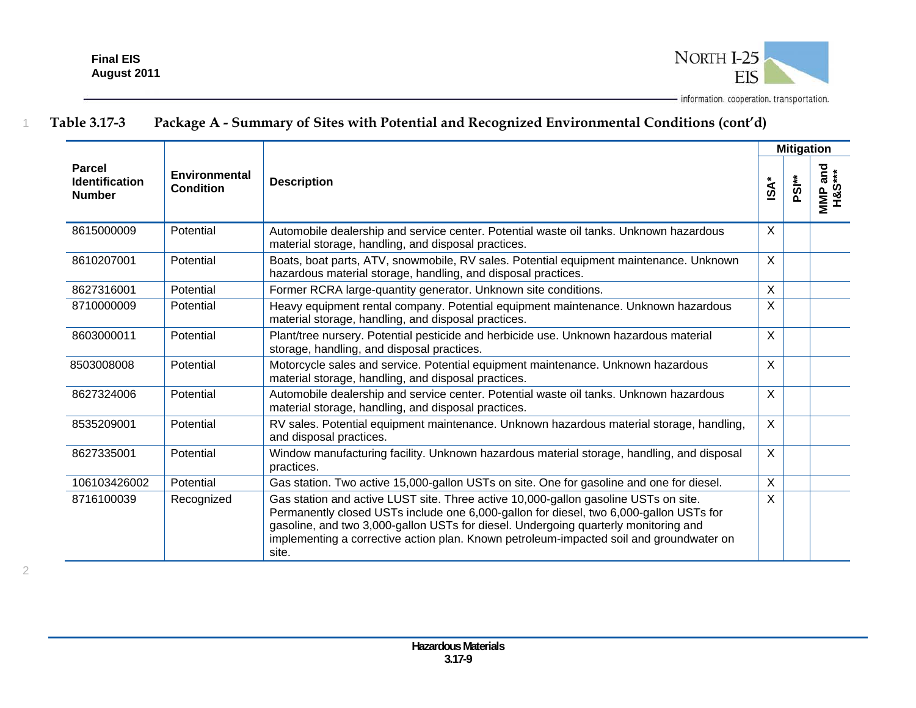

|                                                         |                                          |                                                                                                                                                                                                                                                                                                                                                                          |                           | <b>Mitigation</b> |                                      |
|---------------------------------------------------------|------------------------------------------|--------------------------------------------------------------------------------------------------------------------------------------------------------------------------------------------------------------------------------------------------------------------------------------------------------------------------------------------------------------------------|---------------------------|-------------------|--------------------------------------|
| <b>Parcel</b><br><b>Identification</b><br><b>Number</b> | <b>Environmental</b><br><b>Condition</b> | <b>Description</b>                                                                                                                                                                                                                                                                                                                                                       | $\mathbf{\hat{A}}^*$      | PSI <sup>*</sup>  | …r and<br>H&S***<br>MMP <sub>3</sub> |
| 8615000009                                              | Potential                                | Automobile dealership and service center. Potential waste oil tanks. Unknown hazardous<br>material storage, handling, and disposal practices.                                                                                                                                                                                                                            | $\boldsymbol{\mathsf{X}}$ |                   |                                      |
| 8610207001                                              | Potential                                | Boats, boat parts, ATV, snowmobile, RV sales. Potential equipment maintenance. Unknown<br>hazardous material storage, handling, and disposal practices.                                                                                                                                                                                                                  | $\sf X$                   |                   |                                      |
| 8627316001                                              | Potential                                | Former RCRA large-quantity generator. Unknown site conditions.                                                                                                                                                                                                                                                                                                           | $\sf X$                   |                   |                                      |
| 8710000009                                              | Potential                                | Heavy equipment rental company. Potential equipment maintenance. Unknown hazardous<br>material storage, handling, and disposal practices.                                                                                                                                                                                                                                | $\sf X$                   |                   |                                      |
| 8603000011                                              | Potential                                | Plant/tree nursery. Potential pesticide and herbicide use. Unknown hazardous material<br>storage, handling, and disposal practices.                                                                                                                                                                                                                                      | $\sf X$                   |                   |                                      |
| 8503008008                                              | Potential                                | Motorcycle sales and service. Potential equipment maintenance. Unknown hazardous<br>material storage, handling, and disposal practices.                                                                                                                                                                                                                                  | $\sf X$                   |                   |                                      |
| 8627324006                                              | Potential                                | Automobile dealership and service center. Potential waste oil tanks. Unknown hazardous<br>material storage, handling, and disposal practices.                                                                                                                                                                                                                            | $\sf X$                   |                   |                                      |
| 8535209001                                              | Potential                                | RV sales. Potential equipment maintenance. Unknown hazardous material storage, handling,<br>and disposal practices.                                                                                                                                                                                                                                                      | $\boldsymbol{\mathsf{X}}$ |                   |                                      |
| 8627335001                                              | Potential                                | Window manufacturing facility. Unknown hazardous material storage, handling, and disposal<br>practices.                                                                                                                                                                                                                                                                  | $\boldsymbol{\mathsf{X}}$ |                   |                                      |
| 106103426002                                            | Potential                                | Gas station. Two active 15,000-gallon USTs on site. One for gasoline and one for diesel.                                                                                                                                                                                                                                                                                 | $\sf X$                   |                   |                                      |
| 8716100039                                              | Recognized                               | Gas station and active LUST site. Three active 10,000-gallon gasoline USTs on site.<br>Permanently closed USTs include one 6,000-gallon for diesel, two 6,000-gallon USTs for<br>gasoline, and two 3,000-gallon USTs for diesel. Undergoing quarterly monitoring and<br>implementing a corrective action plan. Known petroleum-impacted soil and groundwater on<br>site. | X                         |                   |                                      |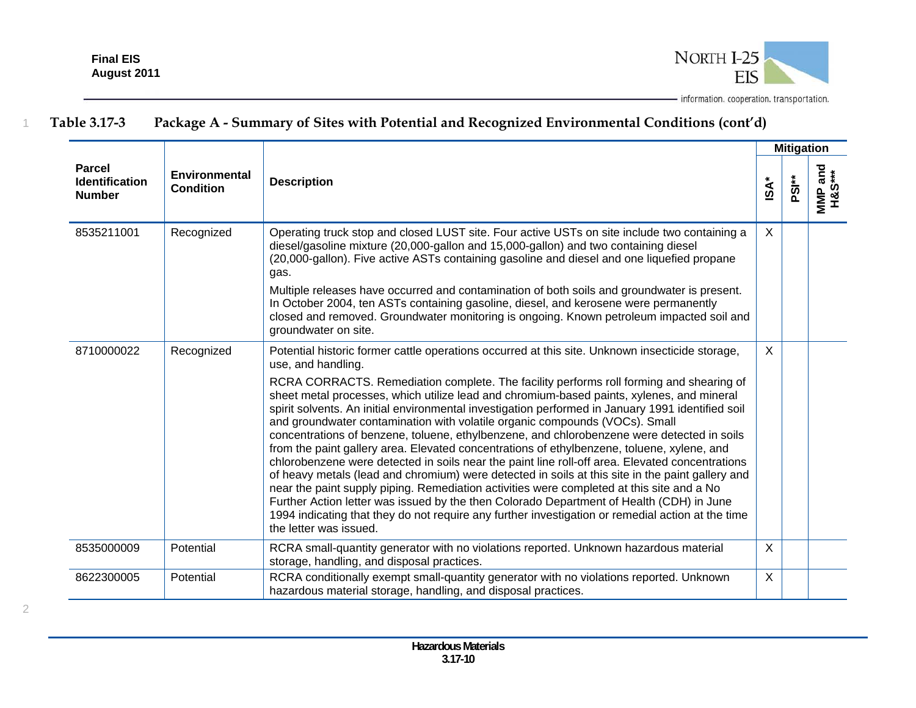

|                                                  |                                   |                                                                                                                                                                                                                                                                                                                                                                                                                                                                                                                                                                                                                                                                                                                                                                                                                                                                                                                                                                                                                                                                                                                                                                                                                              | <b>Mitigation</b> |                   |                   |
|--------------------------------------------------|-----------------------------------|------------------------------------------------------------------------------------------------------------------------------------------------------------------------------------------------------------------------------------------------------------------------------------------------------------------------------------------------------------------------------------------------------------------------------------------------------------------------------------------------------------------------------------------------------------------------------------------------------------------------------------------------------------------------------------------------------------------------------------------------------------------------------------------------------------------------------------------------------------------------------------------------------------------------------------------------------------------------------------------------------------------------------------------------------------------------------------------------------------------------------------------------------------------------------------------------------------------------------|-------------------|-------------------|-------------------|
| <b>Parcel</b><br>Identification<br><b>Number</b> | Environmental<br><b>Condition</b> | <b>Description</b>                                                                                                                                                                                                                                                                                                                                                                                                                                                                                                                                                                                                                                                                                                                                                                                                                                                                                                                                                                                                                                                                                                                                                                                                           | $ISA^*$           | PSI <sup>**</sup> | MMP and<br>H&S*** |
| 8535211001                                       | Recognized                        | Operating truck stop and closed LUST site. Four active USTs on site include two containing a<br>diesel/gasoline mixture (20,000-gallon and 15,000-gallon) and two containing diesel<br>(20,000-gallon). Five active ASTs containing gasoline and diesel and one liquefied propane<br>gas.<br>Multiple releases have occurred and contamination of both soils and groundwater is present.<br>In October 2004, ten ASTs containing gasoline, diesel, and kerosene were permanently<br>closed and removed. Groundwater monitoring is ongoing. Known petroleum impacted soil and<br>groundwater on site.                                                                                                                                                                                                                                                                                                                                                                                                                                                                                                                                                                                                                         | $\mathsf{X}$      |                   |                   |
| 8710000022                                       | Recognized                        | Potential historic former cattle operations occurred at this site. Unknown insecticide storage,<br>use, and handling.<br>RCRA CORRACTS. Remediation complete. The facility performs roll forming and shearing of<br>sheet metal processes, which utilize lead and chromium-based paints, xylenes, and mineral<br>spirit solvents. An initial environmental investigation performed in January 1991 identified soil<br>and groundwater contamination with volatile organic compounds (VOCs). Small<br>concentrations of benzene, toluene, ethylbenzene, and chlorobenzene were detected in soils<br>from the paint gallery area. Elevated concentrations of ethylbenzene, toluene, xylene, and<br>chlorobenzene were detected in soils near the paint line roll-off area. Elevated concentrations<br>of heavy metals (lead and chromium) were detected in soils at this site in the paint gallery and<br>near the paint supply piping. Remediation activities were completed at this site and a No<br>Further Action letter was issued by the then Colorado Department of Health (CDH) in June<br>1994 indicating that they do not require any further investigation or remedial action at the time<br>the letter was issued. | X                 |                   |                   |
| 8535000009                                       | Potential                         | RCRA small-quantity generator with no violations reported. Unknown hazardous material<br>storage, handling, and disposal practices.                                                                                                                                                                                                                                                                                                                                                                                                                                                                                                                                                                                                                                                                                                                                                                                                                                                                                                                                                                                                                                                                                          | $\mathsf{X}$      |                   |                   |
| 8622300005                                       | Potential                         | RCRA conditionally exempt small-quantity generator with no violations reported. Unknown<br>hazardous material storage, handling, and disposal practices.                                                                                                                                                                                                                                                                                                                                                                                                                                                                                                                                                                                                                                                                                                                                                                                                                                                                                                                                                                                                                                                                     | $\mathsf{X}$      |                   |                   |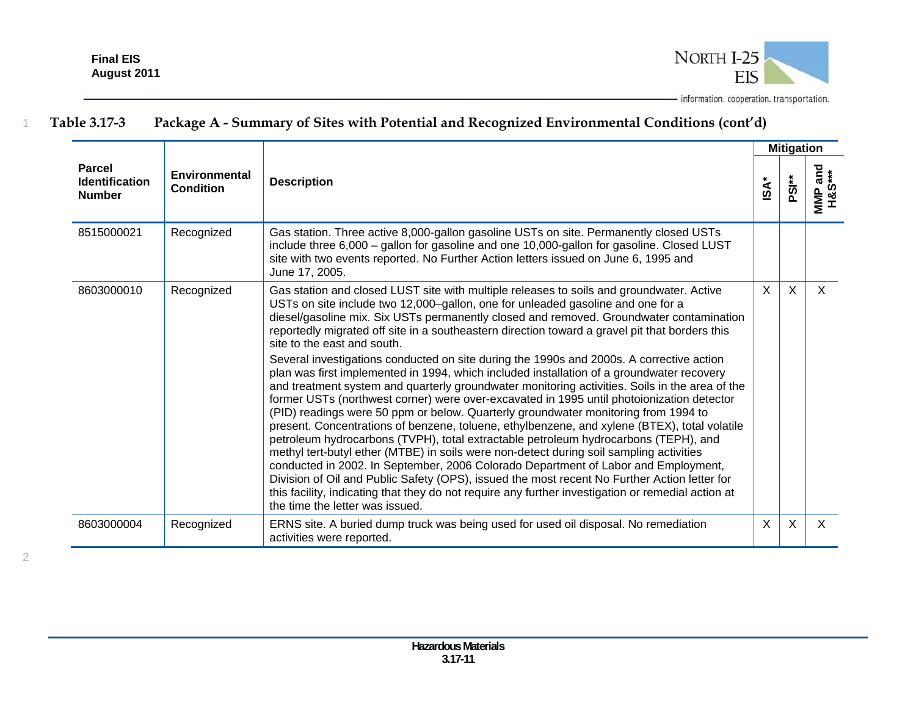

|                                                         |                                          |                                                                                                                                                                                                                                                                                                                                                                                                                                                                                                                                                                                                                                                                                                                                                                                                                                                                                                                                                                                                                                                                                                                                                                                                                                                                                                                                                                                                                                                                                                        |             | <b>Mitigation</b>         |                                        |
|---------------------------------------------------------|------------------------------------------|--------------------------------------------------------------------------------------------------------------------------------------------------------------------------------------------------------------------------------------------------------------------------------------------------------------------------------------------------------------------------------------------------------------------------------------------------------------------------------------------------------------------------------------------------------------------------------------------------------------------------------------------------------------------------------------------------------------------------------------------------------------------------------------------------------------------------------------------------------------------------------------------------------------------------------------------------------------------------------------------------------------------------------------------------------------------------------------------------------------------------------------------------------------------------------------------------------------------------------------------------------------------------------------------------------------------------------------------------------------------------------------------------------------------------------------------------------------------------------------------------------|-------------|---------------------------|----------------------------------------|
| <b>Parcel</b><br><b>Identification</b><br><b>Number</b> | <b>Environmental</b><br><b>Condition</b> | <b>Description</b>                                                                                                                                                                                                                                                                                                                                                                                                                                                                                                                                                                                                                                                                                                                                                                                                                                                                                                                                                                                                                                                                                                                                                                                                                                                                                                                                                                                                                                                                                     | <b>ISA*</b> | PSI <sup>**</sup>         | and<br>***<br>MMP <sup>2</sup><br>H&S' |
| 8515000021                                              | Recognized                               | Gas station. Three active 8,000-gallon gasoline USTs on site. Permanently closed USTs<br>include three 6,000 - gallon for gasoline and one 10,000-gallon for gasoline. Closed LUST<br>site with two events reported. No Further Action letters issued on June 6, 1995 and<br>June 17, 2005.                                                                                                                                                                                                                                                                                                                                                                                                                                                                                                                                                                                                                                                                                                                                                                                                                                                                                                                                                                                                                                                                                                                                                                                                            |             |                           |                                        |
| 8603000010                                              | Recognized                               | Gas station and closed LUST site with multiple releases to soils and groundwater. Active<br>USTs on site include two 12,000-gallon, one for unleaded gasoline and one for a<br>diesel/gasoline mix. Six USTs permanently closed and removed. Groundwater contamination<br>reportedly migrated off site in a southeastern direction toward a gravel pit that borders this<br>site to the east and south.<br>Several investigations conducted on site during the 1990s and 2000s. A corrective action<br>plan was first implemented in 1994, which included installation of a groundwater recovery<br>and treatment system and quarterly groundwater monitoring activities. Soils in the area of the<br>former USTs (northwest corner) were over-excavated in 1995 until photoionization detector<br>(PID) readings were 50 ppm or below. Quarterly groundwater monitoring from 1994 to<br>present. Concentrations of benzene, toluene, ethylbenzene, and xylene (BTEX), total volatile<br>petroleum hydrocarbons (TVPH), total extractable petroleum hydrocarbons (TEPH), and<br>methyl tert-butyl ether (MTBE) in soils were non-detect during soil sampling activities<br>conducted in 2002. In September, 2006 Colorado Department of Labor and Employment,<br>Division of Oil and Public Safety (OPS), issued the most recent No Further Action letter for<br>this facility, indicating that they do not require any further investigation or remedial action at<br>the time the letter was issued. | X           | $\mathsf{X}$              | $\times$                               |
| 8603000004                                              | Recognized                               | ERNS site. A buried dump truck was being used for used oil disposal. No remediation<br>activities were reported.                                                                                                                                                                                                                                                                                                                                                                                                                                                                                                                                                                                                                                                                                                                                                                                                                                                                                                                                                                                                                                                                                                                                                                                                                                                                                                                                                                                       | $\times$    | $\boldsymbol{\mathsf{X}}$ | $\mathsf{X}$                           |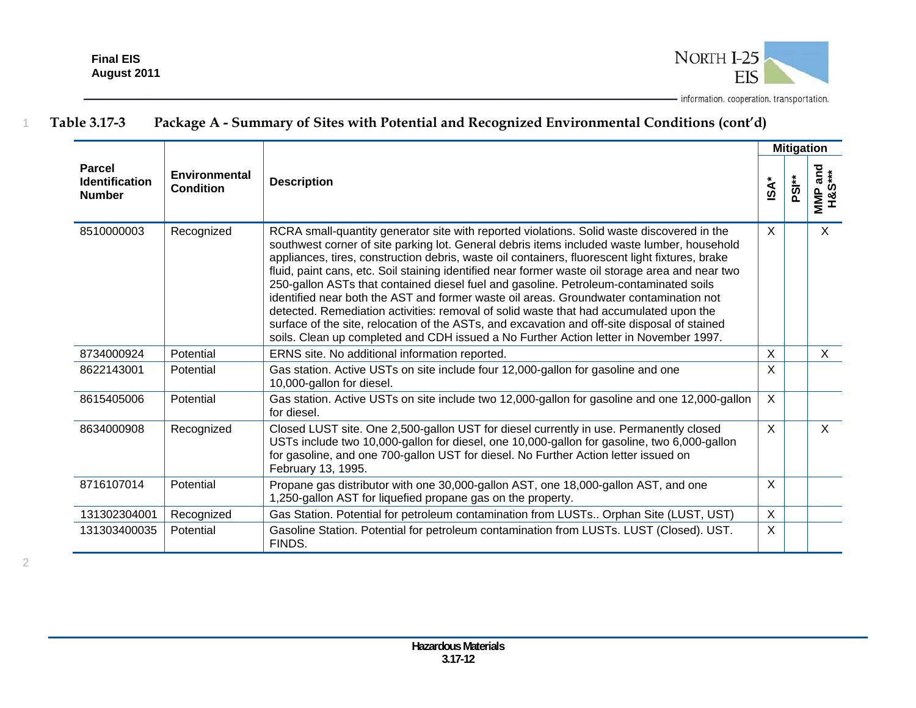

|                                                         |                                   |                                                                                                                                                                                                                                                                                                                                                                                                                                                                                                                                                                                                                                                                                                                                                                                                                                                                        |                  | <b>Mitigation</b> |                   |
|---------------------------------------------------------|-----------------------------------|------------------------------------------------------------------------------------------------------------------------------------------------------------------------------------------------------------------------------------------------------------------------------------------------------------------------------------------------------------------------------------------------------------------------------------------------------------------------------------------------------------------------------------------------------------------------------------------------------------------------------------------------------------------------------------------------------------------------------------------------------------------------------------------------------------------------------------------------------------------------|------------------|-------------------|-------------------|
| <b>Parcel</b><br><b>Identification</b><br><b>Number</b> | Environmental<br><b>Condition</b> | <b>Description</b>                                                                                                                                                                                                                                                                                                                                                                                                                                                                                                                                                                                                                                                                                                                                                                                                                                                     | $\mathsf{ISA}^*$ | PSI <sup>**</sup> | MMP and<br>H&S*** |
| 8510000003                                              | Recognized                        | RCRA small-quantity generator site with reported violations. Solid waste discovered in the<br>southwest corner of site parking lot. General debris items included waste lumber, household<br>appliances, tires, construction debris, waste oil containers, fluorescent light fixtures, brake<br>fluid, paint cans, etc. Soil staining identified near former waste oil storage area and near two<br>250-gallon ASTs that contained diesel fuel and gasoline. Petroleum-contaminated soils<br>identified near both the AST and former waste oil areas. Groundwater contamination not<br>detected. Remediation activities: removal of solid waste that had accumulated upon the<br>surface of the site, relocation of the ASTs, and excavation and off-site disposal of stained<br>soils. Clean up completed and CDH issued a No Further Action letter in November 1997. | X                |                   | $\mathsf{X}$      |
| 8734000924                                              | Potential                         | ERNS site. No additional information reported.                                                                                                                                                                                                                                                                                                                                                                                                                                                                                                                                                                                                                                                                                                                                                                                                                         | $\sf X$          |                   | $\times$          |
| 8622143001                                              | Potential                         | Gas station. Active USTs on site include four 12,000-gallon for gasoline and one<br>10,000-gallon for diesel.                                                                                                                                                                                                                                                                                                                                                                                                                                                                                                                                                                                                                                                                                                                                                          | X                |                   |                   |
| 8615405006                                              | Potential                         | Gas station. Active USTs on site include two 12,000-gallon for gasoline and one 12,000-gallon<br>for diesel.                                                                                                                                                                                                                                                                                                                                                                                                                                                                                                                                                                                                                                                                                                                                                           | $\mathsf{X}$     |                   |                   |
| 8634000908                                              | Recognized                        | Closed LUST site. One 2,500-gallon UST for diesel currently in use. Permanently closed<br>USTs include two 10,000-gallon for diesel, one 10,000-gallon for gasoline, two 6,000-gallon<br>for gasoline, and one 700-gallon UST for diesel. No Further Action letter issued on<br>February 13, 1995.                                                                                                                                                                                                                                                                                                                                                                                                                                                                                                                                                                     | $\mathsf{X}$     |                   | $\mathsf{X}$      |
| 8716107014                                              | Potential                         | Propane gas distributor with one 30,000-gallon AST, one 18,000-gallon AST, and one<br>1,250-gallon AST for liquefied propane gas on the property.                                                                                                                                                                                                                                                                                                                                                                                                                                                                                                                                                                                                                                                                                                                      | X                |                   |                   |
| 131302304001                                            | Recognized                        | Gas Station. Potential for petroleum contamination from LUSTs Orphan Site (LUST, UST)                                                                                                                                                                                                                                                                                                                                                                                                                                                                                                                                                                                                                                                                                                                                                                                  | $\mathsf{X}$     |                   |                   |
| 131303400035                                            | Potential                         | Gasoline Station. Potential for petroleum contamination from LUSTs. LUST (Closed). UST.<br>FINDS.                                                                                                                                                                                                                                                                                                                                                                                                                                                                                                                                                                                                                                                                                                                                                                      | X                |                   |                   |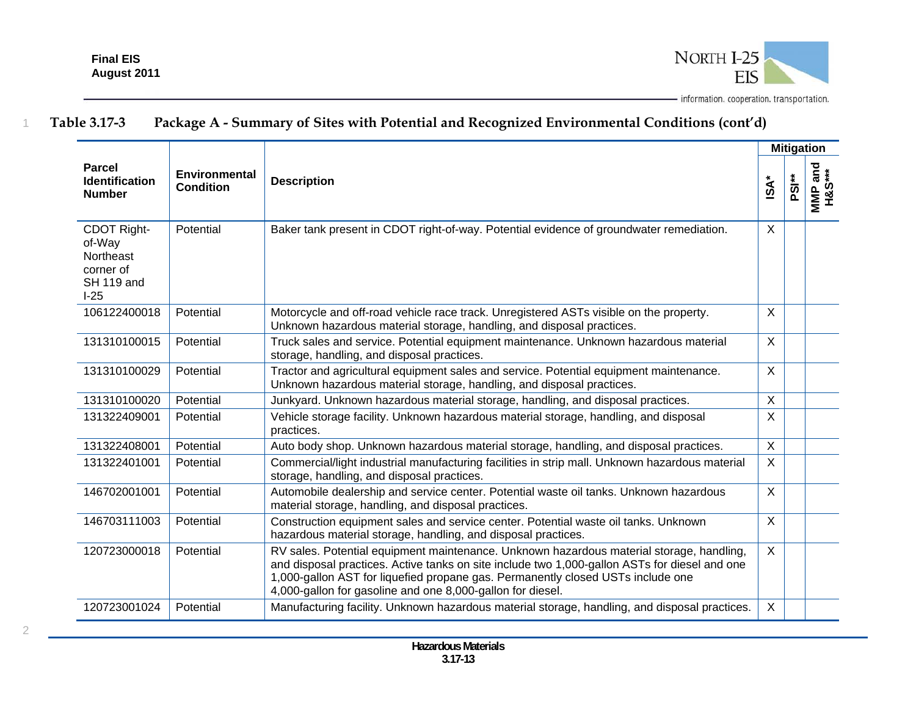

|                                                                         |                                   |                                                                                                                                                                                                                                                                                                                                            |                  |                   | <b>Mitigation</b>          |
|-------------------------------------------------------------------------|-----------------------------------|--------------------------------------------------------------------------------------------------------------------------------------------------------------------------------------------------------------------------------------------------------------------------------------------------------------------------------------------|------------------|-------------------|----------------------------|
| <b>Parcel</b><br><b>Identification</b><br><b>Number</b>                 | Environmental<br><b>Condition</b> | <b>Description</b>                                                                                                                                                                                                                                                                                                                         | $\mathsf{ISA}^*$ | PSI <sup>**</sup> | uiviP and<br>H&S***<br>MMP |
| CDOT Right-<br>of-Way<br>Northeast<br>corner of<br>SH 119 and<br>$1-25$ | Potential                         | Baker tank present in CDOT right-of-way. Potential evidence of groundwater remediation.                                                                                                                                                                                                                                                    | X                |                   |                            |
| 106122400018                                                            | Potential                         | Motorcycle and off-road vehicle race track. Unregistered ASTs visible on the property.<br>Unknown hazardous material storage, handling, and disposal practices.                                                                                                                                                                            | X                |                   |                            |
| 131310100015                                                            | Potential                         | Truck sales and service. Potential equipment maintenance. Unknown hazardous material<br>storage, handling, and disposal practices.                                                                                                                                                                                                         | X                |                   |                            |
| 131310100029                                                            | Potential                         | Tractor and agricultural equipment sales and service. Potential equipment maintenance.<br>Unknown hazardous material storage, handling, and disposal practices.                                                                                                                                                                            | X                |                   |                            |
| 131310100020                                                            | Potential                         | Junkyard. Unknown hazardous material storage, handling, and disposal practices.                                                                                                                                                                                                                                                            | $\mathsf{X}$     |                   |                            |
| 131322409001                                                            | Potential                         | Vehicle storage facility. Unknown hazardous material storage, handling, and disposal<br>practices.                                                                                                                                                                                                                                         | X                |                   |                            |
| 131322408001                                                            | Potential                         | Auto body shop. Unknown hazardous material storage, handling, and disposal practices.                                                                                                                                                                                                                                                      | X                |                   |                            |
| 131322401001                                                            | Potential                         | Commercial/light industrial manufacturing facilities in strip mall. Unknown hazardous material<br>storage, handling, and disposal practices.                                                                                                                                                                                               | X                |                   |                            |
| 146702001001                                                            | Potential                         | Automobile dealership and service center. Potential waste oil tanks. Unknown hazardous<br>material storage, handling, and disposal practices.                                                                                                                                                                                              | $\mathsf{X}$     |                   |                            |
| 146703111003                                                            | Potential                         | Construction equipment sales and service center. Potential waste oil tanks. Unknown<br>hazardous material storage, handling, and disposal practices.                                                                                                                                                                                       | X                |                   |                            |
| 120723000018                                                            | Potential                         | RV sales. Potential equipment maintenance. Unknown hazardous material storage, handling,<br>and disposal practices. Active tanks on site include two 1,000-gallon ASTs for diesel and one<br>1,000-gallon AST for liquefied propane gas. Permanently closed USTs include one<br>4,000-gallon for gasoline and one 8,000-gallon for diesel. | X                |                   |                            |
| 120723001024                                                            | Potential                         | Manufacturing facility. Unknown hazardous material storage, handling, and disposal practices.                                                                                                                                                                                                                                              | X                |                   |                            |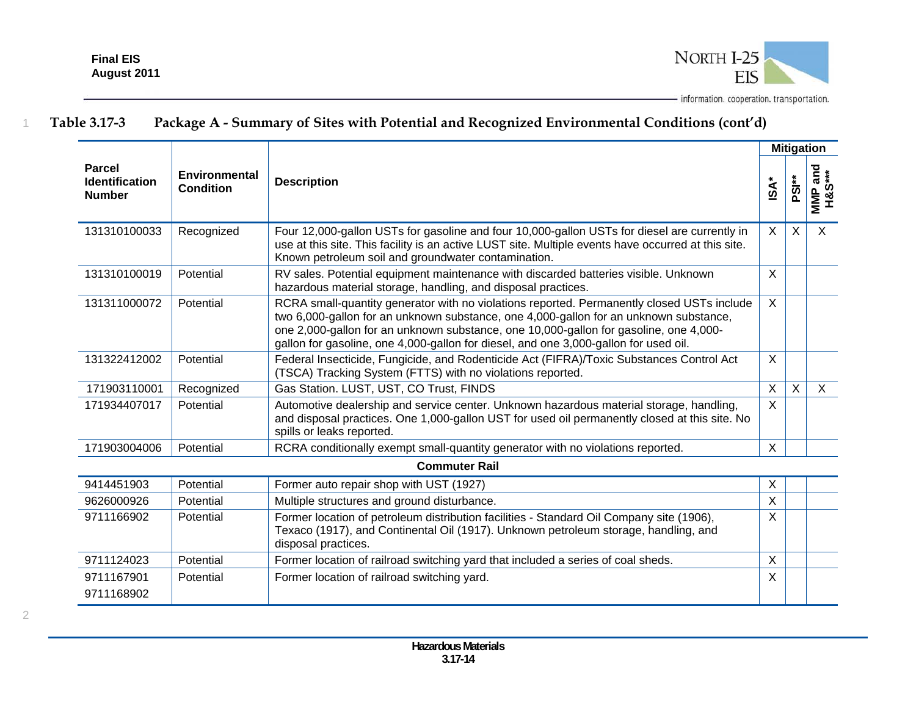

|                                                         |                                   |                                                                                                                                                                                                                                                                                                                                                                      |             |                   | <b>Mitigation</b>         |
|---------------------------------------------------------|-----------------------------------|----------------------------------------------------------------------------------------------------------------------------------------------------------------------------------------------------------------------------------------------------------------------------------------------------------------------------------------------------------------------|-------------|-------------------|---------------------------|
| <b>Parcel</b><br><b>Identification</b><br><b>Number</b> | <b>Environmental</b><br>Condition | <b>Description</b>                                                                                                                                                                                                                                                                                                                                                   | <b>ISA*</b> | PSI <sup>**</sup> | wiMP and<br>H&S***<br>MMP |
| 131310100033                                            | Recognized                        | Four 12,000-gallon USTs for gasoline and four 10,000-gallon USTs for diesel are currently in<br>use at this site. This facility is an active LUST site. Multiple events have occurred at this site.<br>Known petroleum soil and groundwater contamination.                                                                                                           | X           | X                 | $\sf X$                   |
| 131310100019                                            | Potential                         | RV sales. Potential equipment maintenance with discarded batteries visible. Unknown<br>hazardous material storage, handling, and disposal practices.                                                                                                                                                                                                                 | $\sf X$     |                   |                           |
| 131311000072                                            | Potential                         | RCRA small-quantity generator with no violations reported. Permanently closed USTs include<br>two 6,000-gallon for an unknown substance, one 4,000-gallon for an unknown substance,<br>one 2,000-gallon for an unknown substance, one 10,000-gallon for gasoline, one 4,000-<br>gallon for gasoline, one 4,000-gallon for diesel, and one 3,000-gallon for used oil. | $\sf X$     |                   |                           |
| 131322412002                                            | Potential                         | Federal Insecticide, Fungicide, and Rodenticide Act (FIFRA)/Toxic Substances Control Act<br>(TSCA) Tracking System (FTTS) with no violations reported.                                                                                                                                                                                                               | $\sf X$     |                   |                           |
| 171903110001                                            | Recognized                        | Gas Station. LUST, UST, CO Trust, FINDS                                                                                                                                                                                                                                                                                                                              | $\sf X$     | $\sf X$           | $\mathsf{X}$              |
| 171934407017                                            | Potential                         | Automotive dealership and service center. Unknown hazardous material storage, handling,<br>and disposal practices. One 1,000-gallon UST for used oil permanently closed at this site. No<br>spills or leaks reported.                                                                                                                                                | $\sf X$     |                   |                           |
| 171903004006                                            | Potential                         | RCRA conditionally exempt small-quantity generator with no violations reported.                                                                                                                                                                                                                                                                                      | X           |                   |                           |
|                                                         |                                   | <b>Commuter Rail</b>                                                                                                                                                                                                                                                                                                                                                 |             |                   |                           |
| 9414451903                                              | Potential                         | Former auto repair shop with UST (1927)                                                                                                                                                                                                                                                                                                                              | X           |                   |                           |
| 9626000926                                              | Potential                         | Multiple structures and ground disturbance.                                                                                                                                                                                                                                                                                                                          | X           |                   |                           |
| 9711166902                                              | Potential                         | Former location of petroleum distribution facilities - Standard Oil Company site (1906),<br>Texaco (1917), and Continental Oil (1917). Unknown petroleum storage, handling, and<br>disposal practices.                                                                                                                                                               | X           |                   |                           |
| 9711124023                                              | Potential                         | Former location of railroad switching yard that included a series of coal sheds.                                                                                                                                                                                                                                                                                     | X           |                   |                           |
| 9711167901                                              | Potential                         | Former location of railroad switching yard.                                                                                                                                                                                                                                                                                                                          | X           |                   |                           |
| 9711168902                                              |                                   |                                                                                                                                                                                                                                                                                                                                                                      |             |                   |                           |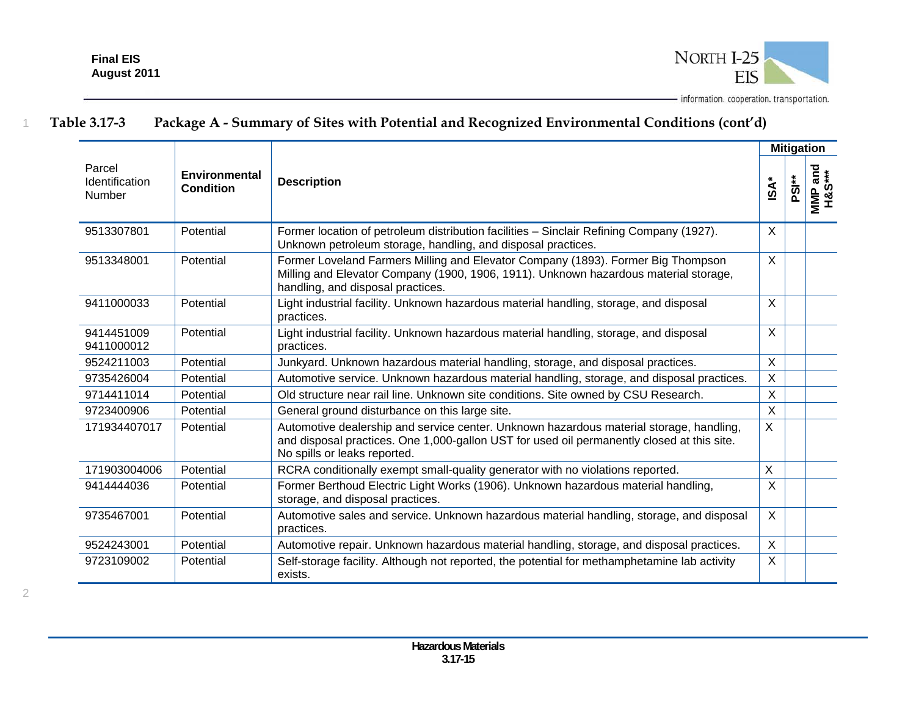

|                                                  |                                          |                                                                                                                                                                                                                       |                           |                   | <b>Mitigation</b>        |
|--------------------------------------------------|------------------------------------------|-----------------------------------------------------------------------------------------------------------------------------------------------------------------------------------------------------------------------|---------------------------|-------------------|--------------------------|
| Parcel<br><b>Identification</b><br><b>Number</b> | <b>Environmental</b><br><b>Condition</b> | <b>Description</b>                                                                                                                                                                                                    | isA                       | PSI <sup>**</sup> | and<br>***<br>S%H<br>MMP |
| 9513307801                                       | Potential                                | Former location of petroleum distribution facilities - Sinclair Refining Company (1927).<br>Unknown petroleum storage, handling, and disposal practices.                                                              | X                         |                   |                          |
| 9513348001                                       | Potential                                | Former Loveland Farmers Milling and Elevator Company (1893). Former Big Thompson<br>Milling and Elevator Company (1900, 1906, 1911). Unknown hazardous material storage,<br>handling, and disposal practices.         | $\times$                  |                   |                          |
| 9411000033                                       | Potential                                | Light industrial facility. Unknown hazardous material handling, storage, and disposal<br>practices.                                                                                                                   | Χ                         |                   |                          |
| 9414451009<br>9411000012                         | Potential                                | Light industrial facility. Unknown hazardous material handling, storage, and disposal<br>practices.                                                                                                                   | X                         |                   |                          |
| 9524211003                                       | Potential                                | Junkyard. Unknown hazardous material handling, storage, and disposal practices.                                                                                                                                       | X                         |                   |                          |
| 9735426004                                       | Potential                                | Automotive service. Unknown hazardous material handling, storage, and disposal practices.                                                                                                                             | $\boldsymbol{\mathsf{X}}$ |                   |                          |
| 9714411014                                       | Potential                                | Old structure near rail line. Unknown site conditions. Site owned by CSU Research.                                                                                                                                    | $\sf X$                   |                   |                          |
| 9723400906                                       | Potential                                | General ground disturbance on this large site.                                                                                                                                                                        | X                         |                   |                          |
| 171934407017                                     | Potential                                | Automotive dealership and service center. Unknown hazardous material storage, handling,<br>and disposal practices. One 1,000-gallon UST for used oil permanently closed at this site.<br>No spills or leaks reported. | X                         |                   |                          |
| 171903004006                                     | Potential                                | RCRA conditionally exempt small-quality generator with no violations reported.                                                                                                                                        | X                         |                   |                          |
| 9414444036                                       | Potential                                | Former Berthoud Electric Light Works (1906). Unknown hazardous material handling,<br>storage, and disposal practices.                                                                                                 | X                         |                   |                          |
| 9735467001                                       | Potential                                | Automotive sales and service. Unknown hazardous material handling, storage, and disposal<br>practices.                                                                                                                | $\sf X$                   |                   |                          |
| 9524243001                                       | Potential                                | Automotive repair. Unknown hazardous material handling, storage, and disposal practices.                                                                                                                              | $\sf X$                   |                   |                          |
| 9723109002                                       | Potential                                | Self-storage facility. Although not reported, the potential for methamphetamine lab activity<br>exists.                                                                                                               | $\times$                  |                   |                          |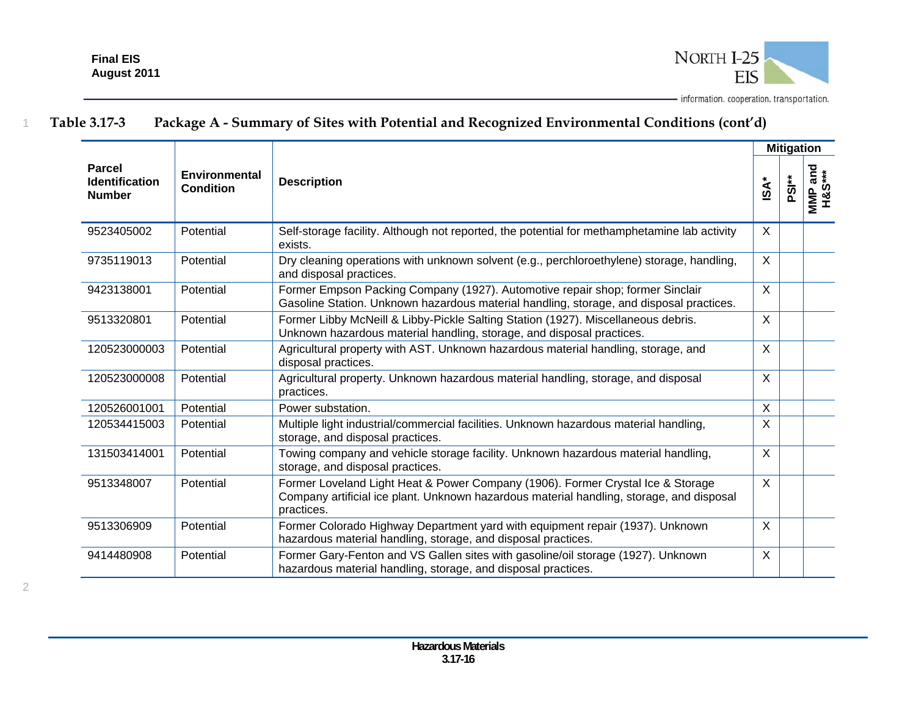

|                                                         |                                   |                                                                                                                                                                                           |                  | <b>Mitigation</b> |                                   |
|---------------------------------------------------------|-----------------------------------|-------------------------------------------------------------------------------------------------------------------------------------------------------------------------------------------|------------------|-------------------|-----------------------------------|
| <b>Parcel</b><br><b>Identification</b><br><b>Number</b> | Environmental<br><b>Condition</b> | <b>Description</b>                                                                                                                                                                        | $\mathsf{ISA}^*$ | PSI <sup>**</sup> | wiwiP and<br>H&S***<br><b>MMP</b> |
| 9523405002                                              | Potential                         | Self-storage facility. Although not reported, the potential for methamphetamine lab activity<br>exists.                                                                                   | X                |                   |                                   |
| 9735119013                                              | Potential                         | Dry cleaning operations with unknown solvent (e.g., perchloroethylene) storage, handling,<br>and disposal practices.                                                                      | $\mathsf{X}$     |                   |                                   |
| 9423138001                                              | Potential                         | Former Empson Packing Company (1927). Automotive repair shop; former Sinclair<br>Gasoline Station. Unknown hazardous material handling, storage, and disposal practices.                  | $\mathsf{X}$     |                   |                                   |
| 9513320801                                              | Potential                         | Former Libby McNeill & Libby-Pickle Salting Station (1927). Miscellaneous debris.<br>Unknown hazardous material handling, storage, and disposal practices.                                | $\sf X$          |                   |                                   |
| 120523000003                                            | Potential                         | Agricultural property with AST. Unknown hazardous material handling, storage, and<br>disposal practices.                                                                                  | $\mathsf{X}$     |                   |                                   |
| 120523000008                                            | Potential                         | Agricultural property. Unknown hazardous material handling, storage, and disposal<br>practices.                                                                                           | $\sf X$          |                   |                                   |
| 120526001001                                            | Potential                         | Power substation.                                                                                                                                                                         | $\mathsf{X}$     |                   |                                   |
| 120534415003                                            | Potential                         | Multiple light industrial/commercial facilities. Unknown hazardous material handling,<br>storage, and disposal practices.                                                                 | X                |                   |                                   |
| 131503414001                                            | Potential                         | Towing company and vehicle storage facility. Unknown hazardous material handling,<br>storage, and disposal practices.                                                                     | $\sf X$          |                   |                                   |
| 9513348007                                              | Potential                         | Former Loveland Light Heat & Power Company (1906). Former Crystal Ice & Storage<br>Company artificial ice plant. Unknown hazardous material handling, storage, and disposal<br>practices. | $\mathsf{X}$     |                   |                                   |
| 9513306909                                              | Potential                         | Former Colorado Highway Department yard with equipment repair (1937). Unknown<br>hazardous material handling, storage, and disposal practices.                                            | $\sf X$          |                   |                                   |
| 9414480908                                              | Potential                         | Former Gary-Fenton and VS Gallen sites with gasoline/oil storage (1927). Unknown<br>hazardous material handling, storage, and disposal practices.                                         | $\mathsf{X}$     |                   |                                   |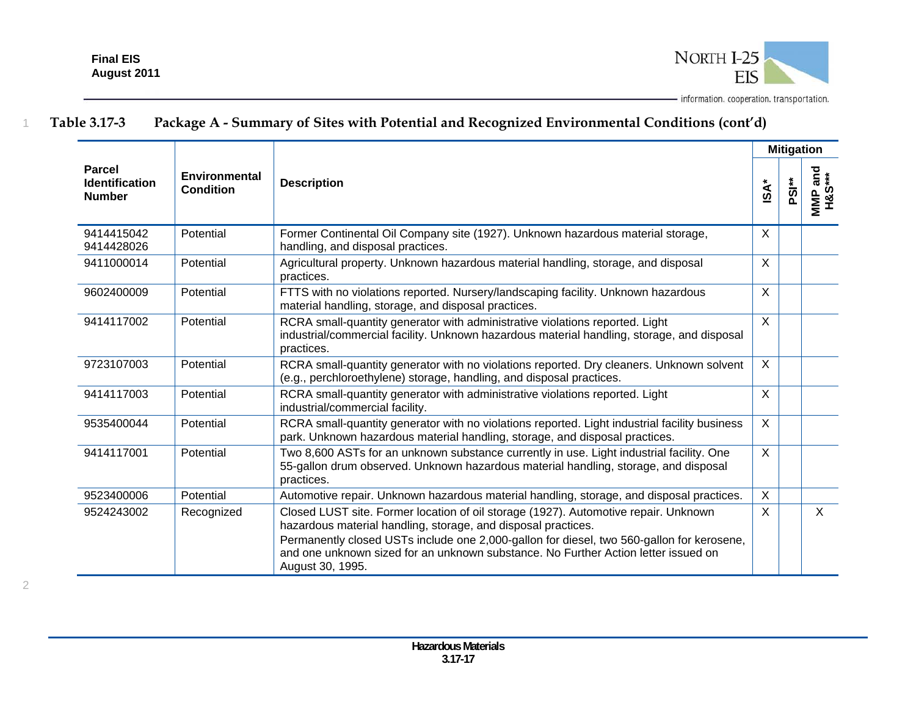

|                                                         |                                   |                                                                                                                                                                                                                                                                                                                                                             |              |                   | <b>Mitigation</b> |
|---------------------------------------------------------|-----------------------------------|-------------------------------------------------------------------------------------------------------------------------------------------------------------------------------------------------------------------------------------------------------------------------------------------------------------------------------------------------------------|--------------|-------------------|-------------------|
| <b>Parcel</b><br><b>Identification</b><br><b>Number</b> | Environmental<br><b>Condition</b> | <b>Description</b>                                                                                                                                                                                                                                                                                                                                          | <b>iSA</b> * | PSI <sup>**</sup> | MMP and<br>H&S*** |
| 9414415042<br>9414428026                                | Potential                         | Former Continental Oil Company site (1927). Unknown hazardous material storage,<br>handling, and disposal practices.                                                                                                                                                                                                                                        | $\sf X$      |                   |                   |
| 9411000014                                              | Potential                         | Agricultural property. Unknown hazardous material handling, storage, and disposal<br>practices.                                                                                                                                                                                                                                                             | $\sf X$      |                   |                   |
| 9602400009                                              | Potential                         | FTTS with no violations reported. Nursery/landscaping facility. Unknown hazardous<br>material handling, storage, and disposal practices.                                                                                                                                                                                                                    | $\sf X$      |                   |                   |
| 9414117002                                              | Potential                         | RCRA small-quantity generator with administrative violations reported. Light<br>industrial/commercial facility. Unknown hazardous material handling, storage, and disposal<br>practices.                                                                                                                                                                    | $\mathsf{X}$ |                   |                   |
| 9723107003                                              | Potential                         | RCRA small-quantity generator with no violations reported. Dry cleaners. Unknown solvent<br>(e.g., perchloroethylene) storage, handling, and disposal practices.                                                                                                                                                                                            | $\sf X$      |                   |                   |
| 9414117003                                              | Potential                         | RCRA small-quantity generator with administrative violations reported. Light<br>industrial/commercial facility.                                                                                                                                                                                                                                             | $\sf X$      |                   |                   |
| 9535400044                                              | Potential                         | RCRA small-quantity generator with no violations reported. Light industrial facility business<br>park. Unknown hazardous material handling, storage, and disposal practices.                                                                                                                                                                                | $\sf X$      |                   |                   |
| 9414117001                                              | Potential                         | Two 8,600 ASTs for an unknown substance currently in use. Light industrial facility. One<br>55-gallon drum observed. Unknown hazardous material handling, storage, and disposal<br>practices.                                                                                                                                                               | $\sf X$      |                   |                   |
| 9523400006                                              | Potential                         | Automotive repair. Unknown hazardous material handling, storage, and disposal practices.                                                                                                                                                                                                                                                                    | $\sf X$      |                   |                   |
| 9524243002                                              | Recognized                        | Closed LUST site. Former location of oil storage (1927). Automotive repair. Unknown<br>hazardous material handling, storage, and disposal practices.<br>Permanently closed USTs include one 2,000-gallon for diesel, two 560-gallon for kerosene,<br>and one unknown sized for an unknown substance. No Further Action letter issued on<br>August 30, 1995. | $\sf X$      |                   | $\mathsf{X}$      |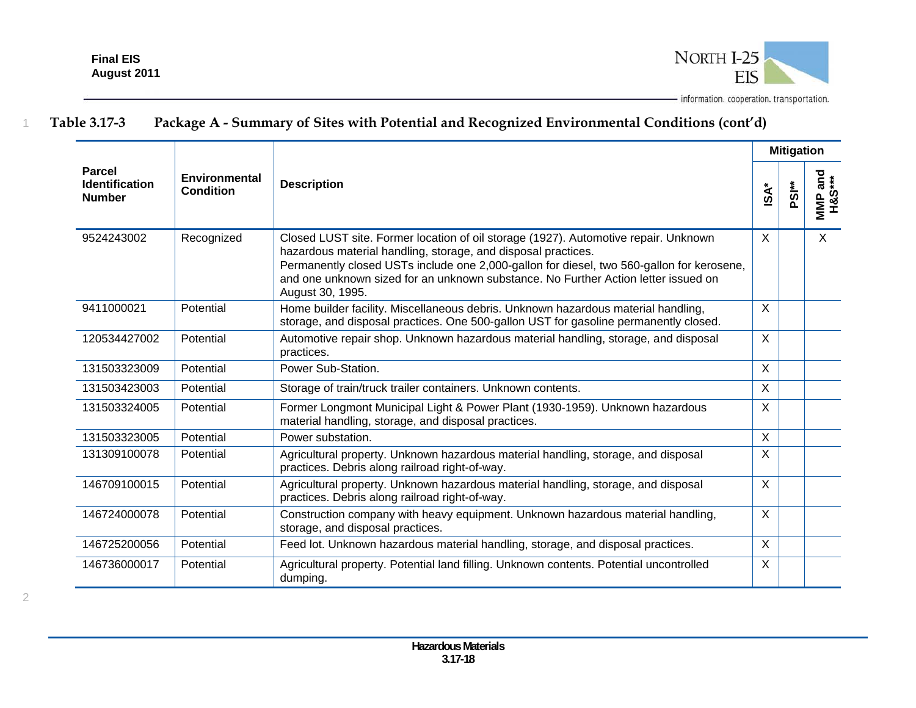

|                                                         |                                   |                                                                                                                                                                                                                                                                                                                                                             |              | <b>Mitigation</b> |                   |
|---------------------------------------------------------|-----------------------------------|-------------------------------------------------------------------------------------------------------------------------------------------------------------------------------------------------------------------------------------------------------------------------------------------------------------------------------------------------------------|--------------|-------------------|-------------------|
| <b>Parcel</b><br><b>Identification</b><br><b>Number</b> | <b>Environmental</b><br>Condition | <b>Description</b>                                                                                                                                                                                                                                                                                                                                          | iSA*         | PSI <sup>**</sup> | MMP and<br>H&S*** |
| 9524243002                                              | Recognized                        | Closed LUST site. Former location of oil storage (1927). Automotive repair. Unknown<br>hazardous material handling, storage, and disposal practices.<br>Permanently closed USTs include one 2,000-gallon for diesel, two 560-gallon for kerosene,<br>and one unknown sized for an unknown substance. No Further Action letter issued on<br>August 30, 1995. | X            |                   | X                 |
| 9411000021                                              | Potential                         | Home builder facility. Miscellaneous debris. Unknown hazardous material handling,<br>storage, and disposal practices. One 500-gallon UST for gasoline permanently closed.                                                                                                                                                                                   | $\times$     |                   |                   |
| 120534427002                                            | Potential                         | Automotive repair shop. Unknown hazardous material handling, storage, and disposal<br>practices.                                                                                                                                                                                                                                                            | $\sf X$      |                   |                   |
| 131503323009                                            | Potential                         | Power Sub-Station.                                                                                                                                                                                                                                                                                                                                          | $\sf X$      |                   |                   |
| 131503423003                                            | Potential                         | Storage of train/truck trailer containers. Unknown contents.                                                                                                                                                                                                                                                                                                | X            |                   |                   |
| 131503324005                                            | Potential                         | Former Longmont Municipal Light & Power Plant (1930-1959). Unknown hazardous<br>material handling, storage, and disposal practices.                                                                                                                                                                                                                         | X            |                   |                   |
| 131503323005                                            | Potential                         | Power substation.                                                                                                                                                                                                                                                                                                                                           | $\mathsf{X}$ |                   |                   |
| 131309100078                                            | Potential                         | Agricultural property. Unknown hazardous material handling, storage, and disposal<br>practices. Debris along railroad right-of-way.                                                                                                                                                                                                                         | X            |                   |                   |
| 146709100015                                            | Potential                         | Agricultural property. Unknown hazardous material handling, storage, and disposal<br>practices. Debris along railroad right-of-way.                                                                                                                                                                                                                         | $\sf X$      |                   |                   |
| 146724000078                                            | Potential                         | Construction company with heavy equipment. Unknown hazardous material handling,<br>storage, and disposal practices.                                                                                                                                                                                                                                         | $\sf X$      |                   |                   |
| 146725200056                                            | Potential                         | Feed lot. Unknown hazardous material handling, storage, and disposal practices.                                                                                                                                                                                                                                                                             | $\sf X$      |                   |                   |
| 146736000017                                            | Potential                         | Agricultural property. Potential land filling. Unknown contents. Potential uncontrolled<br>dumping.                                                                                                                                                                                                                                                         | X            |                   |                   |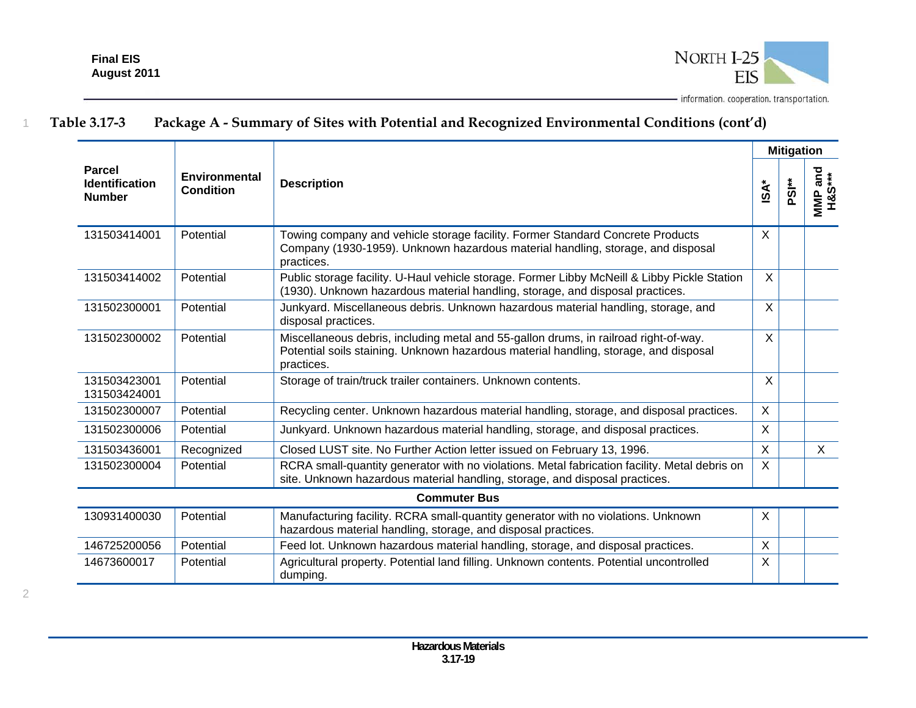

|                                                         |                                   |                                                                                                                                                                                            | <b>Mitigation</b>         |                   |                   |  |  |
|---------------------------------------------------------|-----------------------------------|--------------------------------------------------------------------------------------------------------------------------------------------------------------------------------------------|---------------------------|-------------------|-------------------|--|--|
| <b>Parcel</b><br><b>Identification</b><br><b>Number</b> | Environmental<br><b>Condition</b> | <b>Description</b>                                                                                                                                                                         | <b>ISA*</b>               | PSI <sup>**</sup> | MMP and<br>H&S*** |  |  |
| 131503414001                                            | Potential                         | Towing company and vehicle storage facility. Former Standard Concrete Products<br>Company (1930-1959). Unknown hazardous material handling, storage, and disposal<br>practices.            | $\mathsf{X}$              |                   |                   |  |  |
| 131503414002                                            | Potential                         | Public storage facility. U-Haul vehicle storage. Former Libby McNeill & Libby Pickle Station<br>(1930). Unknown hazardous material handling, storage, and disposal practices.              | X                         |                   |                   |  |  |
| 131502300001                                            | Potential                         | Junkyard. Miscellaneous debris. Unknown hazardous material handling, storage, and<br>disposal practices.                                                                                   | $\mathsf{X}$              |                   |                   |  |  |
| 131502300002                                            | Potential                         | Miscellaneous debris, including metal and 55-gallon drums, in railroad right-of-way.<br>Potential soils staining. Unknown hazardous material handling, storage, and disposal<br>practices. | X                         |                   |                   |  |  |
| 131503423001<br>131503424001                            | Potential                         | Storage of train/truck trailer containers. Unknown contents.                                                                                                                               | X                         |                   |                   |  |  |
| 131502300007                                            | Potential                         | Recycling center. Unknown hazardous material handling, storage, and disposal practices.                                                                                                    | $\mathsf{X}$              |                   |                   |  |  |
| 131502300006                                            | Potential                         | Junkyard. Unknown hazardous material handling, storage, and disposal practices.                                                                                                            | $\sf X$                   |                   |                   |  |  |
| 131503436001                                            | Recognized                        | Closed LUST site. No Further Action letter issued on February 13, 1996.                                                                                                                    | $\boldsymbol{\mathsf{X}}$ |                   | X                 |  |  |
| 131502300004                                            | Potential                         | RCRA small-quantity generator with no violations. Metal fabrication facility. Metal debris on<br>site. Unknown hazardous material handling, storage, and disposal practices.               | $\mathsf{X}$              |                   |                   |  |  |
|                                                         |                                   | <b>Commuter Bus</b>                                                                                                                                                                        |                           |                   |                   |  |  |
| 130931400030                                            | Potential                         | Manufacturing facility. RCRA small-quantity generator with no violations. Unknown<br>hazardous material handling, storage, and disposal practices.                                         | $\sf X$                   |                   |                   |  |  |
| 146725200056                                            | Potential                         | Feed lot. Unknown hazardous material handling, storage, and disposal practices.                                                                                                            | $\sf X$                   |                   |                   |  |  |
| 14673600017                                             | Potential                         | Agricultural property. Potential land filling. Unknown contents. Potential uncontrolled<br>dumping.                                                                                        | X                         |                   |                   |  |  |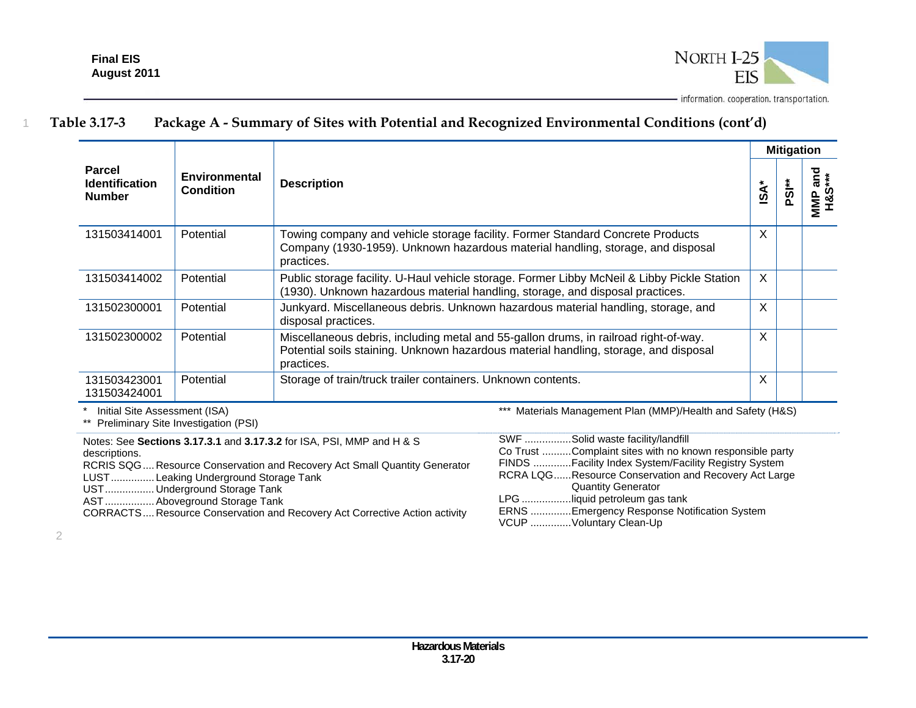

|                                                  |                                          |                                                                                                                                                                                            | <b>Mitigation</b> |                   |                                  |  |
|--------------------------------------------------|------------------------------------------|--------------------------------------------------------------------------------------------------------------------------------------------------------------------------------------------|-------------------|-------------------|----------------------------------|--|
| Parcel<br><b>Identification</b><br><b>Number</b> | <b>Environmental</b><br><b>Condition</b> | <b>Description</b>                                                                                                                                                                         | isA               | PSI <sup>**</sup> | ត្ត ៖<br>MMP <sub>2</sub><br>H&S |  |
| 131503414001                                     | Potential                                | Towing company and vehicle storage facility. Former Standard Concrete Products<br>Company (1930-1959). Unknown hazardous material handling, storage, and disposal<br>practices.            | X                 |                   |                                  |  |
| 131503414002                                     | Potential                                | Public storage facility. U-Haul vehicle storage. Former Libby McNeil & Libby Pickle Station<br>(1930). Unknown hazardous material handling, storage, and disposal practices.               | X                 |                   |                                  |  |
| 131502300001                                     | Potential                                | Junkyard. Miscellaneous debris. Unknown hazardous material handling, storage, and<br>disposal practices.                                                                                   | X                 |                   |                                  |  |
| 131502300002                                     | Potential                                | Miscellaneous debris, including metal and 55-gallon drums, in railroad right-of-way.<br>Potential soils staining. Unknown hazardous material handling, storage, and disposal<br>practices. | X                 |                   |                                  |  |
| 131503423001<br>131503424001                     | Potential                                | Storage of train/truck trailer containers. Unknown contents.                                                                                                                               | X                 |                   |                                  |  |

\* Initial Site Assessment (ISA)

\*\* Preliminary Site Investigation (PSI)

Notes: See **Sections 3.17.3.1** and **3.17.3.2** for ISA, PSI, MMP and H & S descriptions. RCRIS SQG .... Resource Conservation and Recovery Act Small Quantity Generator LUST ............... Leaking Underground Storage Tank

UST ................. Underground Storage Tank

AST ................. Aboveground Storage Tank

CORRACTS .... Resource Conservation and Recovery Act Corrective Action activity

\*\*\* Materials Management Plan (MMP)/Health and Safety (H&S)

| SWF Solid waste facility/landfill                        |
|----------------------------------------------------------|
| Co Trust Complaint sites with no known responsible party |
| FINDS Facility Index System/Facility Registry System     |
| RCRA LQGResource Conservation and Recovery Act Large     |
| <b>Quantity Generator</b>                                |
| LPG liquid petroleum gas tank                            |
| ERNS Emergency Response Notification System              |
| VCUP Voluntary Clean-Up                                  |
|                                                          |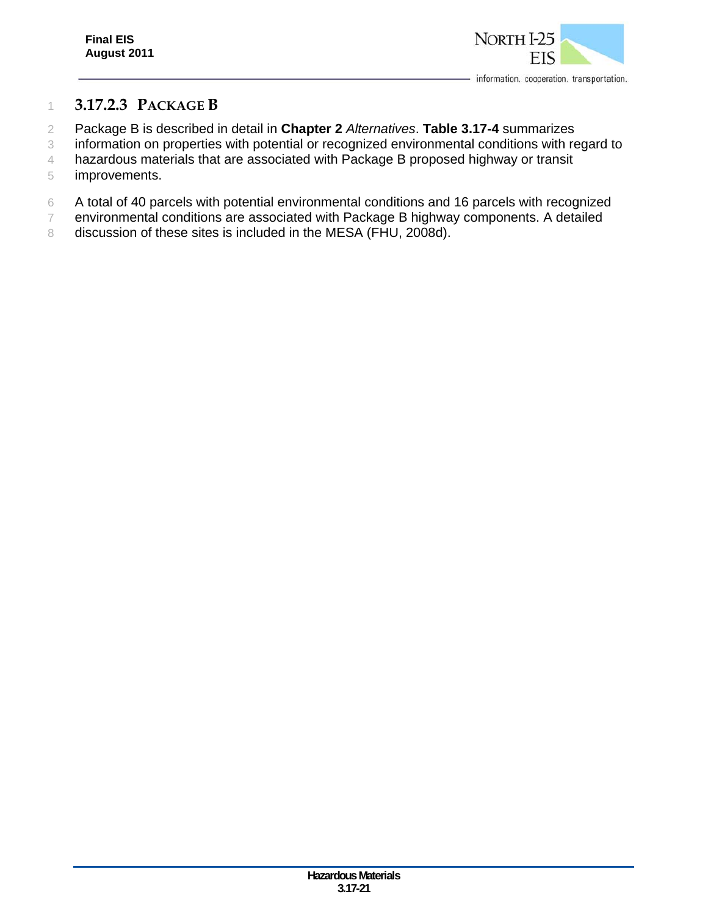

### 1 **3.17.2.3 PACKAGE B**

- 2 Package B is described in detail in **Chapter 2** *Alternatives*. **Table 3.17-4** summarizes
- 3 information on properties with potential or recognized environmental conditions with regard to
- 4 hazardous materials that are associated with Package B proposed highway or transit 5 improvements.
- 6 A total of 40 parcels with potential environmental conditions and 16 parcels with recognized
- 7 environmental conditions are associated with Package B highway components. A detailed
- 8 discussion of these sites is included in the MESA (FHU, 2008d).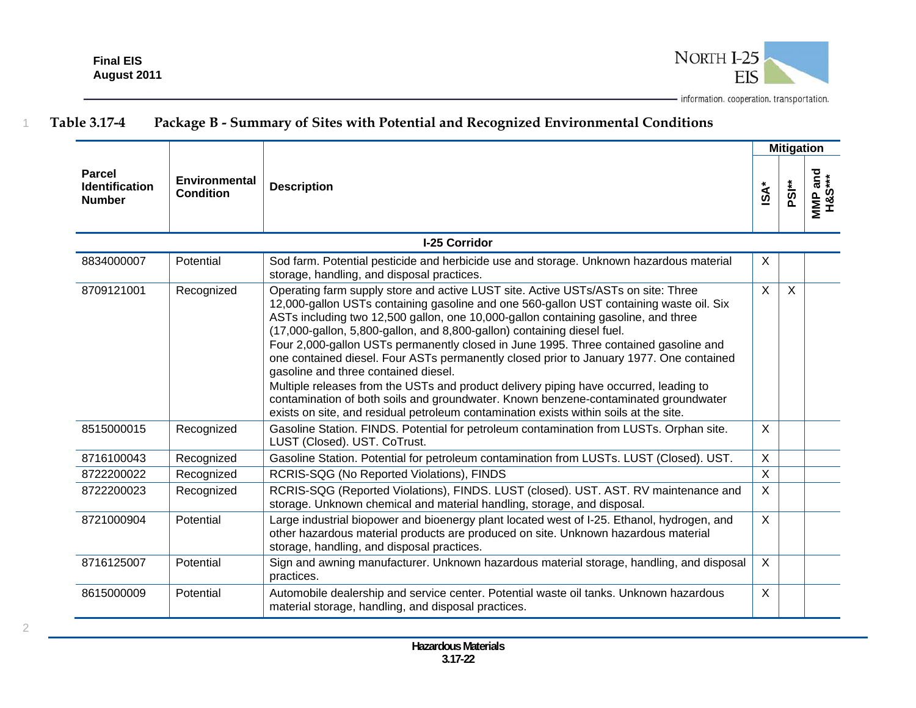

|                                                  |                                   |                                                                                                                                                                                                                                                                                                                                                                                                                                                                                                                                                                                                                                                                                                                                                                                                                                                   |                  | <b>Mitigation</b> |                   |
|--------------------------------------------------|-----------------------------------|---------------------------------------------------------------------------------------------------------------------------------------------------------------------------------------------------------------------------------------------------------------------------------------------------------------------------------------------------------------------------------------------------------------------------------------------------------------------------------------------------------------------------------------------------------------------------------------------------------------------------------------------------------------------------------------------------------------------------------------------------------------------------------------------------------------------------------------------------|------------------|-------------------|-------------------|
| Parcel<br><b>Identification</b><br><b>Number</b> | Environmental<br><b>Condition</b> | <b>Description</b>                                                                                                                                                                                                                                                                                                                                                                                                                                                                                                                                                                                                                                                                                                                                                                                                                                | $\mathsf{ISA}^*$ | PSI <sup>**</sup> | MMP and<br>H&S*** |
|                                                  |                                   | <b>I-25 Corridor</b>                                                                                                                                                                                                                                                                                                                                                                                                                                                                                                                                                                                                                                                                                                                                                                                                                              |                  |                   |                   |
| 8834000007                                       | Potential                         | Sod farm. Potential pesticide and herbicide use and storage. Unknown hazardous material<br>storage, handling, and disposal practices.                                                                                                                                                                                                                                                                                                                                                                                                                                                                                                                                                                                                                                                                                                             | X                |                   |                   |
| 8709121001                                       | Recognized                        | Operating farm supply store and active LUST site. Active USTs/ASTs on site: Three<br>12,000-gallon USTs containing gasoline and one 560-gallon UST containing waste oil. Six<br>ASTs including two 12,500 gallon, one 10,000-gallon containing gasoline, and three<br>(17,000-gallon, 5,800-gallon, and 8,800-gallon) containing diesel fuel.<br>Four 2,000-gallon USTs permanently closed in June 1995. Three contained gasoline and<br>one contained diesel. Four ASTs permanently closed prior to January 1977. One contained<br>gasoline and three contained diesel.<br>Multiple releases from the USTs and product delivery piping have occurred, leading to<br>contamination of both soils and groundwater. Known benzene-contaminated groundwater<br>exists on site, and residual petroleum contamination exists within soils at the site. | $\mathsf{X}$     | $\mathsf{X}$      |                   |
| 8515000015                                       | Recognized                        | Gasoline Station. FINDS. Potential for petroleum contamination from LUSTs. Orphan site.<br>LUST (Closed). UST. CoTrust.                                                                                                                                                                                                                                                                                                                                                                                                                                                                                                                                                                                                                                                                                                                           | X                |                   |                   |
| 8716100043                                       | Recognized                        | Gasoline Station. Potential for petroleum contamination from LUSTs. LUST (Closed). UST.                                                                                                                                                                                                                                                                                                                                                                                                                                                                                                                                                                                                                                                                                                                                                           | $\sf X$          |                   |                   |
| 8722200022                                       | Recognized                        | RCRIS-SQG (No Reported Violations), FINDS                                                                                                                                                                                                                                                                                                                                                                                                                                                                                                                                                                                                                                                                                                                                                                                                         | $\mathsf{X}$     |                   |                   |
| 8722200023                                       | Recognized                        | RCRIS-SQG (Reported Violations), FINDS. LUST (closed). UST. AST. RV maintenance and<br>storage. Unknown chemical and material handling, storage, and disposal.                                                                                                                                                                                                                                                                                                                                                                                                                                                                                                                                                                                                                                                                                    | X                |                   |                   |
| 8721000904                                       | Potential                         | Large industrial biopower and bioenergy plant located west of I-25. Ethanol, hydrogen, and<br>other hazardous material products are produced on site. Unknown hazardous material<br>storage, handling, and disposal practices.                                                                                                                                                                                                                                                                                                                                                                                                                                                                                                                                                                                                                    | $\mathsf{X}$     |                   |                   |
| 8716125007                                       | Potential                         | Sign and awning manufacturer. Unknown hazardous material storage, handling, and disposal<br>practices.                                                                                                                                                                                                                                                                                                                                                                                                                                                                                                                                                                                                                                                                                                                                            | X                |                   |                   |
| 8615000009                                       | Potential                         | Automobile dealership and service center. Potential waste oil tanks. Unknown hazardous<br>material storage, handling, and disposal practices.                                                                                                                                                                                                                                                                                                                                                                                                                                                                                                                                                                                                                                                                                                     | X                |                   |                   |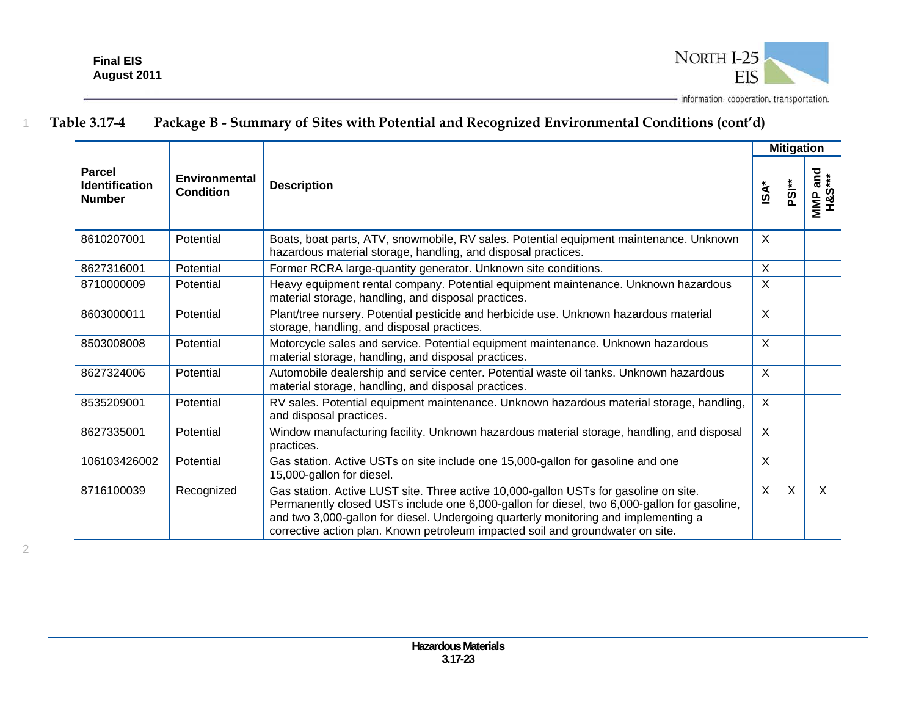

|                                                         |                                   |                                                                                                                                                                                                                                                                                                                                                              |                      | <b>Mitigation</b> |                                           |
|---------------------------------------------------------|-----------------------------------|--------------------------------------------------------------------------------------------------------------------------------------------------------------------------------------------------------------------------------------------------------------------------------------------------------------------------------------------------------------|----------------------|-------------------|-------------------------------------------|
| <b>Parcel</b><br><b>Identification</b><br><b>Number</b> | Environmental<br><b>Condition</b> | <b>Description</b>                                                                                                                                                                                                                                                                                                                                           | $\ast$<br><b>ISA</b> | ised<br>          | <b>H&amp;S***</b><br>H&S***<br><b>NNP</b> |
| 8610207001                                              | Potential                         | Boats, boat parts, ATV, snowmobile, RV sales. Potential equipment maintenance. Unknown<br>hazardous material storage, handling, and disposal practices.                                                                                                                                                                                                      | X                    |                   |                                           |
| 8627316001                                              | Potential                         | Former RCRA large-quantity generator. Unknown site conditions.                                                                                                                                                                                                                                                                                               | $\mathsf{X}$         |                   |                                           |
| 8710000009                                              | Potential                         | Heavy equipment rental company. Potential equipment maintenance. Unknown hazardous<br>material storage, handling, and disposal practices.                                                                                                                                                                                                                    | $\times$             |                   |                                           |
| 8603000011                                              | Potential                         | Plant/tree nursery. Potential pesticide and herbicide use. Unknown hazardous material<br>storage, handling, and disposal practices.                                                                                                                                                                                                                          | X                    |                   |                                           |
| 8503008008                                              | Potential                         | Motorcycle sales and service. Potential equipment maintenance. Unknown hazardous<br>material storage, handling, and disposal practices.                                                                                                                                                                                                                      | $\sf X$              |                   |                                           |
| 8627324006                                              | Potential                         | Automobile dealership and service center. Potential waste oil tanks. Unknown hazardous<br>material storage, handling, and disposal practices.                                                                                                                                                                                                                | $\times$             |                   |                                           |
| 8535209001                                              | Potential                         | RV sales. Potential equipment maintenance. Unknown hazardous material storage, handling,<br>and disposal practices.                                                                                                                                                                                                                                          | $\sf X$              |                   |                                           |
| 8627335001                                              | Potential                         | Window manufacturing facility. Unknown hazardous material storage, handling, and disposal<br>practices.                                                                                                                                                                                                                                                      | X                    |                   |                                           |
| 106103426002                                            | Potential                         | Gas station. Active USTs on site include one 15,000-gallon for gasoline and one<br>15,000-gallon for diesel.                                                                                                                                                                                                                                                 | $\sf X$              |                   |                                           |
| 8716100039                                              | Recognized                        | Gas station. Active LUST site. Three active 10,000-gallon USTs for gasoline on site.<br>Permanently closed USTs include one 6,000-gallon for diesel, two 6,000-gallon for gasoline,<br>and two 3,000-gallon for diesel. Undergoing quarterly monitoring and implementing a<br>corrective action plan. Known petroleum impacted soil and groundwater on site. | $\sf X$              | $\mathsf{X}$      | X                                         |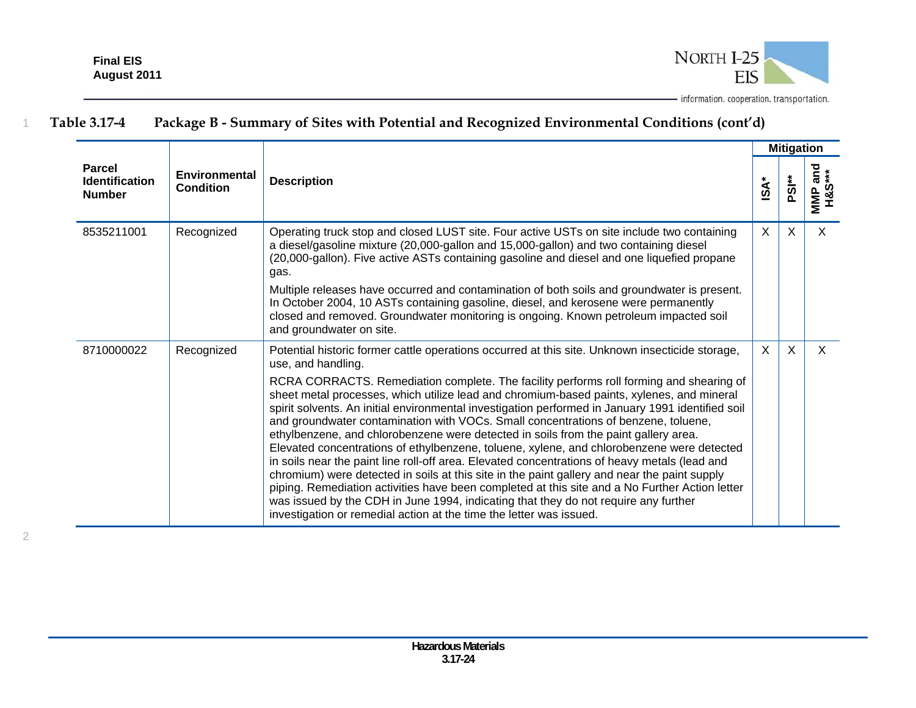2



- information. cooperation. transportation.

|                                                         |                                          | <b>Description</b>                                                                                                                                                                                                                                                                                                                                                                                                                                                                                                                                                                                                                                                                                                                                                                                                                                                                                                                                                                                                                                                                                                                                            | <b>Mitigation</b> |                   |                          |  |
|---------------------------------------------------------|------------------------------------------|---------------------------------------------------------------------------------------------------------------------------------------------------------------------------------------------------------------------------------------------------------------------------------------------------------------------------------------------------------------------------------------------------------------------------------------------------------------------------------------------------------------------------------------------------------------------------------------------------------------------------------------------------------------------------------------------------------------------------------------------------------------------------------------------------------------------------------------------------------------------------------------------------------------------------------------------------------------------------------------------------------------------------------------------------------------------------------------------------------------------------------------------------------------|-------------------|-------------------|--------------------------|--|
| <b>Parcel</b><br><b>Identification</b><br><b>Number</b> | <b>Environmental</b><br><b>Condition</b> |                                                                                                                                                                                                                                                                                                                                                                                                                                                                                                                                                                                                                                                                                                                                                                                                                                                                                                                                                                                                                                                                                                                                                               | iSA <sup>-</sup>  | PSI <sup>**</sup> | url and<br>H&S***<br>MMP |  |
| 8535211001                                              | Recognized                               | Operating truck stop and closed LUST site. Four active USTs on site include two containing<br>a diesel/gasoline mixture (20,000-gallon and 15,000-gallon) and two containing diesel<br>(20,000-gallon). Five active ASTs containing gasoline and diesel and one liquefied propane<br>gas.<br>Multiple releases have occurred and contamination of both soils and groundwater is present.<br>In October 2004, 10 ASTs containing gasoline, diesel, and kerosene were permanently<br>closed and removed. Groundwater monitoring is ongoing. Known petroleum impacted soil<br>and groundwater on site.                                                                                                                                                                                                                                                                                                                                                                                                                                                                                                                                                           | $\times$          | X                 | $\times$                 |  |
| 8710000022                                              | Recognized                               | Potential historic former cattle operations occurred at this site. Unknown insecticide storage,<br>use, and handling.<br>RCRA CORRACTS. Remediation complete. The facility performs roll forming and shearing of<br>sheet metal processes, which utilize lead and chromium-based paints, xylenes, and mineral<br>spirit solvents. An initial environmental investigation performed in January 1991 identified soil<br>and groundwater contamination with VOCs. Small concentrations of benzene, toluene,<br>ethylbenzene, and chlorobenzene were detected in soils from the paint gallery area.<br>Elevated concentrations of ethylbenzene, toluene, xylene, and chlorobenzene were detected<br>in soils near the paint line roll-off area. Elevated concentrations of heavy metals (lead and<br>chromium) were detected in soils at this site in the paint gallery and near the paint supply<br>piping. Remediation activities have been completed at this site and a No Further Action letter<br>was issued by the CDH in June 1994, indicating that they do not require any further<br>investigation or remedial action at the time the letter was issued. | X                 | X                 | $\times$                 |  |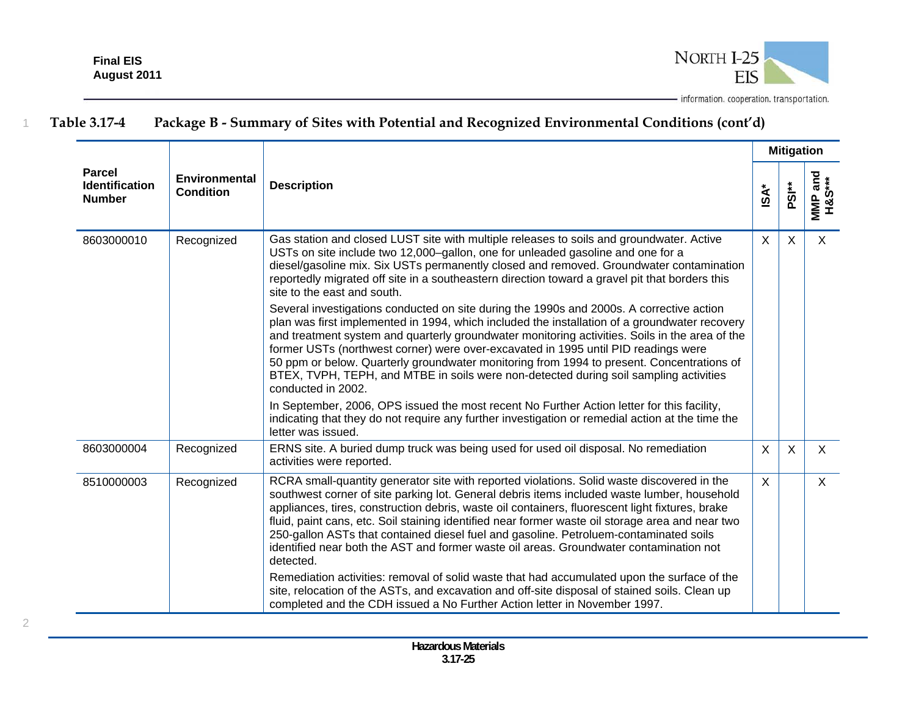

|                                                         |                                          |                                                                                                                                                                                                                                                                                                                                                                                                                                                                                                                                                                                                  | <b>Mitigation</b> |                   |                   |
|---------------------------------------------------------|------------------------------------------|--------------------------------------------------------------------------------------------------------------------------------------------------------------------------------------------------------------------------------------------------------------------------------------------------------------------------------------------------------------------------------------------------------------------------------------------------------------------------------------------------------------------------------------------------------------------------------------------------|-------------------|-------------------|-------------------|
| <b>Parcel</b><br><b>Identification</b><br><b>Number</b> | <b>Environmental</b><br><b>Condition</b> | <b>Description</b>                                                                                                                                                                                                                                                                                                                                                                                                                                                                                                                                                                               | $\mathsf{ISA}^*$  | PSI <sup>**</sup> | MMP and<br>H&S*** |
| 8603000010                                              | Recognized                               | Gas station and closed LUST site with multiple releases to soils and groundwater. Active<br>USTs on site include two 12,000-gallon, one for unleaded gasoline and one for a<br>diesel/gasoline mix. Six USTs permanently closed and removed. Groundwater contamination<br>reportedly migrated off site in a southeastern direction toward a gravel pit that borders this<br>site to the east and south.                                                                                                                                                                                          | $\sf X$           | $\sf X$           | $\mathsf{X}$      |
|                                                         |                                          | Several investigations conducted on site during the 1990s and 2000s. A corrective action<br>plan was first implemented in 1994, which included the installation of a groundwater recovery<br>and treatment system and quarterly groundwater monitoring activities. Soils in the area of the<br>former USTs (northwest corner) were over-excavated in 1995 until PID readings were<br>50 ppm or below. Quarterly groundwater monitoring from 1994 to present. Concentrations of<br>BTEX, TVPH, TEPH, and MTBE in soils were non-detected during soil sampling activities<br>conducted in 2002.    |                   |                   |                   |
|                                                         |                                          | In September, 2006, OPS issued the most recent No Further Action letter for this facility,<br>indicating that they do not require any further investigation or remedial action at the time the<br>letter was issued.                                                                                                                                                                                                                                                                                                                                                                             |                   |                   |                   |
| 8603000004                                              | Recognized                               | ERNS site. A buried dump truck was being used for used oil disposal. No remediation<br>activities were reported.                                                                                                                                                                                                                                                                                                                                                                                                                                                                                 | $\sf X$           | $\sf X$           | $\sf X$           |
| 8510000003                                              | Recognized                               | RCRA small-quantity generator site with reported violations. Solid waste discovered in the<br>southwest corner of site parking lot. General debris items included waste lumber, household<br>appliances, tires, construction debris, waste oil containers, fluorescent light fixtures, brake<br>fluid, paint cans, etc. Soil staining identified near former waste oil storage area and near two<br>250-gallon ASTs that contained diesel fuel and gasoline. Petroluem-contaminated soils<br>identified near both the AST and former waste oil areas. Groundwater contamination not<br>detected. | $\mathsf{X}$      |                   | $\mathsf{X}$      |
|                                                         |                                          | Remediation activities: removal of solid waste that had accumulated upon the surface of the<br>site, relocation of the ASTs, and excavation and off-site disposal of stained soils. Clean up<br>completed and the CDH issued a No Further Action letter in November 1997.                                                                                                                                                                                                                                                                                                                        |                   |                   |                   |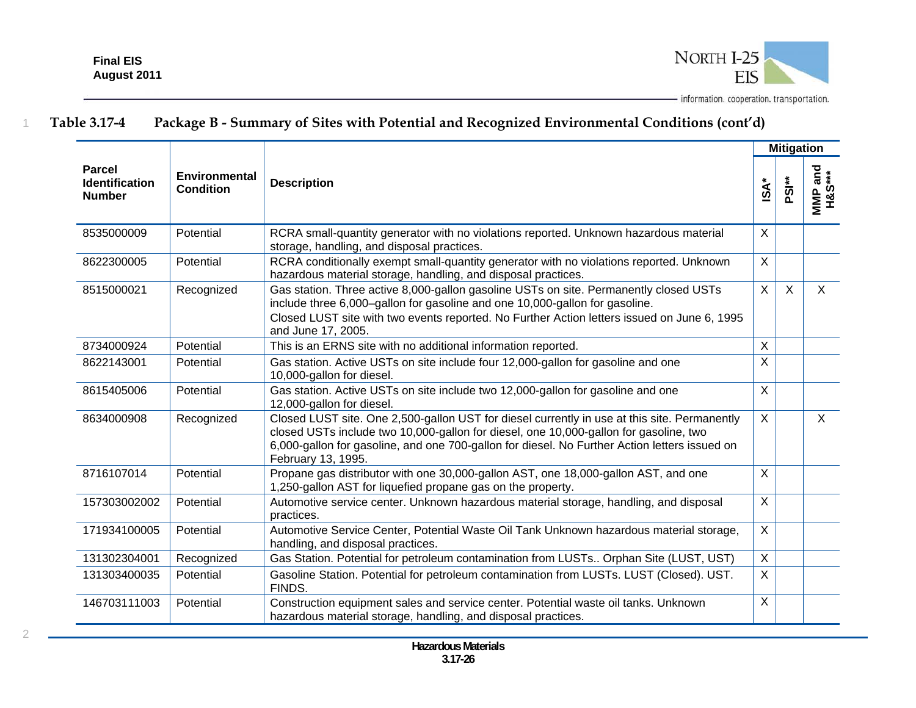

|                                                         |                                   |                                                                                                                                                                                                                                                                                                              |                           | <b>Mitigation</b> |                   |
|---------------------------------------------------------|-----------------------------------|--------------------------------------------------------------------------------------------------------------------------------------------------------------------------------------------------------------------------------------------------------------------------------------------------------------|---------------------------|-------------------|-------------------|
| <b>Parcel</b><br><b>Identification</b><br><b>Number</b> | Environmental<br><b>Condition</b> | <b>Description</b>                                                                                                                                                                                                                                                                                           | <b>iSA*</b>               | PSI <sup>**</sup> | MMP and<br>H&S*** |
| 8535000009                                              | Potential                         | RCRA small-quantity generator with no violations reported. Unknown hazardous material<br>storage, handling, and disposal practices.                                                                                                                                                                          | X                         |                   |                   |
| 8622300005                                              | Potential                         | RCRA conditionally exempt small-quantity generator with no violations reported. Unknown<br>hazardous material storage, handling, and disposal practices.                                                                                                                                                     | $\sf X$                   |                   |                   |
| 8515000021                                              | Recognized                        | Gas station. Three active 8,000-gallon gasoline USTs on site. Permanently closed USTs<br>include three 6,000-gallon for gasoline and one 10,000-gallon for gasoline.<br>Closed LUST site with two events reported. No Further Action letters issued on June 6, 1995<br>and June 17, 2005.                    | $\boldsymbol{\mathsf{X}}$ | $\mathsf{X}$      | $\mathsf{X}$      |
| 8734000924                                              | Potential                         | This is an ERNS site with no additional information reported.                                                                                                                                                                                                                                                | $\sf X$                   |                   |                   |
| 8622143001                                              | Potential                         | Gas station. Active USTs on site include four 12,000-gallon for gasoline and one<br>10,000-gallon for diesel.                                                                                                                                                                                                | X                         |                   |                   |
| 8615405006                                              | Potential                         | Gas station. Active USTs on site include two 12,000-gallon for gasoline and one<br>12,000-gallon for diesel.                                                                                                                                                                                                 | $\boldsymbol{\mathsf{X}}$ |                   |                   |
| 8634000908                                              | Recognized                        | Closed LUST site. One 2,500-gallon UST for diesel currently in use at this site. Permanently<br>closed USTs include two 10,000-gallon for diesel, one 10,000-gallon for gasoline, two<br>6,000-gallon for gasoline, and one 700-gallon for diesel. No Further Action letters issued on<br>February 13, 1995. | $\sf X$                   |                   | $\sf X$           |
| 8716107014                                              | Potential                         | Propane gas distributor with one 30,000-gallon AST, one 18,000-gallon AST, and one<br>1,250-gallon AST for liquefied propane gas on the property.                                                                                                                                                            | $\sf X$                   |                   |                   |
| 157303002002                                            | Potential                         | Automotive service center. Unknown hazardous material storage, handling, and disposal<br>practices.                                                                                                                                                                                                          | $\sf X$                   |                   |                   |
| 171934100005                                            | Potential                         | Automotive Service Center, Potential Waste Oil Tank Unknown hazardous material storage,<br>handling, and disposal practices.                                                                                                                                                                                 | $\boldsymbol{\mathsf{X}}$ |                   |                   |
| 131302304001                                            | Recognized                        | Gas Station. Potential for petroleum contamination from LUSTs Orphan Site (LUST, UST)                                                                                                                                                                                                                        | $\boldsymbol{\mathsf{X}}$ |                   |                   |
| 131303400035                                            | Potential                         | Gasoline Station. Potential for petroleum contamination from LUSTs. LUST (Closed). UST.<br>FINDS.                                                                                                                                                                                                            | X                         |                   |                   |
| 146703111003                                            | Potential                         | Construction equipment sales and service center. Potential waste oil tanks. Unknown<br>hazardous material storage, handling, and disposal practices.                                                                                                                                                         | $\overline{\mathsf{x}}$   |                   |                   |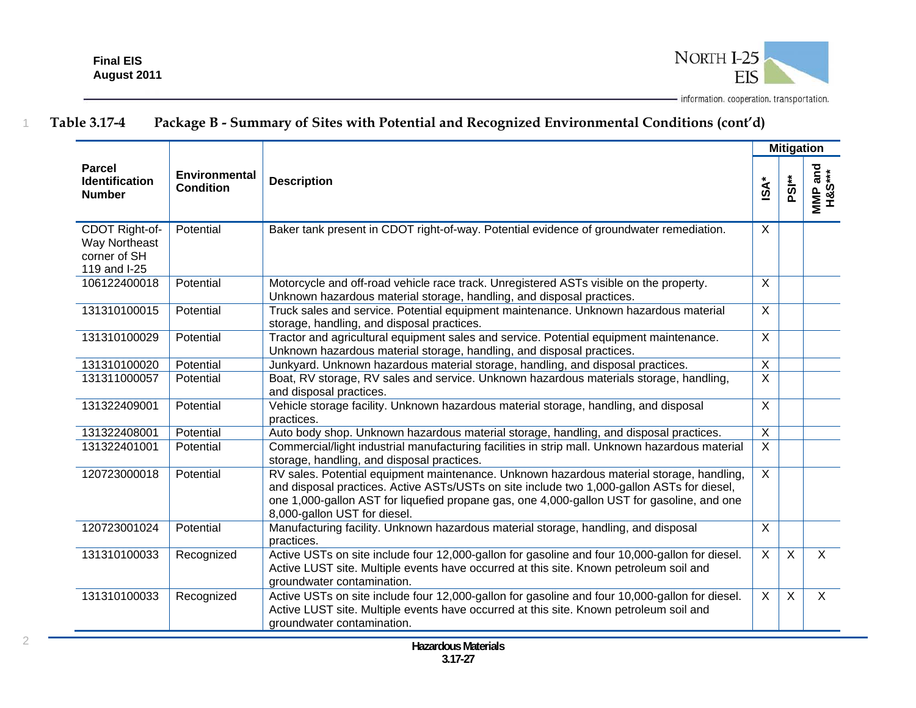

|                                                                 |                                   |                                                                                                                                                                                                                                                                                                                      |                         | <b>Mitigation</b> |                   |
|-----------------------------------------------------------------|-----------------------------------|----------------------------------------------------------------------------------------------------------------------------------------------------------------------------------------------------------------------------------------------------------------------------------------------------------------------|-------------------------|-------------------|-------------------|
| <b>Parcel</b><br><b>Identification</b><br><b>Number</b>         | Environmental<br><b>Condition</b> | <b>Description</b>                                                                                                                                                                                                                                                                                                   | $\mathsf{ISA}^*$        | PSI**             | MMP and<br>H&S*** |
| CDOT Right-of-<br>Way Northeast<br>corner of SH<br>119 and I-25 | Potential                         | Baker tank present in CDOT right-of-way. Potential evidence of groundwater remediation.                                                                                                                                                                                                                              | X                       |                   |                   |
| 106122400018                                                    | Potential                         | Motorcycle and off-road vehicle race track. Unregistered ASTs visible on the property.<br>Unknown hazardous material storage, handling, and disposal practices.                                                                                                                                                      | $\sf X$                 |                   |                   |
| 131310100015                                                    | Potential                         | Truck sales and service. Potential equipment maintenance. Unknown hazardous material<br>storage, handling, and disposal practices.                                                                                                                                                                                   | $\overline{X}$          |                   |                   |
| 131310100029                                                    | Potential                         | Tractor and agricultural equipment sales and service. Potential equipment maintenance.<br>Unknown hazardous material storage, handling, and disposal practices.                                                                                                                                                      | X                       |                   |                   |
| 131310100020                                                    | Potential                         | Junkyard. Unknown hazardous material storage, handling, and disposal practices.                                                                                                                                                                                                                                      | $\sf X$                 |                   |                   |
| 131311000057                                                    | Potential                         | Boat, RV storage, RV sales and service. Unknown hazardous materials storage, handling,<br>and disposal practices.                                                                                                                                                                                                    | $\overline{\mathsf{x}}$ |                   |                   |
| 131322409001                                                    | Potential                         | Vehicle storage facility. Unknown hazardous material storage, handling, and disposal<br>practices.                                                                                                                                                                                                                   | $\overline{X}$          |                   |                   |
| 131322408001                                                    | Potential                         | Auto body shop. Unknown hazardous material storage, handling, and disposal practices.                                                                                                                                                                                                                                | X                       |                   |                   |
| 131322401001                                                    | Potential                         | Commercial/light industrial manufacturing facilities in strip mall. Unknown hazardous material<br>storage, handling, and disposal practices.                                                                                                                                                                         | $\overline{X}$          |                   |                   |
| 120723000018                                                    | Potential                         | RV sales. Potential equipment maintenance. Unknown hazardous material storage, handling,<br>and disposal practices. Active ASTs/USTs on site include two 1,000-gallon ASTs for diesel,<br>one 1,000-gallon AST for liquefied propane gas, one 4,000-gallon UST for gasoline, and one<br>8,000-gallon UST for diesel. | $\overline{X}$          |                   |                   |
| 120723001024                                                    | Potential                         | Manufacturing facility. Unknown hazardous material storage, handling, and disposal<br>practices.                                                                                                                                                                                                                     | $\overline{X}$          |                   |                   |
| 131310100033                                                    | Recognized                        | Active USTs on site include four 12,000-gallon for gasoline and four 10,000-gallon for diesel.<br>Active LUST site. Multiple events have occurred at this site. Known petroleum soil and<br>groundwater contamination.                                                                                               | $\overline{X}$          | $\overline{X}$    | $\overline{X}$    |
| 131310100033                                                    | Recognized                        | Active USTs on site include four 12,000-gallon for gasoline and four 10,000-gallon for diesel.<br>Active LUST site. Multiple events have occurred at this site. Known petroleum soil and<br>groundwater contamination.                                                                                               | $\sf X$                 | $\mathsf{X}$      | $\mathsf{X}$      |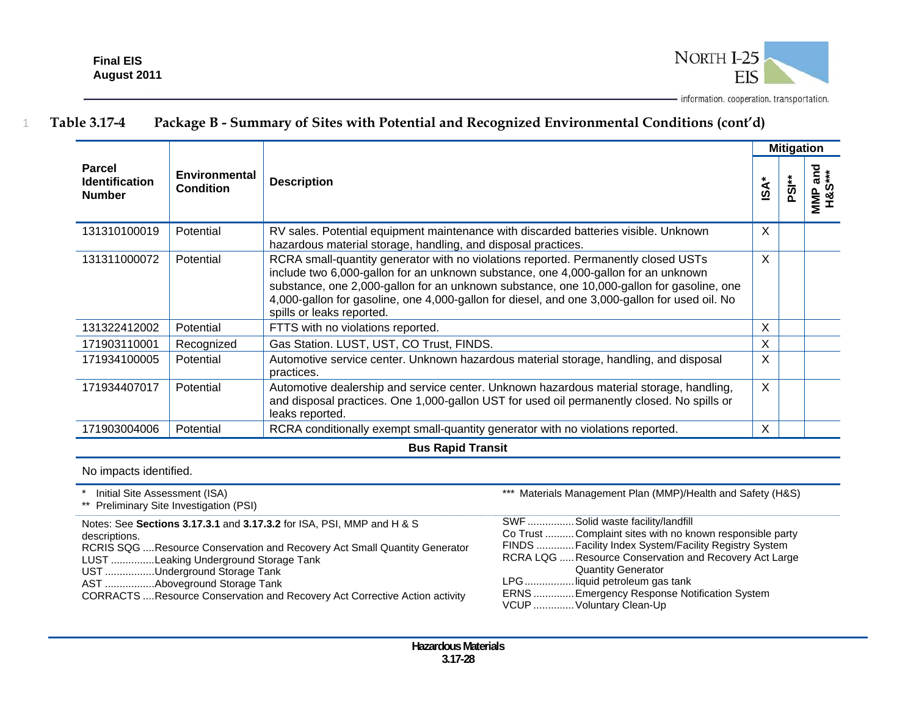1



### **Table 3.17-4 Package B - Summary of Sites with Potential and Recognized Environmental Conditions (cont'd)**

|                                                         |                                          |                                                                                                                                                                                                                                                                                                                                                                                                     |                  | <b>Mitigation</b> |                       |
|---------------------------------------------------------|------------------------------------------|-----------------------------------------------------------------------------------------------------------------------------------------------------------------------------------------------------------------------------------------------------------------------------------------------------------------------------------------------------------------------------------------------------|------------------|-------------------|-----------------------|
| <b>Parcel</b><br><b>Identification</b><br><b>Number</b> | <b>Environmental</b><br><b>Condition</b> | <b>Description</b>                                                                                                                                                                                                                                                                                                                                                                                  | isA <sup>-</sup> | **BG              | ่า amd<br>เร∗∗<br>MMP |
| 131310100019                                            | Potential                                | RV sales. Potential equipment maintenance with discarded batteries visible. Unknown<br>hazardous material storage, handling, and disposal practices.                                                                                                                                                                                                                                                | $\sf X$          |                   |                       |
| 131311000072                                            | Potential                                | RCRA small-quantity generator with no violations reported. Permanently closed USTs<br>include two 6,000-gallon for an unknown substance, one 4,000-gallon for an unknown<br>substance, one 2,000-gallon for an unknown substance, one 10,000-gallon for gasoline, one<br>4,000-gallon for gasoline, one 4,000-gallon for diesel, and one 3,000-gallon for used oil. No<br>spills or leaks reported. | X                |                   |                       |
| 131322412002                                            | Potential                                | FTTS with no violations reported.                                                                                                                                                                                                                                                                                                                                                                   | X                |                   |                       |
| 171903110001                                            | Recognized                               | Gas Station. LUST, UST, CO Trust, FINDS.                                                                                                                                                                                                                                                                                                                                                            | X                |                   |                       |
| 171934100005                                            | Potential                                | Automotive service center. Unknown hazardous material storage, handling, and disposal<br>practices.                                                                                                                                                                                                                                                                                                 | X                |                   |                       |
| 171934407017                                            | Potential                                | Automotive dealership and service center. Unknown hazardous material storage, handling,<br>and disposal practices. One 1,000-gallon UST for used oil permanently closed. No spills or<br>leaks reported.                                                                                                                                                                                            | $\sf X$          |                   |                       |
| 171903004006                                            | Potential                                | RCRA conditionally exempt small-quantity generator with no violations reported.                                                                                                                                                                                                                                                                                                                     | X                |                   |                       |
|                                                         |                                          | <b>Rue Danid Traneit</b>                                                                                                                                                                                                                                                                                                                                                                            |                  |                   |                       |

**Bus Rapid Transit** 

No impacts identified.

\* Initial Site Assessment (ISA)

\*\* Preliminary Site Investigation (PSI)

Notes: See **Sections 3.17.3.1** and **3.17.3.2** for ISA, PSI, MMP and H & S descriptions.

RCRIS SQG .... Resource Conservation and Recovery Act Small Quantity Generator

LUST ............... Leaking Underground Storage Tank

UST .................Underground Storage Tank

AST ................. Aboveground Storage Tank

CORRACTS .... Resource Conservation and Recovery Act Corrective Action activity

\*\*\* Materials Management Plan (MMP)/Health and Safety (H&S)

| SWF  Solid waste facility/landfill                        |
|-----------------------------------------------------------|
| Co Trust  Complaint sites with no known responsible party |
| FINDS  Facility Index System/Facility Registry System     |
| RCRA LQG  Resource Conservation and Recovery Act Large    |
| <b>Quantity Generator</b>                                 |
| LPGliquid petroleum gas tank                              |
| ERNS  Emergency Response Notification System              |
| VCUP  Voluntary Clean-Up                                  |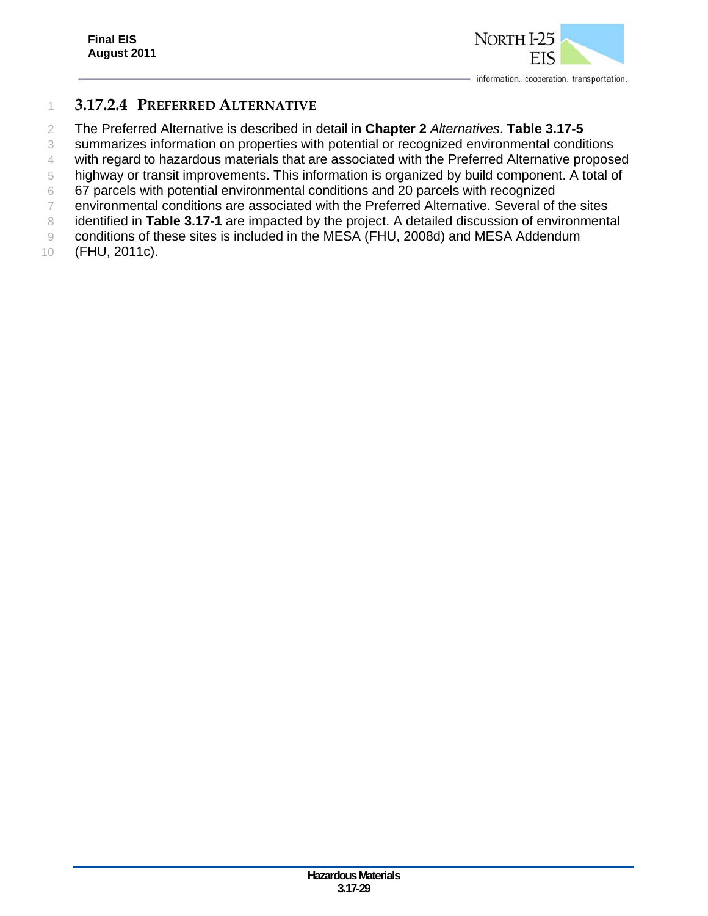

### **3.17.2.4 PREFERRED ALTERNATIVE**

The Preferred Alternative is described in detail in **Chapter 2** *Alternatives*. **Table 3.17-5**

summarizes information on properties with potential or recognized environmental conditions

with regard to hazardous materials that are associated with the Preferred Alternative proposed

highway or transit improvements. This information is organized by build component. A total of

67 parcels with potential environmental conditions and 20 parcels with recognized

environmental conditions are associated with the Preferred Alternative. Several of the sites

 identified in **Table 3.17-1** are impacted by the project. A detailed discussion of environmental conditions of these sites is included in the MESA (FHU, 2008d) and MESA Addendum

(FHU, 2011c).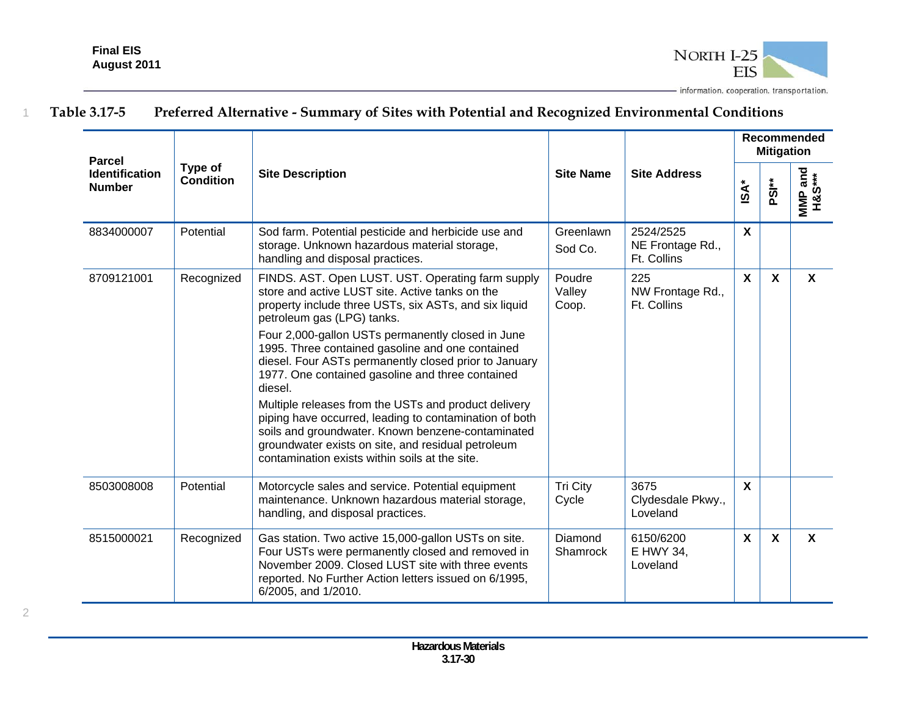

| <b>Parcel</b>                          |                             |                                                                                                                                                                                                                                                                                                                                                                                                                                                                                                                                                                                                                                                                                                             |                           |                                              | Recommended<br><b>Mitigation</b> |                           |                           |
|----------------------------------------|-----------------------------|-------------------------------------------------------------------------------------------------------------------------------------------------------------------------------------------------------------------------------------------------------------------------------------------------------------------------------------------------------------------------------------------------------------------------------------------------------------------------------------------------------------------------------------------------------------------------------------------------------------------------------------------------------------------------------------------------------------|---------------------------|----------------------------------------------|----------------------------------|---------------------------|---------------------------|
| <b>Identification</b><br><b>Number</b> | Type of<br><b>Condition</b> | <b>Site Description</b>                                                                                                                                                                                                                                                                                                                                                                                                                                                                                                                                                                                                                                                                                     | <b>Site Name</b>          | <b>Site Address</b>                          | $\mathsf{ISA}^*$                 | PSI <sup>**</sup>         | MMP and<br>H&S***         |
| 8834000007                             | Potential                   | Sod farm. Potential pesticide and herbicide use and<br>storage. Unknown hazardous material storage,<br>handling and disposal practices.                                                                                                                                                                                                                                                                                                                                                                                                                                                                                                                                                                     | Greenlawn<br>Sod Co.      | 2524/2525<br>NE Frontage Rd.,<br>Ft. Collins | $\boldsymbol{\mathsf{X}}$        |                           |                           |
| 8709121001                             | Recognized                  | FINDS. AST. Open LUST. UST. Operating farm supply<br>store and active LUST site. Active tanks on the<br>property include three USTs, six ASTs, and six liquid<br>petroleum gas (LPG) tanks.<br>Four 2,000-gallon USTs permanently closed in June<br>1995. Three contained gasoline and one contained<br>diesel. Four ASTs permanently closed prior to January<br>1977. One contained gasoline and three contained<br>diesel.<br>Multiple releases from the USTs and product delivery<br>piping have occurred, leading to contamination of both<br>soils and groundwater. Known benzene-contaminated<br>groundwater exists on site, and residual petroleum<br>contamination exists within soils at the site. | Poudre<br>Valley<br>Coop. | 225<br>NW Frontage Rd.,<br>Ft. Collins       | $\mathbf{x}$                     | $\boldsymbol{\mathsf{X}}$ | $\boldsymbol{\mathsf{X}}$ |
| 8503008008                             | Potential                   | Motorcycle sales and service. Potential equipment<br>maintenance. Unknown hazardous material storage,<br>handling, and disposal practices.                                                                                                                                                                                                                                                                                                                                                                                                                                                                                                                                                                  | <b>Tri City</b><br>Cycle  | 3675<br>Clydesdale Pkwy.,<br>Loveland        | $\mathbf{x}$                     |                           |                           |
| 8515000021                             | Recognized                  | Gas station. Two active 15,000-gallon USTs on site.<br>Four USTs were permanently closed and removed in<br>November 2009. Closed LUST site with three events<br>reported. No Further Action letters issued on 6/1995,<br>6/2005, and 1/2010.                                                                                                                                                                                                                                                                                                                                                                                                                                                                | Diamond<br>Shamrock       | 6150/6200<br>E HWY 34,<br>Loveland           | $\mathsf{x}$                     | $\boldsymbol{\mathsf{X}}$ | $\boldsymbol{\mathsf{X}}$ |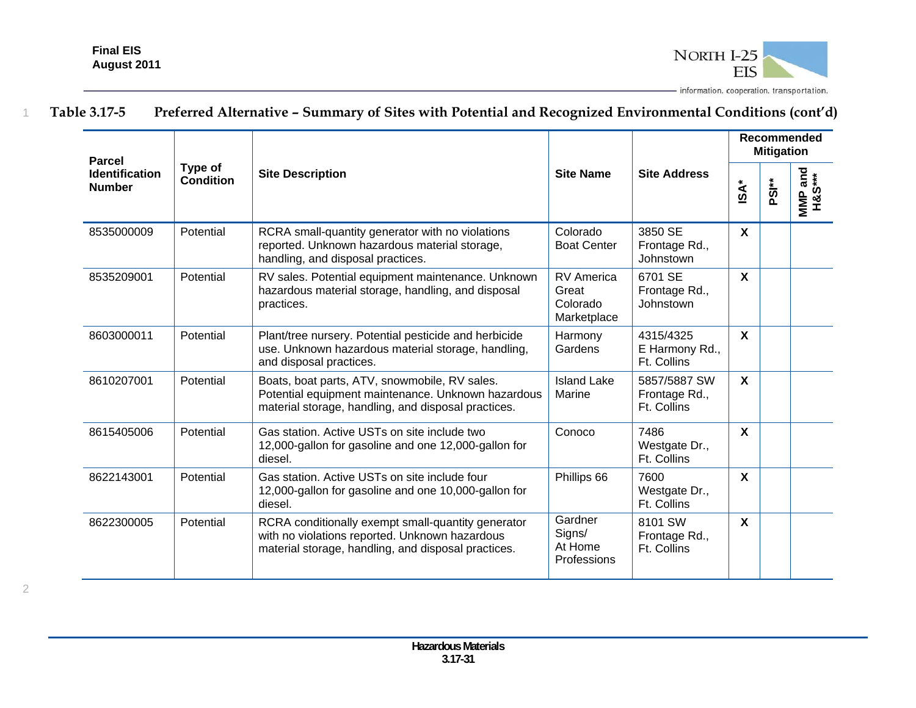

| <b>Parcel</b>                          | Type of   |                                                                                                                                                             |                                                       |                                              |                           |                   |                            | <b>Mitigation</b> | Recommended |
|----------------------------------------|-----------|-------------------------------------------------------------------------------------------------------------------------------------------------------------|-------------------------------------------------------|----------------------------------------------|---------------------------|-------------------|----------------------------|-------------------|-------------|
| <b>Identification</b><br><b>Number</b> | Condition | <b>Site Description</b>                                                                                                                                     | <b>Site Name</b>                                      | <b>Site Address</b>                          | <b>iSA*</b>               | PSI <sup>**</sup> | wiwiP and<br>H&S***<br>MMP |                   |             |
| 8535000009                             | Potential | RCRA small-quantity generator with no violations<br>reported. Unknown hazardous material storage,<br>handling, and disposal practices.                      | Colorado<br><b>Boat Center</b>                        | 3850 SE<br>Frontage Rd.,<br>Johnstown        | $\boldsymbol{\mathsf{X}}$ |                   |                            |                   |             |
| 8535209001                             | Potential | RV sales. Potential equipment maintenance. Unknown<br>hazardous material storage, handling, and disposal<br>practices.                                      | <b>RV</b> America<br>Great<br>Colorado<br>Marketplace | 6701 SE<br>Frontage Rd.,<br>Johnstown        | $\mathbf{x}$              |                   |                            |                   |             |
| 8603000011                             | Potential | Plant/tree nursery. Potential pesticide and herbicide<br>use. Unknown hazardous material storage, handling,<br>and disposal practices.                      | Harmony<br>Gardens                                    | 4315/4325<br>E Harmony Rd.,<br>Ft. Collins   | $\mathbf{x}$              |                   |                            |                   |             |
| 8610207001                             | Potential | Boats, boat parts, ATV, snowmobile, RV sales.<br>Potential equipment maintenance. Unknown hazardous<br>material storage, handling, and disposal practices.  | <b>Island Lake</b><br>Marine                          | 5857/5887 SW<br>Frontage Rd.,<br>Ft. Collins | $\mathsf{X}$              |                   |                            |                   |             |
| 8615405006                             | Potential | Gas station. Active USTs on site include two<br>12,000-gallon for gasoline and one 12,000-gallon for<br>diesel.                                             | Conoco                                                | 7486<br>Westgate Dr.,<br>Ft. Collins         | $\mathbf{x}$              |                   |                            |                   |             |
| 8622143001                             | Potential | Gas station. Active USTs on site include four<br>12,000-gallon for gasoline and one 10,000-gallon for<br>diesel.                                            | Phillips 66                                           | 7600<br>Westgate Dr.,<br>Ft. Collins         | $\mathbf{x}$              |                   |                            |                   |             |
| 8622300005                             | Potential | RCRA conditionally exempt small-quantity generator<br>with no violations reported. Unknown hazardous<br>material storage, handling, and disposal practices. | Gardner<br>Signs/<br>At Home<br>Professions           | 8101 SW<br>Frontage Rd.,<br>Ft. Collins      | $\mathbf{x}$              |                   |                            |                   |             |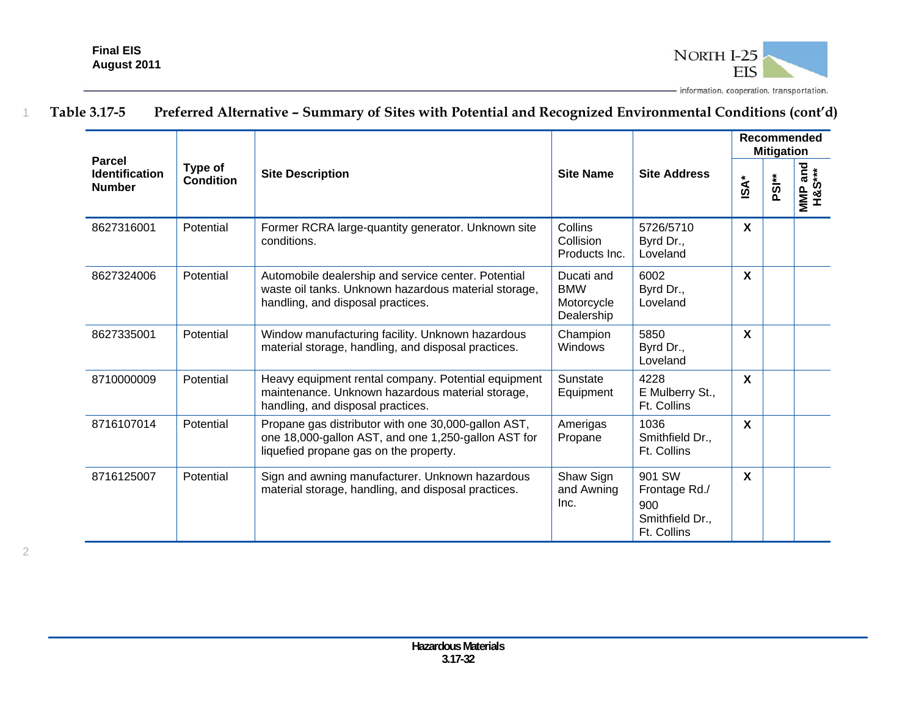

| <b>Parcel</b><br><b>Identification</b><br><b>Number</b> |                             | <b>Site Description</b>                                                                                                                              | <b>Site Name</b>                                     |                                                                  | Recommended<br><b>Mitigation</b> |                   |                                         |  |  |
|---------------------------------------------------------|-----------------------------|------------------------------------------------------------------------------------------------------------------------------------------------------|------------------------------------------------------|------------------------------------------------------------------|----------------------------------|-------------------|-----------------------------------------|--|--|
|                                                         | Type of<br><b>Condition</b> |                                                                                                                                                      |                                                      | <b>Site Address</b>                                              | <b>iSA*</b>                      | PSI <sup>**</sup> | Trand<br>H&S***<br>H&S***<br><b>MMP</b> |  |  |
| 8627316001                                              | Potential                   | Former RCRA large-quantity generator. Unknown site<br>conditions.                                                                                    | Collins<br>Collision<br>Products Inc.                | 5726/5710<br>Byrd Dr.,<br>Loveland                               | X                                |                   |                                         |  |  |
| 8627324006                                              | Potential                   | Automobile dealership and service center. Potential<br>waste oil tanks. Unknown hazardous material storage,<br>handling, and disposal practices.     | Ducati and<br><b>BMW</b><br>Motorcycle<br>Dealership | 6002<br>Byrd Dr.,<br>Loveland                                    | X                                |                   |                                         |  |  |
| 8627335001                                              | Potential                   | Window manufacturing facility. Unknown hazardous<br>material storage, handling, and disposal practices.                                              | Champion<br>Windows                                  | 5850<br>Byrd Dr.,<br>Loveland                                    | X                                |                   |                                         |  |  |
| 8710000009                                              | Potential                   | Heavy equipment rental company. Potential equipment<br>maintenance. Unknown hazardous material storage,<br>handling, and disposal practices.         | Sunstate<br>Equipment                                | 4228<br>E Mulberry St.,<br>Ft. Collins                           | X                                |                   |                                         |  |  |
| 8716107014                                              | Potential                   | Propane gas distributor with one 30,000-gallon AST,<br>one 18,000-gallon AST, and one 1,250-gallon AST for<br>liquefied propane gas on the property. | Amerigas<br>Propane                                  | 1036<br>Smithfield Dr.,<br>Ft. Collins                           | $\boldsymbol{\mathsf{X}}$        |                   |                                         |  |  |
| 8716125007                                              | Potential                   | Sign and awning manufacturer. Unknown hazardous<br>material storage, handling, and disposal practices.                                               | Shaw Sign<br>and Awning<br>Inc.                      | 901 SW<br>Frontage Rd./<br>900<br>Smithfield Dr.,<br>Ft. Collins | $\boldsymbol{\mathsf{X}}$        |                   |                                         |  |  |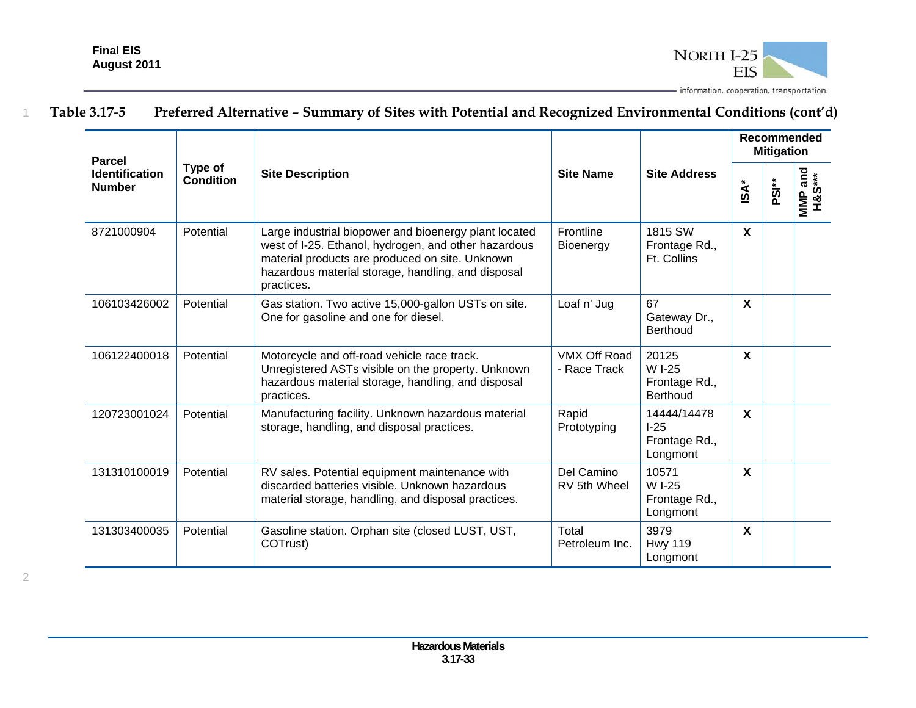

| <b>Parcel</b><br><b>Identification</b><br><b>Number</b> | Type of<br>Condition |                                                                                                                                                                                                                                      |                                     | <b>Site Address</b>                                 | Recommended<br><b>Mitigation</b> |                   |                            |  |
|---------------------------------------------------------|----------------------|--------------------------------------------------------------------------------------------------------------------------------------------------------------------------------------------------------------------------------------|-------------------------------------|-----------------------------------------------------|----------------------------------|-------------------|----------------------------|--|
|                                                         |                      | <b>Site Description</b>                                                                                                                                                                                                              | <b>Site Name</b>                    |                                                     | <b>iSA*</b>                      | PSI <sup>**</sup> | H&S***<br>MMP <sub>3</sub> |  |
| 8721000904                                              | Potential            | Large industrial biopower and bioenergy plant located<br>west of I-25. Ethanol, hydrogen, and other hazardous<br>material products are produced on site. Unknown<br>hazardous material storage, handling, and disposal<br>practices. | Frontline<br>Bioenergy              | 1815 SW<br>Frontage Rd.,<br>Ft. Collins             | $\boldsymbol{\mathsf{X}}$        |                   |                            |  |
| 106103426002                                            | Potential            | Gas station. Two active 15,000-gallon USTs on site.<br>One for gasoline and one for diesel.                                                                                                                                          | Loaf n' Jug                         | 67<br>Gateway Dr.,<br>Berthoud                      | $\boldsymbol{\mathsf{X}}$        |                   |                            |  |
| 106122400018                                            | Potential            | Motorcycle and off-road vehicle race track.<br>Unregistered ASTs visible on the property. Unknown<br>hazardous material storage, handling, and disposal<br>practices.                                                                | <b>VMX Off Road</b><br>- Race Track | 20125<br>W I-25<br>Frontage Rd.,<br><b>Berthoud</b> | X                                |                   |                            |  |
| 120723001024                                            | Potential            | Manufacturing facility. Unknown hazardous material<br>storage, handling, and disposal practices.                                                                                                                                     | Rapid<br>Prototyping                | 14444/14478<br>$I-25$<br>Frontage Rd.,<br>Longmont  | $\boldsymbol{\mathsf{X}}$        |                   |                            |  |
| 131310100019                                            | Potential            | RV sales. Potential equipment maintenance with<br>discarded batteries visible. Unknown hazardous<br>material storage, handling, and disposal practices.                                                                              | Del Camino<br>RV 5th Wheel          | 10571<br>W I-25<br>Frontage Rd.,<br>Longmont        | X                                |                   |                            |  |
| 131303400035                                            | Potential            | Gasoline station. Orphan site (closed LUST, UST,<br>COTrust)                                                                                                                                                                         | Total<br>Petroleum Inc.             | 3979<br><b>Hwy 119</b><br>Longmont                  | $\boldsymbol{\mathsf{X}}$        |                   |                            |  |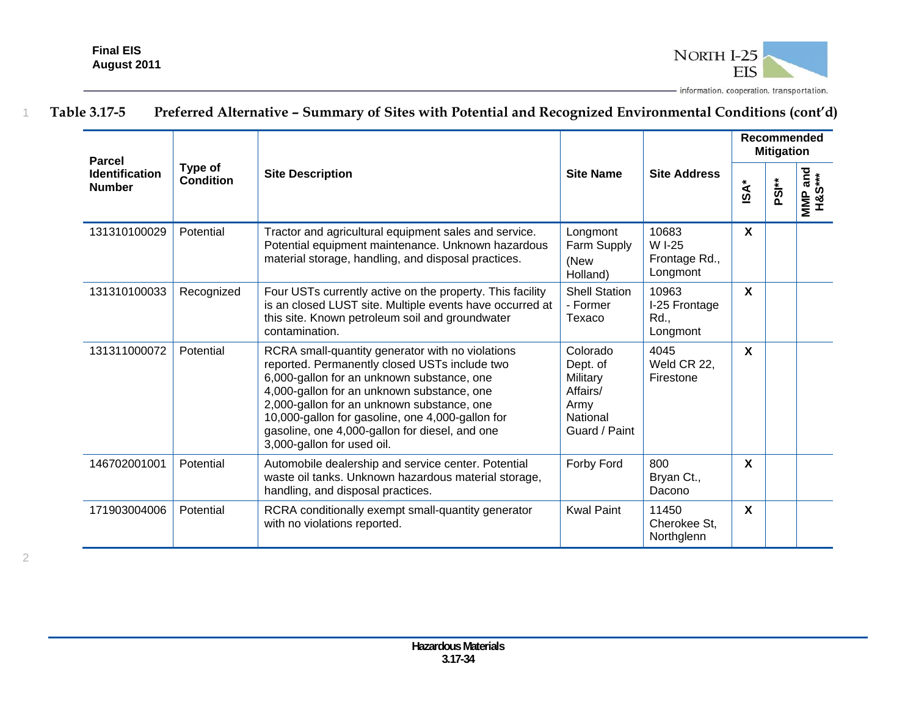

| <b>Parcel</b>                          |                             |                                                                                                                                                                                                                                                                                                                                                                                 |                                                                                   |                                              | Recommended<br><b>Mitigation</b> |                   |                                  |  |
|----------------------------------------|-----------------------------|---------------------------------------------------------------------------------------------------------------------------------------------------------------------------------------------------------------------------------------------------------------------------------------------------------------------------------------------------------------------------------|-----------------------------------------------------------------------------------|----------------------------------------------|----------------------------------|-------------------|----------------------------------|--|
| <b>Identification</b><br><b>Number</b> | Type of<br><b>Condition</b> | <b>Site Description</b>                                                                                                                                                                                                                                                                                                                                                         | <b>Site Name</b>                                                                  | <b>Site Address</b>                          | iSA*                             | PSI <sup>**</sup> | The Sand<br>H&S***<br><b>MMP</b> |  |
| 131310100029                           | Potential                   | Tractor and agricultural equipment sales and service.<br>Potential equipment maintenance. Unknown hazardous<br>material storage, handling, and disposal practices.                                                                                                                                                                                                              | Longmont<br>Farm Supply<br>(New<br>Holland)                                       | 10683<br>W I-25<br>Frontage Rd.,<br>Longmont | X                                |                   |                                  |  |
| 131310100033                           | Recognized                  | Four USTs currently active on the property. This facility<br>is an closed LUST site. Multiple events have occurred at<br>this site. Known petroleum soil and groundwater<br>contamination.                                                                                                                                                                                      | <b>Shell Station</b><br>- Former<br>Texaco                                        | 10963<br>I-25 Frontage<br>Rd.,<br>Longmont   | $\mathbf{x}$                     |                   |                                  |  |
| 131311000072                           | Potential                   | RCRA small-quantity generator with no violations<br>reported. Permanently closed USTs include two<br>6,000-gallon for an unknown substance, one<br>4,000-gallon for an unknown substance, one<br>2,000-gallon for an unknown substance, one<br>10,000-gallon for gasoline, one 4,000-gallon for<br>gasoline, one 4,000-gallon for diesel, and one<br>3,000-gallon for used oil. | Colorado<br>Dept. of<br>Military<br>Affairs/<br>Army<br>National<br>Guard / Paint | 4045<br>Weld CR 22,<br>Firestone             | X                                |                   |                                  |  |
| 146702001001                           | Potential                   | Automobile dealership and service center. Potential<br>waste oil tanks. Unknown hazardous material storage,<br>handling, and disposal practices.                                                                                                                                                                                                                                | Forby Ford                                                                        | 800<br>Bryan Ct.,<br>Dacono                  | $\boldsymbol{\mathsf{X}}$        |                   |                                  |  |
| 171903004006                           | Potential                   | RCRA conditionally exempt small-quantity generator<br>with no violations reported.                                                                                                                                                                                                                                                                                              | <b>Kwal Paint</b>                                                                 | 11450<br>Cherokee St.<br>Northglenn          | $\boldsymbol{\mathsf{X}}$        |                   |                                  |  |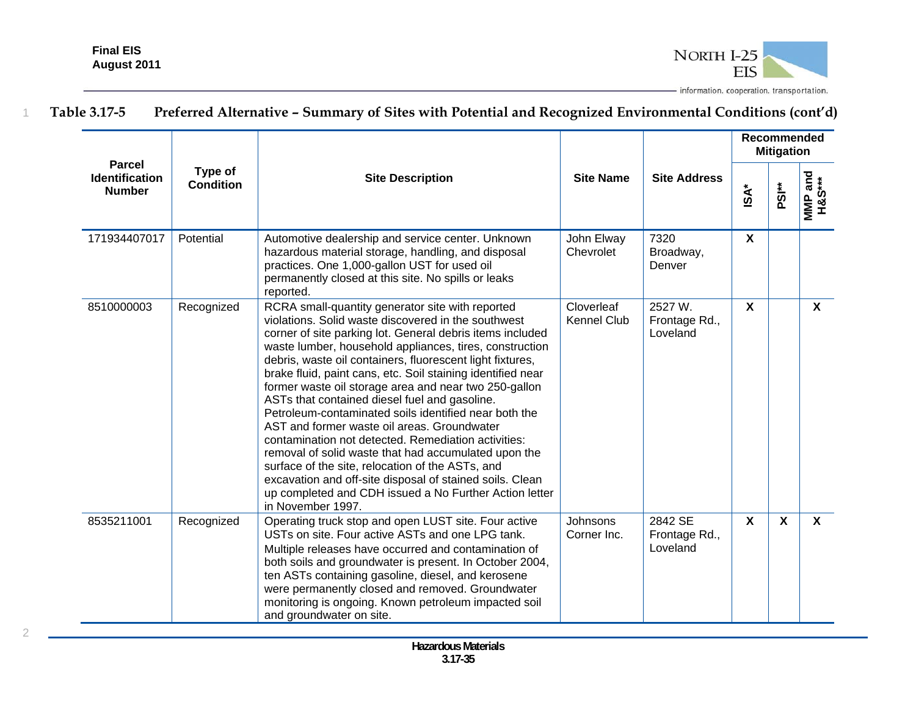

|                                                         |                             |                                                                                                                                                                                                                                                                                                                                                                                                                                                                                                                                                                                                                                                                                                                                                                                                                                                                                             |                                  |                                      | <b>Recommended</b><br><b>Mitigation</b> |                           |                   |  |  |
|---------------------------------------------------------|-----------------------------|---------------------------------------------------------------------------------------------------------------------------------------------------------------------------------------------------------------------------------------------------------------------------------------------------------------------------------------------------------------------------------------------------------------------------------------------------------------------------------------------------------------------------------------------------------------------------------------------------------------------------------------------------------------------------------------------------------------------------------------------------------------------------------------------------------------------------------------------------------------------------------------------|----------------------------------|--------------------------------------|-----------------------------------------|---------------------------|-------------------|--|--|
| <b>Parcel</b><br><b>Identification</b><br><b>Number</b> | Type of<br><b>Condition</b> | <b>Site Description</b>                                                                                                                                                                                                                                                                                                                                                                                                                                                                                                                                                                                                                                                                                                                                                                                                                                                                     | <b>Site Name</b>                 | <b>Site Address</b>                  | $\mathsf{ISA}^*$                        | PSI <sup>**</sup>         | MMP and<br>H&S*** |  |  |
| 171934407017                                            | Potential                   | Automotive dealership and service center. Unknown<br>hazardous material storage, handling, and disposal<br>practices. One 1,000-gallon UST for used oil<br>permanently closed at this site. No spills or leaks<br>reported.                                                                                                                                                                                                                                                                                                                                                                                                                                                                                                                                                                                                                                                                 | John Elway<br>Chevrolet          | 7320<br>Broadway,<br>Denver          | $\mathsf{x}$                            |                           |                   |  |  |
| 8510000003                                              | Recognized                  | RCRA small-quantity generator site with reported<br>violations. Solid waste discovered in the southwest<br>corner of site parking lot. General debris items included<br>waste lumber, household appliances, tires, construction<br>debris, waste oil containers, fluorescent light fixtures,<br>brake fluid, paint cans, etc. Soil staining identified near<br>former waste oil storage area and near two 250-gallon<br>ASTs that contained diesel fuel and gasoline.<br>Petroleum-contaminated soils identified near both the<br>AST and former waste oil areas, Groundwater<br>contamination not detected. Remediation activities:<br>removal of solid waste that had accumulated upon the<br>surface of the site, relocation of the ASTs, and<br>excavation and off-site disposal of stained soils. Clean<br>up completed and CDH issued a No Further Action letter<br>in November 1997. | Cloverleaf<br><b>Kennel Club</b> | 2527 W.<br>Frontage Rd.,<br>Loveland | $\boldsymbol{\mathsf{X}}$               |                           | $\mathbf{x}$      |  |  |
| 8535211001                                              | Recognized                  | Operating truck stop and open LUST site. Four active<br>USTs on site. Four active ASTs and one LPG tank.<br>Multiple releases have occurred and contamination of<br>both soils and groundwater is present. In October 2004,<br>ten ASTs containing gasoline, diesel, and kerosene<br>were permanently closed and removed. Groundwater<br>monitoring is ongoing. Known petroleum impacted soil<br>and groundwater on site.                                                                                                                                                                                                                                                                                                                                                                                                                                                                   | <b>Johnsons</b><br>Corner Inc.   | 2842 SE<br>Frontage Rd.,<br>Loveland | $\mathbf{x}$                            | $\boldsymbol{\mathsf{X}}$ | $\mathbf{x}$      |  |  |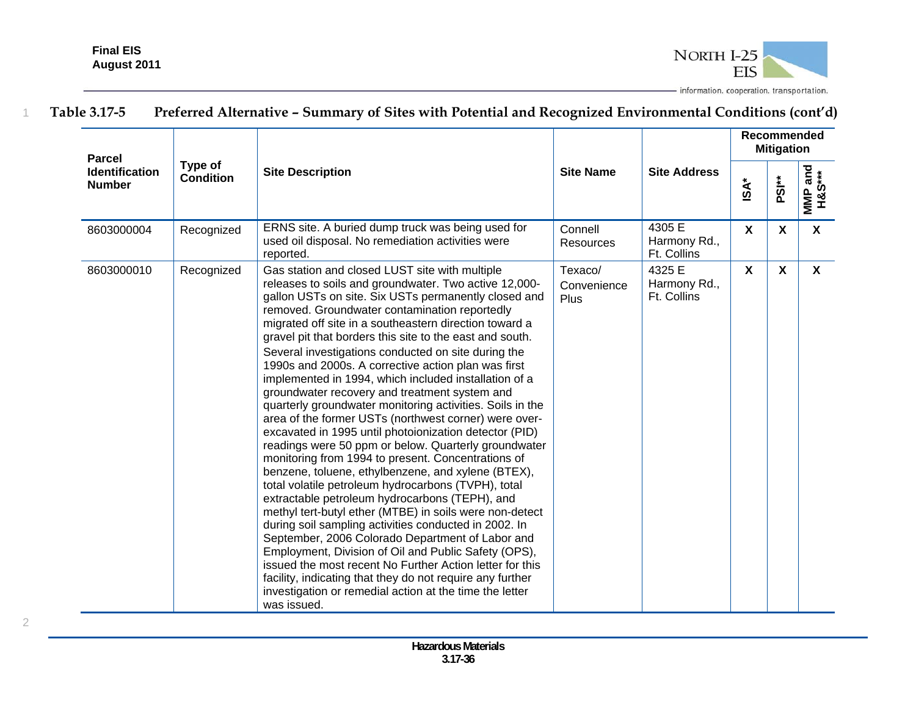

| <b>Parcel</b><br><b>Identification</b> |                             | <b>Site Name</b><br><b>Site Description</b><br>4305 E<br>ERNS site. A buried dump truck was being used for<br>Connell                                                                                                                                                                                                                                                                                                                                                                                                                                                                                                                                                                                                                                                                                                                                                                                                                                                                                                                                                                                                |                                       |                                       | <b>Recommended</b><br><b>Mitigation</b> |                           |                   |  |  |  |
|----------------------------------------|-----------------------------|----------------------------------------------------------------------------------------------------------------------------------------------------------------------------------------------------------------------------------------------------------------------------------------------------------------------------------------------------------------------------------------------------------------------------------------------------------------------------------------------------------------------------------------------------------------------------------------------------------------------------------------------------------------------------------------------------------------------------------------------------------------------------------------------------------------------------------------------------------------------------------------------------------------------------------------------------------------------------------------------------------------------------------------------------------------------------------------------------------------------|---------------------------------------|---------------------------------------|-----------------------------------------|---------------------------|-------------------|--|--|--|
| <b>Number</b>                          | Type of<br><b>Condition</b> |                                                                                                                                                                                                                                                                                                                                                                                                                                                                                                                                                                                                                                                                                                                                                                                                                                                                                                                                                                                                                                                                                                                      |                                       | <b>Site Address</b>                   | $\mathsf{ISA}^*$                        | PSI <sup>**</sup>         | MMP and<br>H&S*** |  |  |  |
| 8603000004                             | Recognized                  | used oil disposal. No remediation activities were<br>reported.                                                                                                                                                                                                                                                                                                                                                                                                                                                                                                                                                                                                                                                                                                                                                                                                                                                                                                                                                                                                                                                       | Resources                             | Harmony Rd.,<br>Ft. Collins           | X                                       | X                         | $\mathsf{X}$      |  |  |  |
| 8603000010                             | Recognized                  | Gas station and closed LUST site with multiple<br>releases to soils and groundwater. Two active 12,000-<br>gallon USTs on site. Six USTs permanently closed and<br>removed. Groundwater contamination reportedly<br>migrated off site in a southeastern direction toward a<br>gravel pit that borders this site to the east and south.                                                                                                                                                                                                                                                                                                                                                                                                                                                                                                                                                                                                                                                                                                                                                                               | Texaco/<br>Convenience<br><b>Plus</b> | 4325 E<br>Harmony Rd.,<br>Ft. Collins | $\mathsf{X}$                            | $\boldsymbol{\mathsf{X}}$ | $\mathsf{X}$      |  |  |  |
|                                        |                             | Several investigations conducted on site during the<br>1990s and 2000s. A corrective action plan was first<br>implemented in 1994, which included installation of a<br>groundwater recovery and treatment system and<br>quarterly groundwater monitoring activities. Soils in the<br>area of the former USTs (northwest corner) were over-<br>excavated in 1995 until photoionization detector (PID)<br>readings were 50 ppm or below. Quarterly groundwater<br>monitoring from 1994 to present. Concentrations of<br>benzene, toluene, ethylbenzene, and xylene (BTEX),<br>total volatile petroleum hydrocarbons (TVPH), total<br>extractable petroleum hydrocarbons (TEPH), and<br>methyl tert-butyl ether (MTBE) in soils were non-detect<br>during soil sampling activities conducted in 2002. In<br>September, 2006 Colorado Department of Labor and<br>Employment, Division of Oil and Public Safety (OPS),<br>issued the most recent No Further Action letter for this<br>facility, indicating that they do not require any further<br>investigation or remedial action at the time the letter<br>was issued. |                                       |                                       |                                         |                           |                   |  |  |  |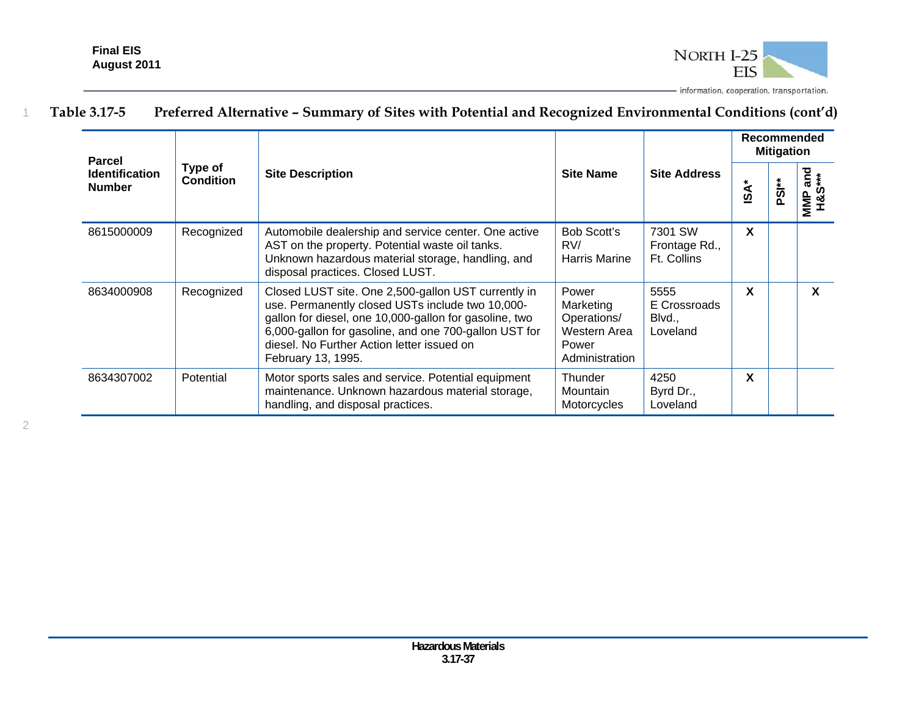

| <b>Parcel</b>                          |                             |                                                                                                                                                                                                                                                                                                |                                                                              |                                            | Recommended<br><b>Mitigation</b> |                   |                                 |  |
|----------------------------------------|-----------------------------|------------------------------------------------------------------------------------------------------------------------------------------------------------------------------------------------------------------------------------------------------------------------------------------------|------------------------------------------------------------------------------|--------------------------------------------|----------------------------------|-------------------|---------------------------------|--|
| <b>Identification</b><br><b>Number</b> | Type of<br><b>Condition</b> | <b>Site Description</b>                                                                                                                                                                                                                                                                        | <b>Site Name</b>                                                             | <b>Site Address</b>                        | iSA*                             | PSI <sup>**</sup> | and<br>***<br><b>SSH</b><br>MMP |  |
| 8615000009                             | Recognized                  | Automobile dealership and service center. One active<br>AST on the property. Potential waste oil tanks.<br>Unknown hazardous material storage, handling, and<br>disposal practices. Closed LUST.                                                                                               | <b>Bob Scott's</b><br>RV/<br>Harris Marine                                   | 7301 SW<br>Frontage Rd.,<br>Ft. Collins    | X                                |                   |                                 |  |
| 8634000908                             | Recognized                  | Closed LUST site. One 2,500-gallon UST currently in<br>use. Permanently closed USTs include two 10,000-<br>gallon for diesel, one 10,000-gallon for gasoline, two<br>6,000-gallon for gasoline, and one 700-gallon UST for<br>diesel. No Further Action letter issued on<br>February 13, 1995. | Power<br>Marketing<br>Operations/<br>Western Area<br>Power<br>Administration | 5555<br>E Crossroads<br>Blvd.,<br>Loveland | X                                |                   | X                               |  |
| 8634307002                             | Potential                   | Motor sports sales and service. Potential equipment<br>maintenance. Unknown hazardous material storage,<br>handling, and disposal practices.                                                                                                                                                   | Thunder<br>Mountain<br>Motorcycles                                           | 4250<br>Byrd Dr.,<br>Loveland              | X                                |                   |                                 |  |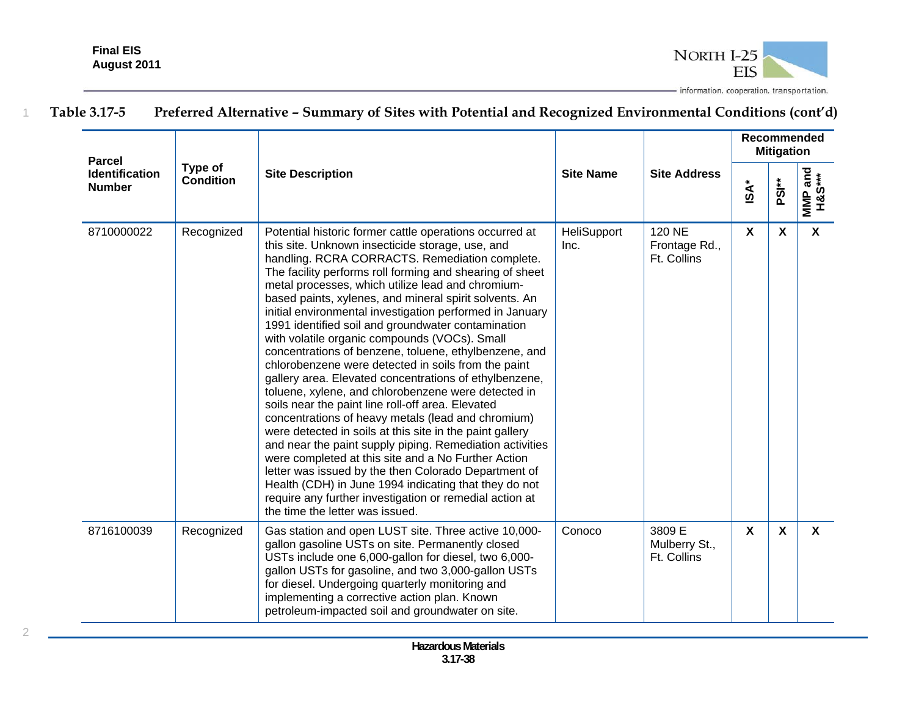

#### **Recommended Mitigation Parcel Type of MMP and**  and **Identification Condition Site Description Site Address Condition** Site Address **H&S\*\*\* ISA\* PSI\*\* Number MINP X X X** 8710000022 Recognized Potential historic former cattle operations occurred at **HeliSupport** 120 NE this site. Unknown insecticide storage, use, and Inc. Frontage Rd., handling. RCRA CORRACTS. Remediation complete. Ft. Collins The facility performs roll forming and shearing of sheet metal processes, which utilize lead and chromiumbased paints, xylenes, and mineral spirit solvents. An initial environmental investigation performed in January 1991 identified soil and groundwater contamination with volatile organic compounds (VOCs). Small concentrations of benzene, toluene, ethylbenzene, and chlorobenzene were detected in soils from the paint gallery area. Elevated concentrations of ethylbenzene, toluene, xylene, and chlorobenzene were detected in soils near the paint line roll-off area. Elevated concentrations of heavy metals (lead and chromium) were detected in soils at this site in the paint gallery and near the paint supply piping. Remediation activities were completed at this site and a No Further Action letter was issued by the then Colorado Department of Health (CDH) in June 1994 indicating that they do not require any further investigation or remedial action at the time the letter was issued. **X X X** Conoco | 3809 E 8716100039 Recognized Gas station and open LUST site. Three active 10,000 gallon gasoline USTs on site. Permanently closed Mulberry St., USTs include one 6,000-gallon for diesel, two 6,000- Ft. Collins gallon USTs for gasoline, and two 3,000-gallon USTs for diesel. Undergoing quarterly monitoring and implementing a corrective action plan. Known petroleum-impacted soil and groundwater on site.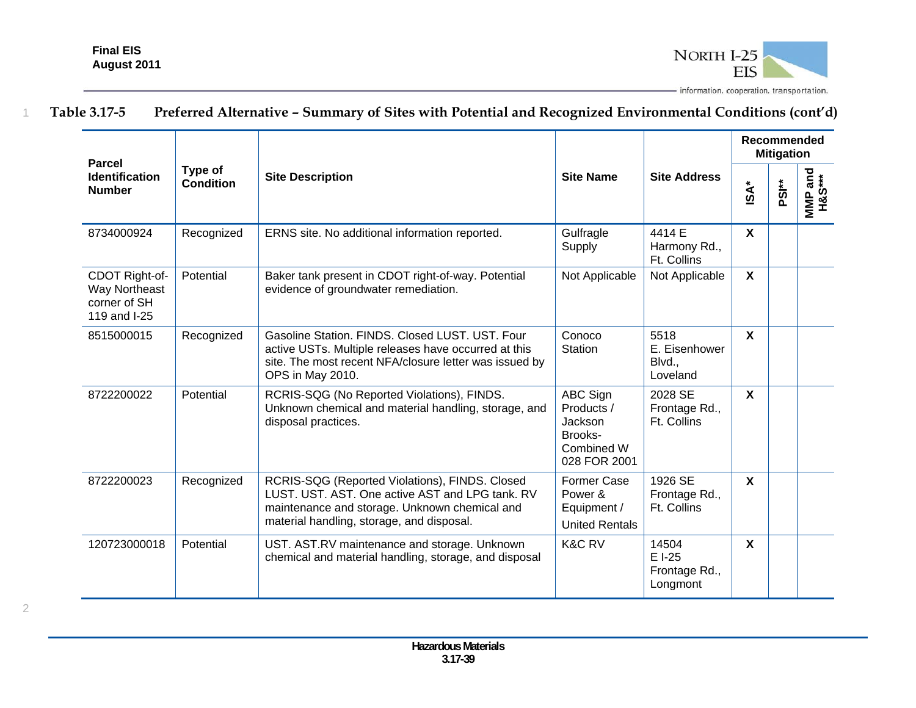

| <b>Parcel</b>                                                   |                      | <b>Site Description</b>                                                                                                                                                                         | <b>Site Name</b>                                                           | <b>Site Address</b>                          | Recommended<br><b>Mitigation</b> |                     |                           |  |  |
|-----------------------------------------------------------------|----------------------|-------------------------------------------------------------------------------------------------------------------------------------------------------------------------------------------------|----------------------------------------------------------------------------|----------------------------------------------|----------------------------------|---------------------|---------------------------|--|--|
| <b>Identification</b><br><b>Number</b>                          | Type of<br>Condition |                                                                                                                                                                                                 |                                                                            |                                              | <b>iSA*</b>                      | $\ddot{\mathbf{s}}$ | urland<br>H&S***<br>MMP 3 |  |  |
| 8734000924                                                      | Recognized           | ERNS site. No additional information reported.                                                                                                                                                  | Gulfragle<br>Supply                                                        | 4414 E<br>Harmony Rd.,<br>Ft. Collins        | $\boldsymbol{\mathsf{X}}$        |                     |                           |  |  |
| CDOT Right-of-<br>Way Northeast<br>corner of SH<br>119 and I-25 | Potential            | Baker tank present in CDOT right-of-way. Potential<br>evidence of groundwater remediation.                                                                                                      | Not Applicable                                                             | Not Applicable                               | $\mathbf{x}$                     |                     |                           |  |  |
| 8515000015                                                      | Recognized           | Gasoline Station, FINDS, Closed LUST, UST, Four<br>active USTs. Multiple releases have occurred at this<br>site. The most recent NFA/closure letter was issued by<br>OPS in May 2010.           | Conoco<br>Station                                                          | 5518<br>E. Eisenhower<br>Blvd.,<br>Loveland  | X                                |                     |                           |  |  |
| 8722200022                                                      | Potential            | RCRIS-SQG (No Reported Violations), FINDS.<br>Unknown chemical and material handling, storage, and<br>disposal practices.                                                                       | ABC Sign<br>Products /<br>Jackson<br>Brooks-<br>Combined W<br>028 FOR 2001 | 2028 SE<br>Frontage Rd.,<br>Ft. Collins      | $\mathbf{x}$                     |                     |                           |  |  |
| 8722200023                                                      | Recognized           | RCRIS-SQG (Reported Violations), FINDS. Closed<br>LUST. UST. AST. One active AST and LPG tank. RV<br>maintenance and storage. Unknown chemical and<br>material handling, storage, and disposal. | Former Case<br>Power &<br>Equipment /<br><b>United Rentals</b>             | 1926 SE<br>Frontage Rd.,<br>Ft. Collins      | $\boldsymbol{\mathsf{X}}$        |                     |                           |  |  |
| 120723000018                                                    | Potential            | UST. AST.RV maintenance and storage. Unknown<br>chemical and material handling, storage, and disposal                                                                                           | <b>K&amp;C RV</b>                                                          | 14504<br>E I-25<br>Frontage Rd.,<br>Longmont | $\boldsymbol{\mathsf{X}}$        |                     |                           |  |  |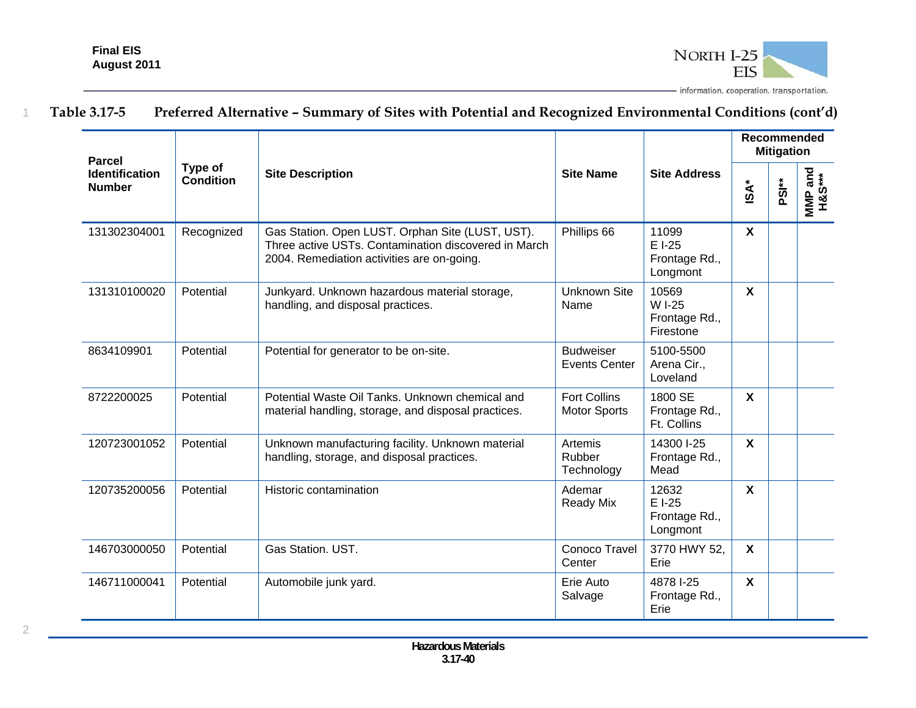

| <b>Parcel</b>                          |                             |                                                                                                                                                        |                                            |                                               | Recommended<br><b>Mitigation</b> |                   |                   |  |
|----------------------------------------|-----------------------------|--------------------------------------------------------------------------------------------------------------------------------------------------------|--------------------------------------------|-----------------------------------------------|----------------------------------|-------------------|-------------------|--|
| <b>Identification</b><br><b>Number</b> | Type of<br><b>Condition</b> | <b>Site Description</b>                                                                                                                                | <b>Site Name</b>                           | <b>Site Address</b>                           | <b>iSA*</b>                      | PSI <sup>**</sup> | MMP and<br>H&S*** |  |
| 131302304001                           | Recognized                  | Gas Station. Open LUST. Orphan Site (LUST, UST).<br>Three active USTs. Contamination discovered in March<br>2004. Remediation activities are on-going. | Phillips 66                                | 11099<br>E I-25<br>Frontage Rd.,<br>Longmont  | $\boldsymbol{X}$                 |                   |                   |  |
| 131310100020                           | Potential                   | Junkyard. Unknown hazardous material storage,<br>handling, and disposal practices.                                                                     | <b>Unknown Site</b><br>Name                | 10569<br>W I-25<br>Frontage Rd.,<br>Firestone | $\mathsf{X}$                     |                   |                   |  |
| 8634109901                             | Potential                   | Potential for generator to be on-site.                                                                                                                 | <b>Budweiser</b><br><b>Events Center</b>   | 5100-5500<br>Arena Cir.,<br>Loveland          |                                  |                   |                   |  |
| 8722200025                             | Potential                   | Potential Waste Oil Tanks, Unknown chemical and<br>material handling, storage, and disposal practices.                                                 | <b>Fort Collins</b><br><b>Motor Sports</b> | 1800 SE<br>Frontage Rd.,<br>Ft. Collins       | $\mathsf{X}$                     |                   |                   |  |
| 120723001052                           | Potential                   | Unknown manufacturing facility. Unknown material<br>handling, storage, and disposal practices.                                                         | Artemis<br>Rubber<br>Technology            | 14300 I-25<br>Frontage Rd.,<br>Mead           | $\mathsf{X}$                     |                   |                   |  |
| 120735200056                           | Potential                   | Historic contamination                                                                                                                                 | Ademar<br>Ready Mix                        | 12632<br>E I-25<br>Frontage Rd.,<br>Longmont  | $\mathsf{x}$                     |                   |                   |  |
| 146703000050                           | Potential                   | Gas Station. UST.                                                                                                                                      | Conoco Travel<br>Center                    | 3770 HWY 52,<br>Erie                          | $\boldsymbol{\mathsf{X}}$        |                   |                   |  |
| 146711000041                           | Potential                   | Automobile junk yard.                                                                                                                                  | Erie Auto<br>Salvage                       | 4878 I-25<br>Frontage Rd.,<br>Erie            | $\mathsf{x}$                     |                   |                   |  |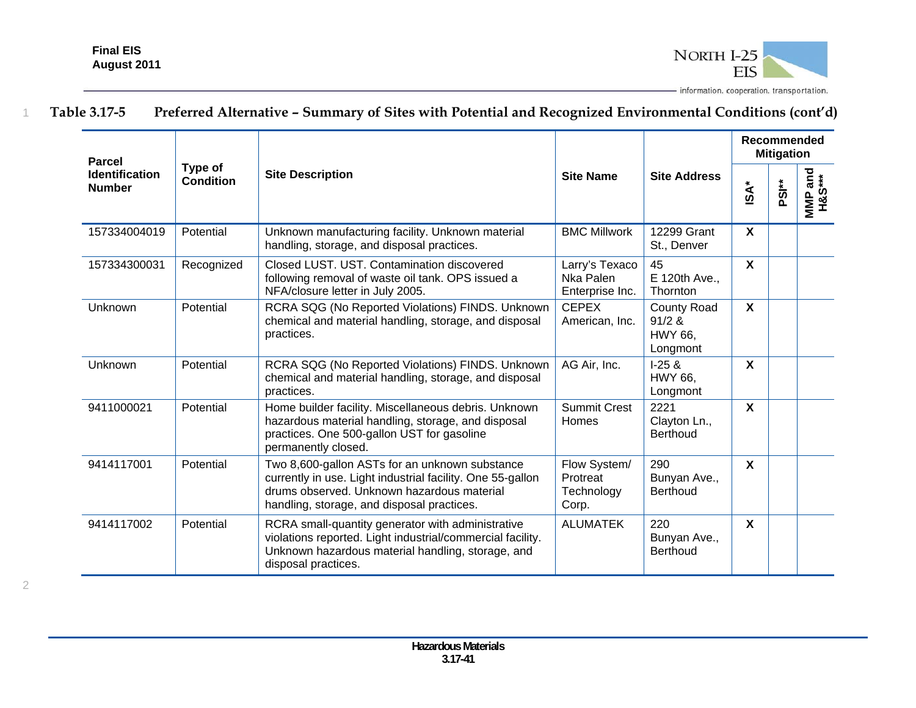

| <b>Parcel</b>                          |                      |                                                                                                                                                                                                          |                                                 |                                                            |                           | Recommended<br><b>Mitigation</b> |                   |
|----------------------------------------|----------------------|----------------------------------------------------------------------------------------------------------------------------------------------------------------------------------------------------------|-------------------------------------------------|------------------------------------------------------------|---------------------------|----------------------------------|-------------------|
| <b>Identification</b><br><b>Number</b> | Type of<br>Condition | <b>Site Description</b>                                                                                                                                                                                  | <b>Site Name</b>                                | <b>Site Address</b>                                        | <b>ISA*</b>               | PS <sup>**</sup>                 | MMP and<br>H&S*** |
| 157334004019                           | Potential            | Unknown manufacturing facility. Unknown material<br>handling, storage, and disposal practices.                                                                                                           | <b>BMC Millwork</b>                             | 12299 Grant<br>St., Denver                                 | $\boldsymbol{\mathsf{X}}$ |                                  |                   |
| 157334300031                           | Recognized           | Closed LUST, UST, Contamination discovered<br>following removal of waste oil tank. OPS issued a<br>NFA/closure letter in July 2005.                                                                      | Larry's Texaco<br>Nka Palen<br>Enterprise Inc.  | 45<br>E 120th Ave.,<br>Thornton                            | $\boldsymbol{\mathsf{X}}$ |                                  |                   |
| Unknown                                | Potential            | RCRA SQG (No Reported Violations) FINDS. Unknown<br>chemical and material handling, storage, and disposal<br>practices.                                                                                  | <b>CEPEX</b><br>American, Inc.                  | <b>County Road</b><br>91/2 &<br><b>HWY 66.</b><br>Longmont | X                         |                                  |                   |
| Unknown                                | Potential            | RCRA SQG (No Reported Violations) FINDS. Unknown<br>chemical and material handling, storage, and disposal<br>practices.                                                                                  | AG Air, Inc.                                    | $1-25 &$<br><b>HWY 66.</b><br>Longmont                     | $\boldsymbol{\mathsf{X}}$ |                                  |                   |
| 9411000021                             | Potential            | Home builder facility. Miscellaneous debris. Unknown<br>hazardous material handling, storage, and disposal<br>practices. One 500-gallon UST for gasoline<br>permanently closed.                          | <b>Summit Crest</b><br>Homes                    | 2221<br>Clayton Ln.,<br><b>Berthoud</b>                    | $\boldsymbol{\mathsf{X}}$ |                                  |                   |
| 9414117001                             | Potential            | Two 8,600-gallon ASTs for an unknown substance<br>currently in use. Light industrial facility. One 55-gallon<br>drums observed. Unknown hazardous material<br>handling, storage, and disposal practices. | Flow System/<br>Protreat<br>Technology<br>Corp. | 290<br>Bunyan Ave.,<br>Berthoud                            | $\boldsymbol{\mathsf{X}}$ |                                  |                   |
| 9414117002                             | Potential            | RCRA small-quantity generator with administrative<br>violations reported. Light industrial/commercial facility.<br>Unknown hazardous material handling, storage, and<br>disposal practices.              | <b>ALUMATEK</b>                                 | 220<br>Bunyan Ave.,<br>Berthoud                            | $\boldsymbol{\mathsf{X}}$ |                                  |                   |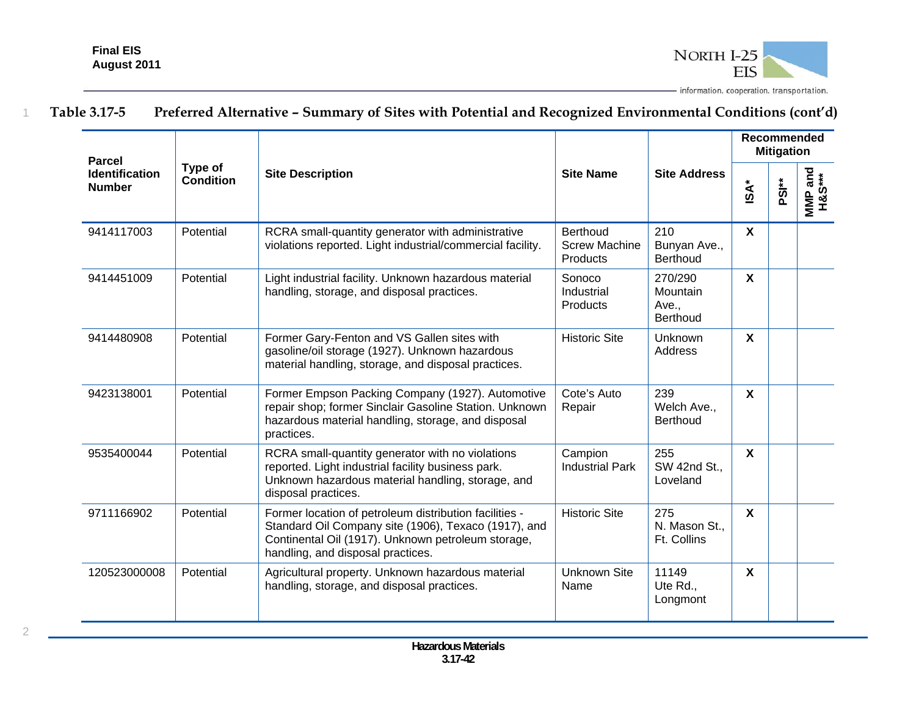

| <b>Parcel</b>                          |                             |                                                                                                                                                                                                           |                                                            |                                                 | <b>Recommended</b><br><b>Mitigation</b> |       |                   |  |
|----------------------------------------|-----------------------------|-----------------------------------------------------------------------------------------------------------------------------------------------------------------------------------------------------------|------------------------------------------------------------|-------------------------------------------------|-----------------------------------------|-------|-------------------|--|
| <b>Identification</b><br><b>Number</b> | Type of<br><b>Condition</b> | <b>Site Description</b>                                                                                                                                                                                   | <b>Site Name</b>                                           | <b>Site Address</b>                             | $\mathsf{ISA}^*$                        | PSI** | MMP and<br>H&S*** |  |
| 9414117003                             | Potential                   | RCRA small-quantity generator with administrative<br>violations reported. Light industrial/commercial facility.                                                                                           | <b>Berthoud</b><br><b>Screw Machine</b><br><b>Products</b> | 210<br>Bunyan Ave.,<br><b>Berthoud</b>          | $\mathsf{x}$                            |       |                   |  |
| 9414451009                             | Potential                   | Light industrial facility. Unknown hazardous material<br>handling, storage, and disposal practices.                                                                                                       | Sonoco<br>Industrial<br>Products                           | 270/290<br>Mountain<br>Ave.,<br><b>Berthoud</b> | $\mathsf{X}$                            |       |                   |  |
| 9414480908                             | Potential                   | Former Gary-Fenton and VS Gallen sites with<br>gasoline/oil storage (1927). Unknown hazardous<br>material handling, storage, and disposal practices.                                                      | <b>Historic Site</b>                                       | Unknown<br>Address                              | $\mathsf{X}$                            |       |                   |  |
| 9423138001                             | Potential                   | Former Empson Packing Company (1927). Automotive<br>repair shop; former Sinclair Gasoline Station. Unknown<br>hazardous material handling, storage, and disposal<br>practices.                            | Cote's Auto<br>Repair                                      | 239<br>Welch Ave.,<br><b>Berthoud</b>           | $\boldsymbol{\mathsf{X}}$               |       |                   |  |
| 9535400044                             | Potential                   | RCRA small-quantity generator with no violations<br>reported. Light industrial facility business park.<br>Unknown hazardous material handling, storage, and<br>disposal practices.                        | Campion<br><b>Industrial Park</b>                          | 255<br>SW 42nd St.,<br>Loveland                 | $\mathbf{x}$                            |       |                   |  |
| 9711166902                             | Potential                   | Former location of petroleum distribution facilities -<br>Standard Oil Company site (1906), Texaco (1917), and<br>Continental Oil (1917). Unknown petroleum storage,<br>handling, and disposal practices. | <b>Historic Site</b>                                       | 275<br>N. Mason St.,<br>Ft. Collins             | $\mathbf{x}$                            |       |                   |  |
| 120523000008                           | Potential                   | Agricultural property. Unknown hazardous material<br>handling, storage, and disposal practices.                                                                                                           | <b>Unknown Site</b><br>Name                                | 11149<br>Ute Rd.,<br>Longmont                   | $\mathbf{x}$                            |       |                   |  |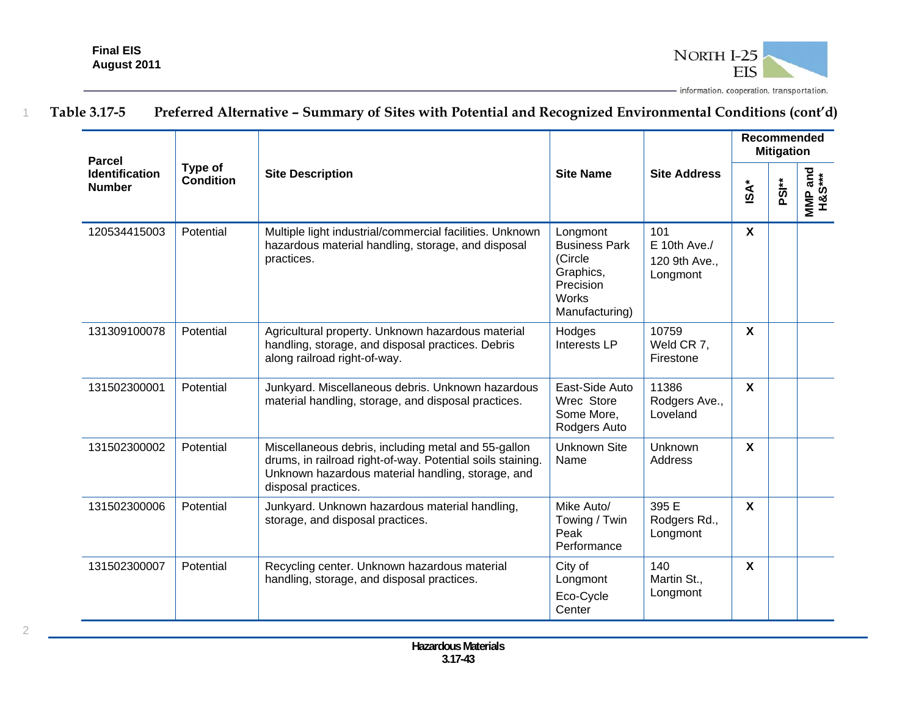

| <b>Parcel</b>                          |                             |                                                                                                                                                                                               |                                                                                                  |                                                    | <b>Recommended</b><br><b>Mitigation</b> |                   |                   |  |
|----------------------------------------|-----------------------------|-----------------------------------------------------------------------------------------------------------------------------------------------------------------------------------------------|--------------------------------------------------------------------------------------------------|----------------------------------------------------|-----------------------------------------|-------------------|-------------------|--|
| <b>Identification</b><br><b>Number</b> | Type of<br><b>Condition</b> | <b>Site Description</b>                                                                                                                                                                       | <b>Site Name</b>                                                                                 | <b>Site Address</b>                                | <b>iSA*</b>                             | PSI <sup>**</sup> | MMP and<br>H&S*** |  |
| 120534415003                           | Potential                   | Multiple light industrial/commercial facilities. Unknown<br>hazardous material handling, storage, and disposal<br>practices.                                                                  | Longmont<br><b>Business Park</b><br>(Circle<br>Graphics,<br>Precision<br>Works<br>Manufacturing) | 101<br>$E$ 10th Ave./<br>120 9th Ave.,<br>Longmont | $\boldsymbol{\mathsf{X}}$               |                   |                   |  |
| 131309100078                           | Potential                   | Agricultural property. Unknown hazardous material<br>handling, storage, and disposal practices. Debris<br>along railroad right-of-way.                                                        | Hodges<br><b>Interests LP</b>                                                                    | 10759<br>Weld CR 7,<br>Firestone                   | $\boldsymbol{\mathsf{X}}$               |                   |                   |  |
| 131502300001                           | Potential                   | Junkyard. Miscellaneous debris. Unknown hazardous<br>material handling, storage, and disposal practices.                                                                                      | East-Side Auto<br>Wrec Store<br>Some More,<br>Rodgers Auto                                       | 11386<br>Rodgers Ave.,<br>Loveland                 | $\mathsf{x}$                            |                   |                   |  |
| 131502300002                           | Potential                   | Miscellaneous debris, including metal and 55-gallon<br>drums, in railroad right-of-way. Potential soils staining.<br>Unknown hazardous material handling, storage, and<br>disposal practices. | Unknown Site<br>Name                                                                             | Unknown<br>Address                                 | $\boldsymbol{\mathsf{X}}$               |                   |                   |  |
| 131502300006                           | Potential                   | Junkyard. Unknown hazardous material handling,<br>storage, and disposal practices.                                                                                                            | Mike Auto/<br>Towing / Twin<br>Peak<br>Performance                                               | 395 E<br>Rodgers Rd.,<br>Longmont                  | $\mathbf{x}$                            |                   |                   |  |
| 131502300007                           | Potential                   | Recycling center. Unknown hazardous material<br>handling, storage, and disposal practices.                                                                                                    | City of<br>Longmont<br>Eco-Cycle<br>Center                                                       | 140<br>Martin St.,<br>Longmont                     | $\boldsymbol{\mathsf{X}}$               |                   |                   |  |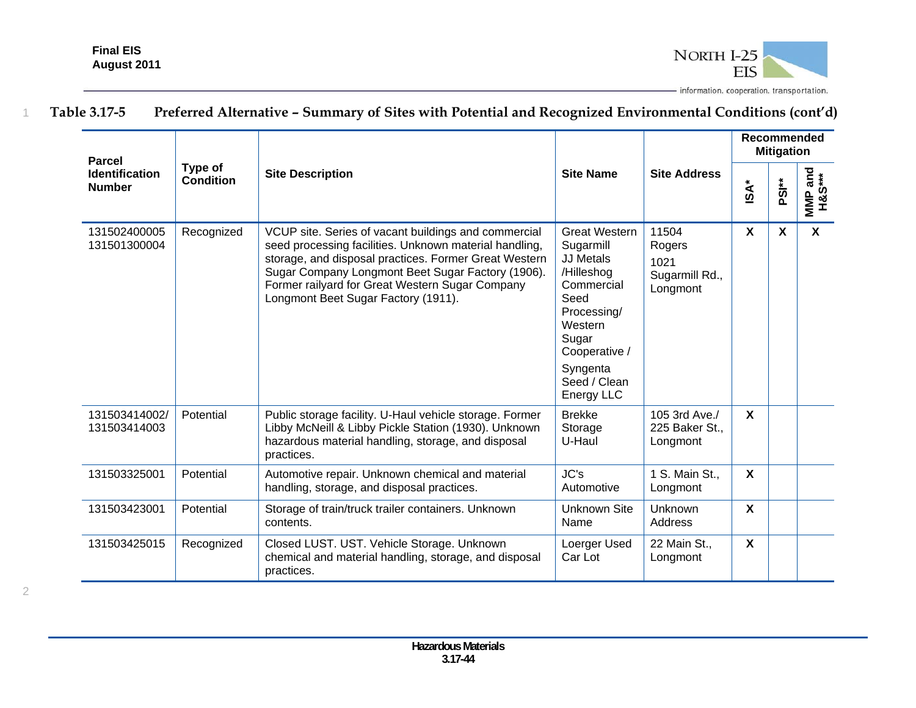2



| <b>Parcel</b>                          |                             |                                                                                                                                                                                                                                                                                                                        |                                                                                                                                                                                         |                                                       |                           | Recommended<br><b>Mitigation</b> |                   |
|----------------------------------------|-----------------------------|------------------------------------------------------------------------------------------------------------------------------------------------------------------------------------------------------------------------------------------------------------------------------------------------------------------------|-----------------------------------------------------------------------------------------------------------------------------------------------------------------------------------------|-------------------------------------------------------|---------------------------|----------------------------------|-------------------|
| <b>Identification</b><br><b>Number</b> | Type of<br><b>Condition</b> | <b>Site Description</b>                                                                                                                                                                                                                                                                                                | <b>Site Name</b>                                                                                                                                                                        | <b>Site Address</b>                                   | $\mathsf{ISA}^*$          | PSI <sup>**</sup>                | MMP and<br>H&S*** |
| 131502400005<br>131501300004           | Recognized                  | VCUP site. Series of vacant buildings and commercial<br>seed processing facilities. Unknown material handling,<br>storage, and disposal practices. Former Great Western<br>Sugar Company Longmont Beet Sugar Factory (1906).<br>Former railyard for Great Western Sugar Company<br>Longmont Beet Sugar Factory (1911). | <b>Great Western</b><br>Sugarmill<br><b>JJ Metals</b><br>/Hilleshog<br>Commercial<br>Seed<br>Processing/<br>Western<br>Sugar<br>Cooperative /<br>Syngenta<br>Seed / Clean<br>Energy LLC | 11504<br>Rogers<br>1021<br>Sugarmill Rd.,<br>Longmont | X                         | X                                | $\mathbf{x}$      |
| 131503414002/<br>131503414003          | Potential                   | Public storage facility. U-Haul vehicle storage. Former<br>Libby McNeill & Libby Pickle Station (1930). Unknown<br>hazardous material handling, storage, and disposal<br>practices.                                                                                                                                    | <b>Brekke</b><br>Storage<br>U-Haul                                                                                                                                                      | 105 3rd Ave./<br>225 Baker St.,<br>Longmont           | $\boldsymbol{\mathsf{X}}$ |                                  |                   |
| 131503325001                           | Potential                   | Automotive repair. Unknown chemical and material<br>handling, storage, and disposal practices.                                                                                                                                                                                                                         | JC's<br>Automotive                                                                                                                                                                      | 1 S. Main St.,<br>Longmont                            | $\mathbf{x}$              |                                  |                   |
| 131503423001                           | Potential                   | Storage of train/truck trailer containers. Unknown<br>contents.                                                                                                                                                                                                                                                        | <b>Unknown Site</b><br>Name                                                                                                                                                             | <b>Unknown</b><br>Address                             | $\boldsymbol{\mathsf{X}}$ |                                  |                   |
| 131503425015                           | Recognized                  | Closed LUST. UST. Vehicle Storage. Unknown<br>chemical and material handling, storage, and disposal<br>practices.                                                                                                                                                                                                      | Loerger Used<br>Car Lot                                                                                                                                                                 | 22 Main St.,<br>Longmont                              | X                         |                                  |                   |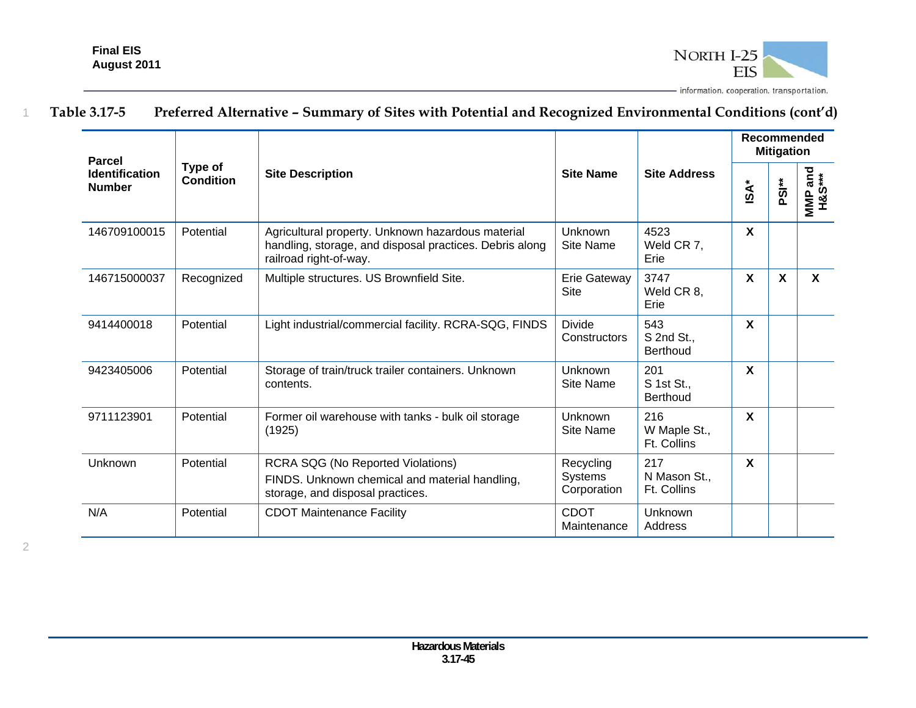

| <b>Parcel</b>                          |                             |                                                                                                                                        |                                     |                                      | Recommended<br><b>Mitigation</b> |                   |                           |  |
|----------------------------------------|-----------------------------|----------------------------------------------------------------------------------------------------------------------------------------|-------------------------------------|--------------------------------------|----------------------------------|-------------------|---------------------------|--|
| <b>Identification</b><br><b>Number</b> | Type of<br><b>Condition</b> | <b>Site Description</b>                                                                                                                | <b>Site Name</b>                    | <b>Site Address</b>                  | <b>ISA*</b>                      | PSI <sup>**</sup> | uniP and<br>H&S***<br>MMP |  |
| 146709100015                           | Potential                   | Agricultural property. Unknown hazardous material<br>handling, storage, and disposal practices. Debris along<br>railroad right-of-way. | Unknown<br><b>Site Name</b>         | 4523<br>Weld CR 7,<br>Erie           | X                                |                   |                           |  |
| 146715000037                           | Recognized                  | Multiple structures. US Brownfield Site.                                                                                               | Erie Gateway<br>Site                | 3747<br>Weld CR 8,<br>Erie           | $\mathbf{x}$                     | $\mathbf{x}$      | $\mathbf{x}$              |  |
| 9414400018                             | Potential                   | Light industrial/commercial facility. RCRA-SQG, FINDS                                                                                  | <b>Divide</b><br>Constructors       | 543<br>S 2nd St.,<br><b>Berthoud</b> | $\boldsymbol{\mathsf{X}}$        |                   |                           |  |
| 9423405006                             | Potential                   | Storage of train/truck trailer containers. Unknown<br>contents.                                                                        | Unknown<br>Site Name                | 201<br>S 1st St.,<br><b>Berthoud</b> | $\mathbf{x}$                     |                   |                           |  |
| 9711123901                             | Potential                   | Former oil warehouse with tanks - bulk oil storage<br>(1925)                                                                           | Unknown<br>Site Name                | 216<br>W Maple St.,<br>Ft. Collins   | $\mathbf{x}$                     |                   |                           |  |
| Unknown                                | Potential                   | <b>RCRA SQG (No Reported Violations)</b><br>FINDS. Unknown chemical and material handling,<br>storage, and disposal practices.         | Recycling<br>Systems<br>Corporation | 217<br>N Mason St.,<br>Ft. Collins   | $\mathbf{x}$                     |                   |                           |  |
| N/A                                    | Potential                   | <b>CDOT Maintenance Facility</b>                                                                                                       | <b>CDOT</b><br>Maintenance          | Unknown<br>Address                   |                                  |                   |                           |  |

2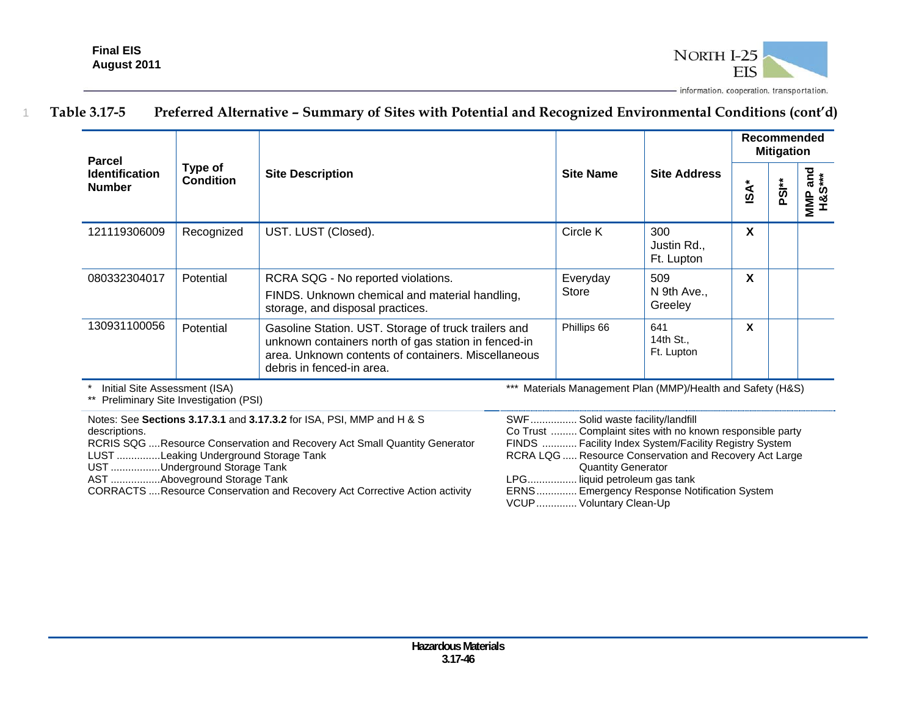

| <b>Parcel</b>                          |                             | <b>Site Description</b>                                                                                                                                                                          |                   |                                  | Recommended<br><b>Mitigation</b> |          |                            |  |
|----------------------------------------|-----------------------------|--------------------------------------------------------------------------------------------------------------------------------------------------------------------------------------------------|-------------------|----------------------------------|----------------------------------|----------|----------------------------|--|
| <b>Identification</b><br><b>Number</b> | Type of<br><b>Condition</b> |                                                                                                                                                                                                  | <b>Site Name</b>  | <b>Site Address</b>              | $\ast$<br>$\tilde{S}$            | ້<br>ຂຶ້ | and<br>***<br>MMP a<br>H&S |  |
| 121119306009                           | Recognized                  | UST. LUST (Closed).                                                                                                                                                                              | Circle K          | 300<br>Justin Rd.,<br>Ft. Lupton | X                                |          |                            |  |
| 080332304017                           | Potential                   | RCRA SQG - No reported violations.<br>FINDS. Unknown chemical and material handling,<br>storage, and disposal practices.                                                                         | Everyday<br>Store | 509<br>N 9th Ave.,<br>Greeley    | X                                |          |                            |  |
| 130931100056                           | Potential                   | Gasoline Station. UST. Storage of truck trailers and<br>unknown containers north of gas station in fenced-in<br>area. Unknown contents of containers. Miscellaneous<br>debris in fenced-in area. | Phillips 66       | 641<br>14th St.,<br>Ft. Lupton   | X                                |          |                            |  |

\* Initial Site Assessment (ISA)

\*\* Preliminary Site Investigation (PSI)

Notes: See **Sections 3.17.3.1** and **3.17.3.2** for ISA, PSI, MMP and H & S descriptions.

RCRIS SQG .... Resource Conservation and Recovery Act Small Quantity Generator

LUST ............... Leaking Underground Storage Tank

UST .................Underground Storage Tank

AST ................. Aboveground Storage Tank

CORRACTS .... Resource Conservation and Recovery Act Corrective Action activity

\*\*\* Materials Management Plan (MMP)/Health and Safety (H&S)

| SWF Solid waste facility/landfill                         |
|-----------------------------------------------------------|
| Co Trust  Complaint sites with no known responsible party |
| FINDS  Facility Index System/Facility Registry System     |
| RCRA LQG  Resource Conservation and Recovery Act Large    |
| <b>Quantity Generator</b>                                 |
| LPG liquid petroleum gas tank                             |
| ERNS Emergency Response Notification System               |
| VCUP Voluntary Clean-Up                                   |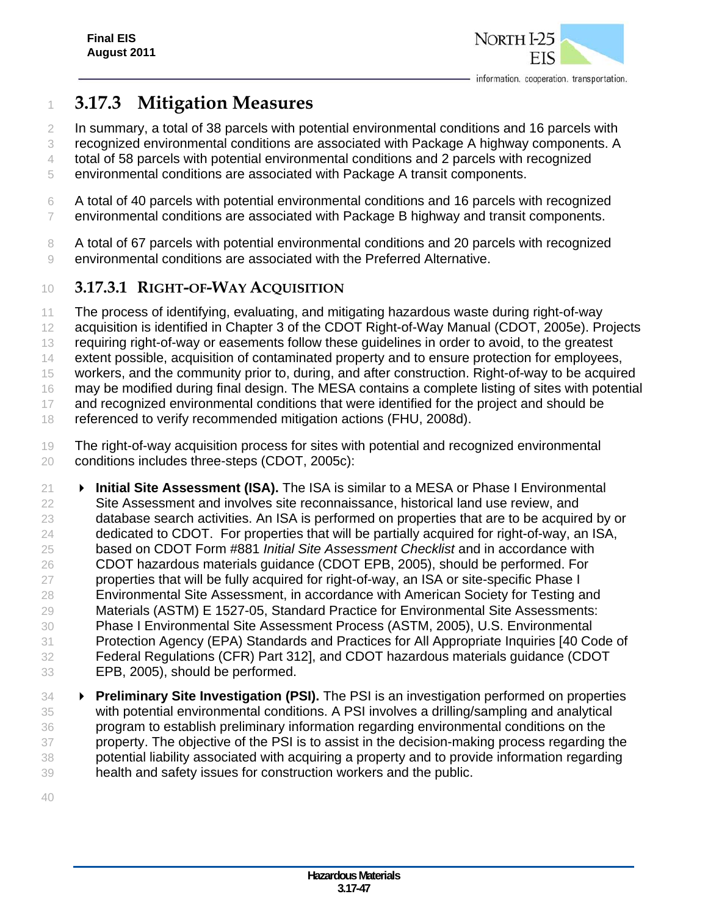

# **3.17.3 Mitigation Measures**

In summary, a total of 38 parcels with potential environmental conditions and 16 parcels with

recognized environmental conditions are associated with Package A highway components. A

total of 58 parcels with potential environmental conditions and 2 parcels with recognized

- environmental conditions are associated with Package A transit components.
- A total of 40 parcels with potential environmental conditions and 16 parcels with recognized environmental conditions are associated with Package B highway and transit components.
- A total of 67 parcels with potential environmental conditions and 20 parcels with recognized environmental conditions are associated with the Preferred Alternative.
- **3.17.3.1 RIGHT-OF-WAY ACQUISITION**
- The process of identifying, evaluating, and mitigating hazardous waste during right-of-way
- acquisition is identified in Chapter 3 of the CDOT Right-of-Way Manual (CDOT, 2005e). Projects
- 13 requiring right-of-way or easements follow these guidelines in order to avoid, to the greatest
- extent possible, acquisition of contaminated property and to ensure protection for employees,
- workers, and the community prior to, during, and after construction. Right-of-way to be acquired

may be modified during final design. The MESA contains a complete listing of sites with potential

and recognized environmental conditions that were identified for the project and should be

18 referenced to verify recommended mitigation actions (FHU, 2008d).

- The right-of-way acquisition process for sites with potential and recognized environmental conditions includes three-steps (CDOT, 2005c):
- **Initial Site Assessment (ISA).** The ISA is similar to a MESA or Phase I Environmental Site Assessment and involves site reconnaissance, historical land use review, and database search activities. An ISA is performed on properties that are to be acquired by or dedicated to CDOT. For properties that will be partially acquired for right-of-way, an ISA, based on CDOT Form #881 *Initial Site Assessment Checklist* and in accordance with CDOT hazardous materials guidance (CDOT EPB, 2005), should be performed. For properties that will be fully acquired for right-of-way, an ISA or site-specific Phase I Environmental Site Assessment, in accordance with American Society for Testing and Materials (ASTM) E 1527-05, Standard Practice for Environmental Site Assessments: Phase I Environmental Site Assessment Process (ASTM, 2005), U.S. Environmental Protection Agency (EPA) Standards and Practices for All Appropriate Inquiries [40 Code of Federal Regulations (CFR) Part 312], and CDOT hazardous materials guidance (CDOT EPB, 2005), should be performed.
- **Preliminary Site Investigation (PSI).** The PSI is an investigation performed on properties with potential environmental conditions. A PSI involves a drilling/sampling and analytical program to establish preliminary information regarding environmental conditions on the 37 property. The objective of the PSI is to assist in the decision-making process regarding the potential liability associated with acquiring a property and to provide information regarding health and safety issues for construction workers and the public.
-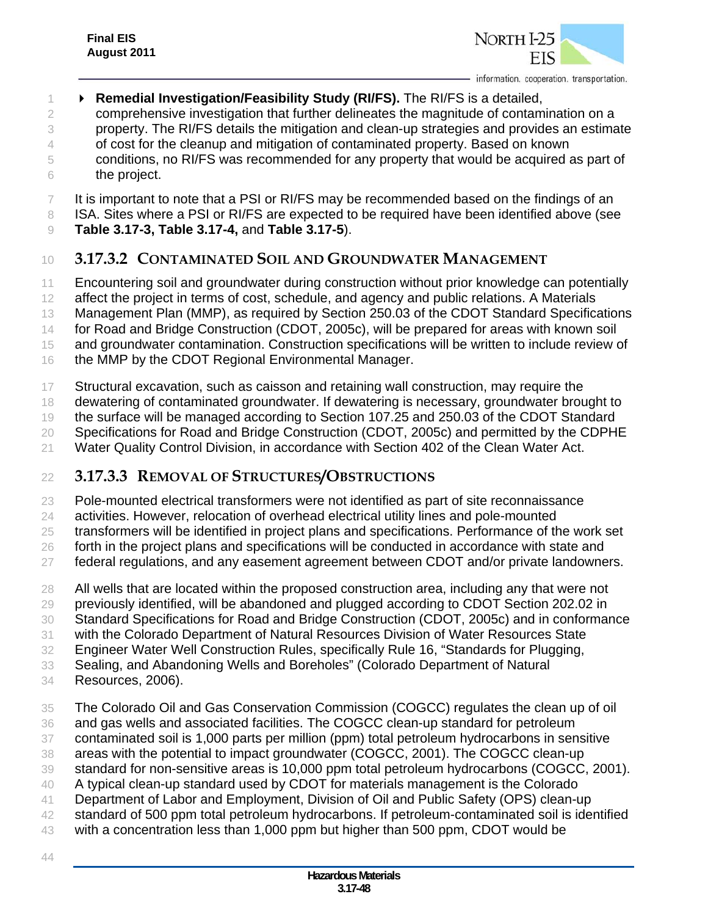

### **Remedial Investigation/Feasibility Study (RI/FS).** The RI/FS is a detailed, comprehensive investigation that further delineates the magnitude of contamination on a

- property. The RI/FS details the mitigation and clean-up strategies and provides an estimate 4 of cost for the cleanup and mitigation of contaminated property. Based on known conditions, no RI/FS was recommended for any property that would be acquired as part of the project.
- It is important to note that a PSI or RI/FS may be recommended based on the findings of an
- 8 ISA. Sites where a PSI or RI/FS are expected to be required have been identified above (see
- **Table 3.17-3, Table 3.17-4,** and **Table 3.17-5**).

### **3.17.3.2 CONTAMINATED SOIL AND GROUNDWATER MANAGEMENT**

- Encountering soil and groundwater during construction without prior knowledge can potentially
- affect the project in terms of cost, schedule, and agency and public relations. A Materials
- Management Plan (MMP), as required by Section 250.03 of the CDOT Standard Specifications
- 14 for Road and Bridge Construction (CDOT, 2005c), will be prepared for areas with known soil
- and groundwater contamination. Construction specifications will be written to include review of
- 16 the MMP by the CDOT Regional Environmental Manager.
- Structural excavation, such as caisson and retaining wall construction, may require the
- dewatering of contaminated groundwater. If dewatering is necessary, groundwater brought to

the surface will be managed according to Section 107.25 and 250.03 of the CDOT Standard

- Specifications for Road and Bridge Construction (CDOT, 2005c) and permitted by the CDPHE
- Water Quality Control Division, in accordance with Section 402 of the Clean Water Act.

### **3.17.3.3 REMOVAL OF STRUCTURES/OBSTRUCTIONS**

Pole-mounted electrical transformers were not identified as part of site reconnaissance

- activities. However, relocation of overhead electrical utility lines and pole-mounted
- transformers will be identified in project plans and specifications. Performance of the work set
- 26 forth in the project plans and specifications will be conducted in accordance with state and
- federal regulations, and any easement agreement between CDOT and/or private landowners.
- All wells that are located within the proposed construction area, including any that were not
- previously identified, will be abandoned and plugged according to CDOT Section 202.02 in
- Standard Specifications for Road and Bridge Construction (CDOT, 2005c) and in conformance
- with the Colorado Department of Natural Resources Division of Water Resources State
- Engineer Water Well Construction Rules, specifically Rule 16, "Standards for Plugging,
- Sealing, and Abandoning Wells and Boreholes" (Colorado Department of Natural
- Resources, 2006).
- The Colorado Oil and Gas Conservation Commission (COGCC) regulates the clean up of oil
- and gas wells and associated facilities. The COGCC clean-up standard for petroleum
- contaminated soil is 1,000 parts per million (ppm) total petroleum hydrocarbons in sensitive
- areas with the potential to impact groundwater (COGCC, 2001). The COGCC clean-up
- standard for non-sensitive areas is 10,000 ppm total petroleum hydrocarbons (COGCC, 2001).
- A typical clean-up standard used by CDOT for materials management is the Colorado
- Department of Labor and Employment, Division of Oil and Public Safety (OPS) clean-up
- standard of 500 ppm total petroleum hydrocarbons. If petroleum-contaminated soil is identified
- with a concentration less than 1,000 ppm but higher than 500 ppm, CDOT would be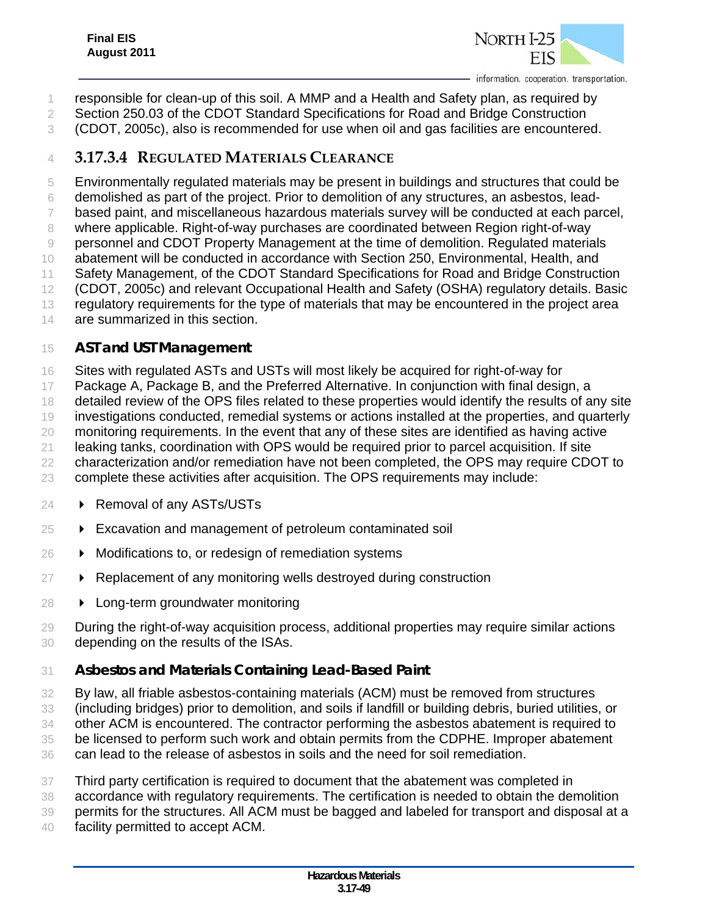

- responsible for clean-up of this soil. A MMP and a Health and Safety plan, as required by
- Section 250.03 of the CDOT Standard Specifications for Road and Bridge Construction
- (CDOT, 2005c), also is recommended for use when oil and gas facilities are encountered.

### **3.17.3.4 REGULATED MATERIALS CLEARANCE**

Environmentally regulated materials may be present in buildings and structures that could be

- demolished as part of the project. Prior to demolition of any structures, an asbestos, lead-
- based paint, and miscellaneous hazardous materials survey will be conducted at each parcel,
- where applicable. Right-of-way purchases are coordinated between Region right-of-way
- personnel and CDOT Property Management at the time of demolition. Regulated materials
- abatement will be conducted in accordance with Section 250, Environmental, Health, and
- Safety Management, of the CDOT Standard Specifications for Road and Bridge Construction
- (CDOT, 2005c) and relevant Occupational Health and Safety (OSHA) regulatory details. Basic
- regulatory requirements for the type of materials that may be encountered in the project area
- 14 are summarized in this section.

### *AST and UST Management*

- Sites with regulated ASTs and USTs will most likely be acquired for right-of-way for
- Package A, Package B, and the Preferred Alternative. In conjunction with final design, a
- 18 detailed review of the OPS files related to these properties would identify the results of any site
- investigations conducted, remedial systems or actions installed at the properties, and quarterly
- monitoring requirements. In the event that any of these sites are identified as having active
- leaking tanks, coordination with OPS would be required prior to parcel acquisition. If site
- characterization and/or remediation have not been completed, the OPS may require CDOT to
- complete these activities after acquisition. The OPS requirements may include:
- **Removal of any ASTs/USTs**
- Excavation and management of petroleum contaminated soil
- 26  $\rightarrow$  Modifications to, or redesign of remediation systems
- **Replacement of any monitoring wells destroyed during construction**
- **Long-term groundwater monitoring**
- During the right-of-way acquisition process, additional properties may require similar actions depending on the results of the ISAs.

# *Asbestos and Materials Containing Lead-Based Paint*

- By law, all friable asbestos-containing materials (ACM) must be removed from structures
- (including bridges) prior to demolition, and soils if landfill or building debris, buried utilities, or
- other ACM is encountered. The contractor performing the asbestos abatement is required to
- be licensed to perform such work and obtain permits from the CDPHE. Improper abatement
- can lead to the release of asbestos in soils and the need for soil remediation.
- Third party certification is required to document that the abatement was completed in
- accordance with regulatory requirements. The certification is needed to obtain the demolition
- permits for the structures. All ACM must be bagged and labeled for transport and disposal at a
- facility permitted to accept ACM.